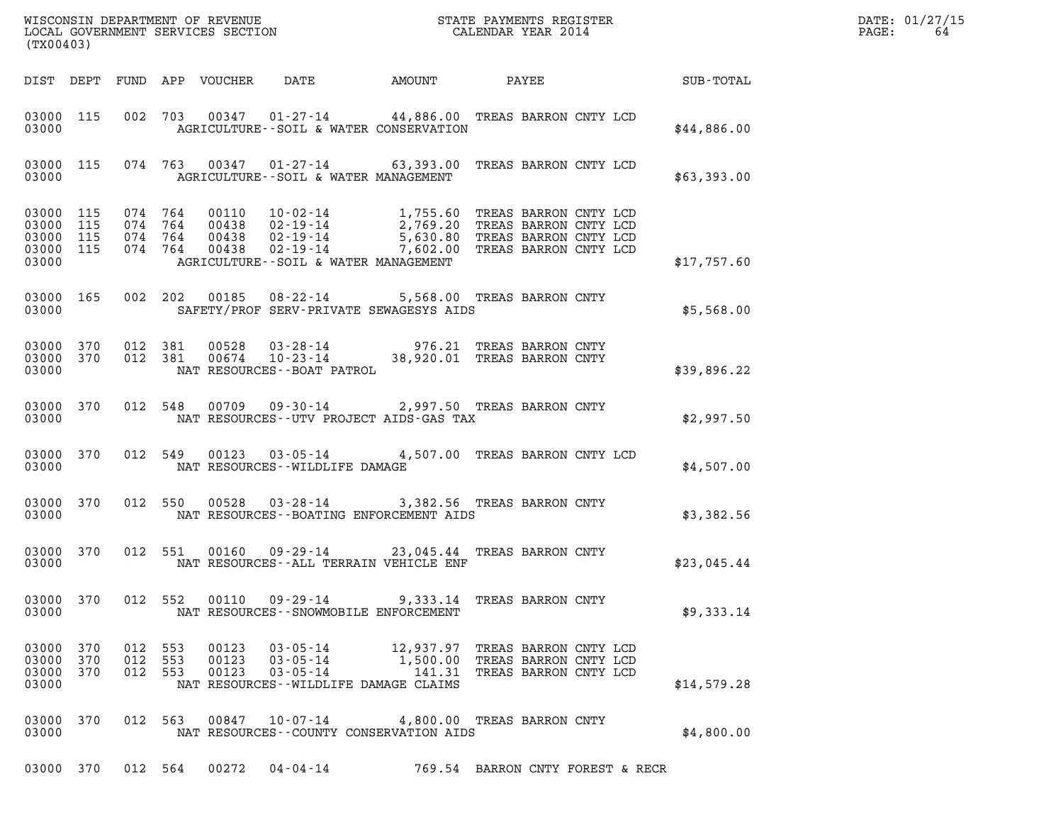| (TX00403)                                             |            |                               |                                          |                            |                                              |                                                                                                                                                                                                                                                  |  |  |                                                                 | DATE: 01/27/15<br>PAGE:<br>64 |                  |  |
|-------------------------------------------------------|------------|-------------------------------|------------------------------------------|----------------------------|----------------------------------------------|--------------------------------------------------------------------------------------------------------------------------------------------------------------------------------------------------------------------------------------------------|--|--|-----------------------------------------------------------------|-------------------------------|------------------|--|
|                                                       |            |                               |                                          | DIST DEPT FUND APP VOUCHER | DATE                                         | AMOUNT                                                                                                                                                                                                                                           |  |  | PAYEE                                                           |                               | <b>SUB-TOTAL</b> |  |
| 03000 115<br>03000                                    |            |                               |                                          |                            |                                              | 002 703 00347 01-27-14 44,886.00 TREAS BARRON CNTY LCD<br>AGRICULTURE--SOIL & WATER CONSERVATION                                                                                                                                                 |  |  |                                                                 |                               | \$44,886.00      |  |
| 03000                                                 |            |                               |                                          |                            |                                              | 03000 115 074 763 00347 01-27-14 63,393.00 TREAS BARRON CNTY LCD<br>AGRICULTURE--SOIL & WATER MANAGEMENT                                                                                                                                         |  |  |                                                                 |                               | \$63,393.00      |  |
| 03000 115<br>03000<br>03000 115<br>03000 115<br>03000 | 115        |                               | 074 764<br>074 764<br>074 764<br>074 764 |                            |                                              | 00110  10-02-14  1,755.60 TREAS BARRON CNTY LCD<br>00438  02-19-14  2,769.20 TREAS BARRON CNTY LCD<br>00438  02-19-14  5,630.80 TREAS BARRON CNTY LCD<br>00438  02-19-14  7,602.00 TREAS BARRON CNTY LCD<br>AGRICULTURE--SOIL & WATER MANAGEMENT |  |  |                                                                 |                               | \$17,757.60      |  |
| 03000 165<br>03000                                    |            |                               |                                          |                            |                                              | 002 202 00185 08-22-14 5,568.00 TREAS BARRON CNTY<br>SAFETY/PROF SERV-PRIVATE SEWAGESYS AIDS                                                                                                                                                     |  |  |                                                                 |                               | \$5,568.00       |  |
| 03000 370<br>03000 370<br>03000                       |            |                               | 012 381<br>012 381                       | 00528<br>00674             | NAT RESOURCES - - BOAT PATROL                | 03-28-14 976.21 TREAS BARRON CNTY<br>10-23-14 38,920.01 TREAS BARRON CNTY                                                                                                                                                                        |  |  |                                                                 |                               | \$39,896.22      |  |
| 03000 370<br>03000                                    |            |                               |                                          |                            |                                              | 012 548 00709 09-30-14 2,997.50 TREAS BARRON CNTY<br>NAT RESOURCES--UTV PROJECT AIDS-GAS TAX                                                                                                                                                     |  |  |                                                                 |                               | \$2,997.50       |  |
| 03000 370<br>03000                                    |            |                               |                                          |                            |                                              | 012 549 00123 03-05-14 4,507.00 TREAS BARRON CNTY LCD<br>NAT RESOURCES--WILDLIFE DAMAGE                                                                                                                                                          |  |  |                                                                 |                               | \$4,507.00       |  |
| 03000 370<br>03000                                    |            |                               |                                          |                            |                                              | 012 550 00528 03-28-14 3,382.56 TREAS BARRON CNTY<br>NAT RESOURCES--BOATING ENFORCEMENT AIDS                                                                                                                                                     |  |  |                                                                 |                               | \$3,382.56       |  |
| 03000 370<br>03000                                    |            |                               | 012 551                                  |                            |                                              | 00160  09-29-14  23,045.44 TREAS BARRON CNTY<br>NAT RESOURCES -- ALL TERRAIN VEHICLE ENF                                                                                                                                                         |  |  |                                                                 |                               | \$23,045.44      |  |
| 03000 370<br>03000                                    |            |                               | 012 552                                  | 00110                      |                                              | 09-29-14 9,333.14 TREAS BARRON CNTY<br>NAT RESOURCES - - SNOWMOBILE ENFORCEMENT                                                                                                                                                                  |  |  |                                                                 |                               | \$9,333.14       |  |
| 03000 370<br>03000<br>03000<br>03000                  | 370<br>370 | 012 553<br>012 553<br>012 553 |                                          | 00123<br>00123<br>00123    | 03-05-14<br>$03 - 05 - 14$<br>$03 - 05 - 14$ | 1,500.00 TREAS BARRON CNTY LCD<br>NAT RESOURCES - WILDLIFE DAMAGE CLAIMS                                                                                                                                                                         |  |  | 12,937.97 TREAS BARRON CNTY LCD<br>141.31 TREAS BARRON CNTY LCD |                               | \$14,579.28      |  |
| 03000 370<br>03000                                    |            |                               |                                          |                            |                                              | 012 563 00847 10-07-14 4,800.00 TREAS BARRON CNTY<br>NAT RESOURCES--COUNTY CONSERVATION AIDS                                                                                                                                                     |  |  |                                                                 |                               | \$4,800.00       |  |

03000 370 012 564 00272 04-04-14 769.54 BARRON CNTY FOREST & RECR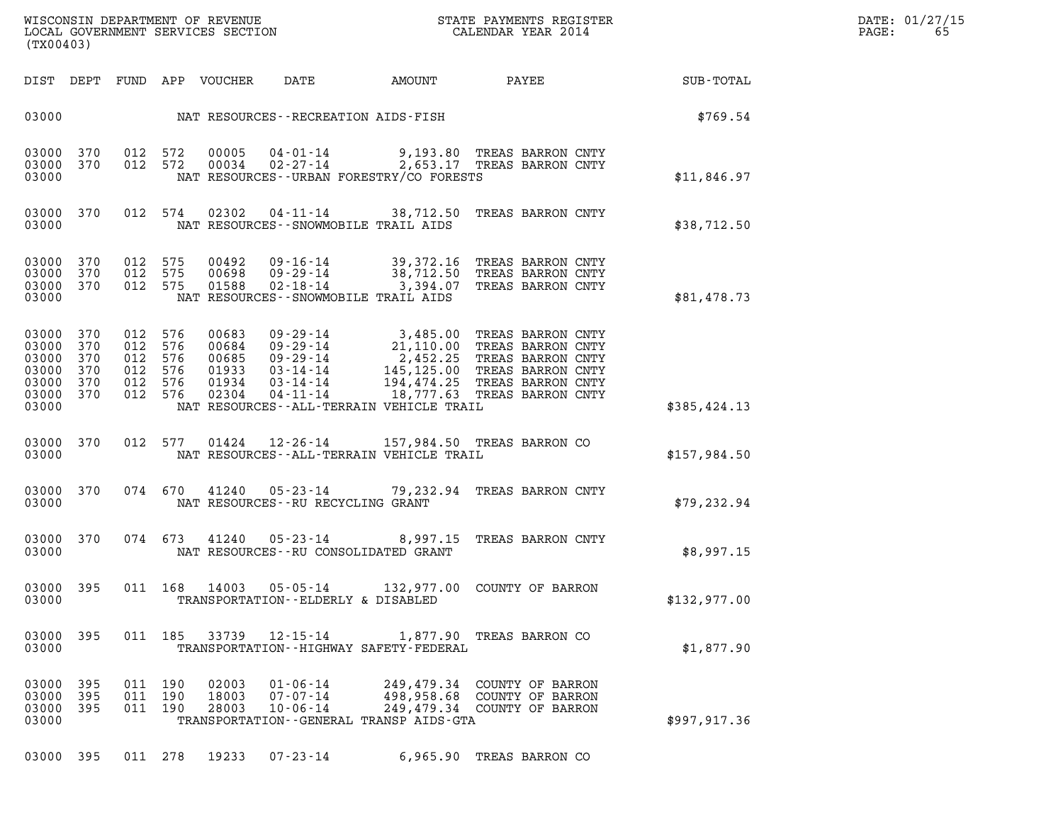|       | DATE: 01/27/15 |
|-------|----------------|
| PAGE: | 65             |

| WISCONSIN DEPARTMENT OF REVENUE<br>LOCAL GOVERNMENT SERVICES SECTION CALENDAR YEAR 2014<br>(TX00403)                                                                                                           |                                                                                                                                                                                                                                                                                     | R            | DATE: 01/27/15<br>$\mathtt{PAGE}$ :<br>65 |
|----------------------------------------------------------------------------------------------------------------------------------------------------------------------------------------------------------------|-------------------------------------------------------------------------------------------------------------------------------------------------------------------------------------------------------------------------------------------------------------------------------------|--------------|-------------------------------------------|
| DIST DEPT FUND APP VOUCHER DATE AMOUNT PAYEE                                                                                                                                                                   |                                                                                                                                                                                                                                                                                     | SUB-TOTAL    |                                           |
| 03000 NAT RESOURCES - - RECREATION AIDS - FISH                                                                                                                                                                 |                                                                                                                                                                                                                                                                                     | \$769.54     |                                           |
| 03000 370<br>03000 370<br>03000                                                                                                                                                                                | 012 572 00005 04-01-14 9,193.80 TREAS BARRON CNTY<br>012 572 00034 02-27-14 2,653.17 TREAS BARRON CNTY<br>NAT RESOURCES--URBAN FORESTRY/CO FORESTS                                                                                                                                  | \$11,846.97  |                                           |
| 03000 370<br>03000                                                                                                                                                                                             | 012 574 02302 04-11-14 38,712.50 TREAS BARRON CNTY<br>NAT RESOURCES - - SNOWMOBILE TRAIL AIDS                                                                                                                                                                                       | \$38,712.50  |                                           |
| 03000 370<br>012 575<br>00492<br>03000 370<br>012 575<br>00698<br>012 575<br>03000 370<br>01588<br>03000                                                                                                       | 09-16-14 39,372.16 TREAS BARRON CNTY<br>09-29-14 38,712.50 TREAS BARRON CNTY<br>02-18-14 3,394.07 TREAS BARRON CNTY<br>NAT RESOURCES--SNOWMOBILE TRAIL AIDS                                                                                                                         | \$81,478.73  |                                           |
| 03000 370<br>012 576<br>00683<br>03000 370<br>012<br>576<br>00684<br>012 576<br>03000 370<br>00685<br>03000 370<br>012 576<br>01933<br>03000 370<br>012 576<br>01934<br>03000 370<br>012 576<br>02304<br>03000 | 09-29-14 3,485.00 TREAS BARRON CNTY<br>09-29-14 21,110.00 TREAS BARRON CNTY<br>09-29-14 2,452.25 TREAS BARRON CNTY<br>03-14-14 145,125.00 TREAS BARRON CNTY<br>03-14-14 194,474.25 TREAS BARRON CNTY<br>04-11-14 18,777.63 TREAS BARRON<br>NAT RESOURCES--ALL-TERRAIN VEHICLE TRAIL | \$385,424.13 |                                           |
| 03000 370<br>03000                                                                                                                                                                                             | 012 577 01424 12-26-14 157,984.50 TREAS BARRON CO<br>NAT RESOURCES - - ALL - TERRAIN VEHICLE TRAIL                                                                                                                                                                                  | \$157,984.50 |                                           |
| 03000 370<br>03000<br>NAT RESOURCES--RU RECYCLING GRANT                                                                                                                                                        | 074 670 41240 05-23-14 79,232.94 TREAS BARRON CNTY                                                                                                                                                                                                                                  | \$79,232.94  |                                           |
| 03000 370<br>03000                                                                                                                                                                                             | 074 673 41240 05-23-14 8,997.15 TREAS BARRON CNTY<br>NAT RESOURCES - - RU CONSOLIDATED GRANT                                                                                                                                                                                        | \$8,997.15   |                                           |
| 03000 395<br>011 168<br>03000                                                                                                                                                                                  | 14003  05-05-14  132,977.00  COUNTY OF BARRON<br>TRANSPORTATION--ELDERLY & DISABLED                                                                                                                                                                                                 | \$132,977.00 |                                           |
| 03000 395<br>03000                                                                                                                                                                                             | 011 185 33739 12-15-14 1,877.90 TREAS BARRON CO<br>TRANSPORTATION - - HIGHWAY SAFETY - FEDERAL                                                                                                                                                                                      | \$1,877.90   |                                           |
| $01 - 06 - 14$<br>03000 395<br>011 190<br>02003<br>03000 395<br>011 190<br>18003<br>07-07-14<br>03000 395<br>011 190<br>28003<br>$10 - 06 - 14$<br>03000                                                       | 249,479.34 COUNTY OF BARRON<br>498,958.68 COUNTY OF BARRON<br>249,479.34 COUNTY OF BARRON<br>TRANSPORTATION - - GENERAL TRANSP AIDS - GTA                                                                                                                                           | \$997,917.36 |                                           |

03000 395 011 278 19233 07-23-14 6,965.90 TREAS BARRON CO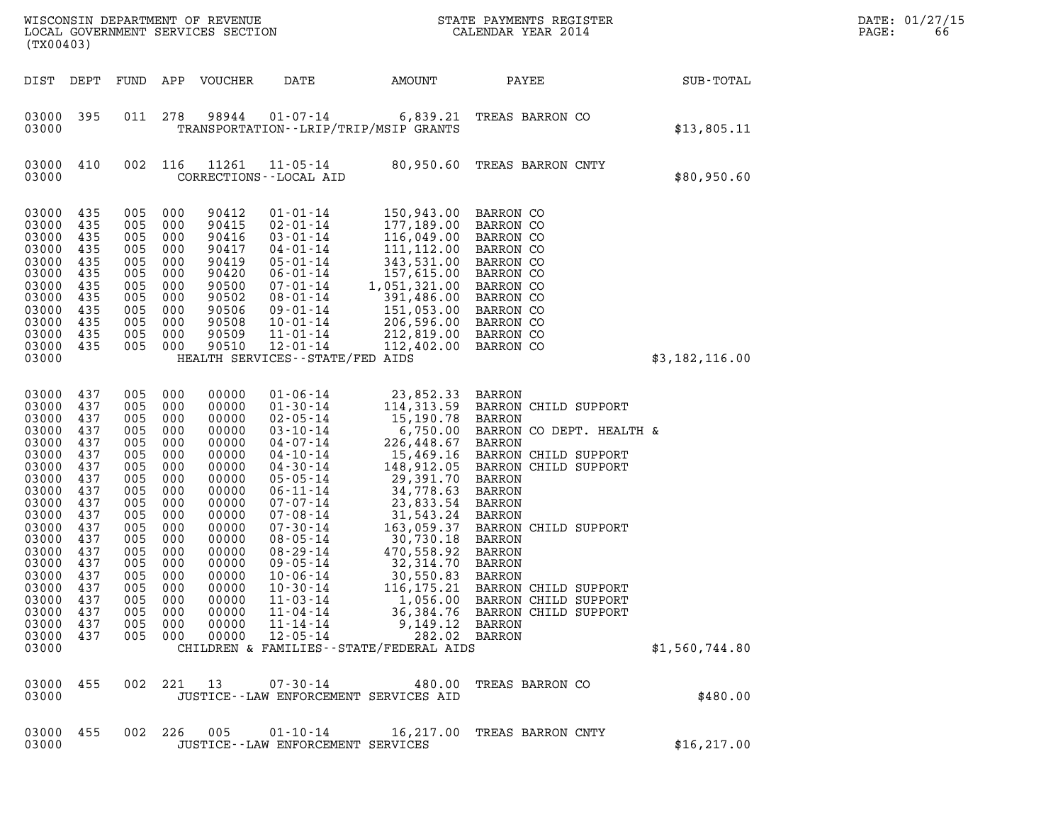| (TX00403)                                                                                                                                                                                          |                                                                                                                                                 |                                                                                                                                                     |                                                                                                                                          | WISCONSIN DEPARTMENT OF REVENUE<br>LOCAL GOVERNMENT SERVICES SECTION                                                                                                                      |                                                                                                                                                                                                                                                                                                                                                                                  |                                                                                                                                                                                                                                                                                                                              | STATE PAYMENTS REGISTER<br>CALENDAR YEAR 2014                                                                                                                                                                                                                                                                                                        |                | DATE: 01/27/15<br>PAGE:<br>66 |
|----------------------------------------------------------------------------------------------------------------------------------------------------------------------------------------------------|-------------------------------------------------------------------------------------------------------------------------------------------------|-----------------------------------------------------------------------------------------------------------------------------------------------------|------------------------------------------------------------------------------------------------------------------------------------------|-------------------------------------------------------------------------------------------------------------------------------------------------------------------------------------------|----------------------------------------------------------------------------------------------------------------------------------------------------------------------------------------------------------------------------------------------------------------------------------------------------------------------------------------------------------------------------------|------------------------------------------------------------------------------------------------------------------------------------------------------------------------------------------------------------------------------------------------------------------------------------------------------------------------------|------------------------------------------------------------------------------------------------------------------------------------------------------------------------------------------------------------------------------------------------------------------------------------------------------------------------------------------------------|----------------|-------------------------------|
| DIST DEPT                                                                                                                                                                                          |                                                                                                                                                 | FUND                                                                                                                                                | APP                                                                                                                                      | VOUCHER                                                                                                                                                                                   | DATE                                                                                                                                                                                                                                                                                                                                                                             | AMOUNT                                                                                                                                                                                                                                                                                                                       | PAYEE                                                                                                                                                                                                                                                                                                                                                | SUB-TOTAL      |                               |
| 03000 395<br>03000                                                                                                                                                                                 |                                                                                                                                                 | 011                                                                                                                                                 | 278                                                                                                                                      | 98944                                                                                                                                                                                     | $01 - 07 - 14$<br>TRANSPORTATION--LRIP/TRIP/MSIP GRANTS                                                                                                                                                                                                                                                                                                                          | 6,839.21                                                                                                                                                                                                                                                                                                                     | TREAS BARRON CO                                                                                                                                                                                                                                                                                                                                      | \$13,805.11    |                               |
| 03000<br>03000                                                                                                                                                                                     | 410                                                                                                                                             | 002                                                                                                                                                 | 116                                                                                                                                      | 11261                                                                                                                                                                                     | $11 - 05 - 14$<br>CORRECTIONS - - LOCAL AID                                                                                                                                                                                                                                                                                                                                      | 80,950.60                                                                                                                                                                                                                                                                                                                    | TREAS BARRON CNTY                                                                                                                                                                                                                                                                                                                                    | \$80,950.60    |                               |
| 03000<br>03000<br>03000<br>03000<br>03000<br>03000<br>03000<br>03000<br>03000<br>03000<br>03000<br>03000<br>03000                                                                                  | 435<br>435<br>435<br>435<br>435<br>435<br>435<br>435<br>435<br>435<br>435<br>435                                                                | 005<br>005<br>005<br>005<br>005<br>005<br>005<br>005<br>005<br>005<br>005<br>005                                                                    | 000<br>000<br>000<br>000<br>000<br>000<br>000<br>000<br>000<br>000<br>000<br>000                                                         | 90412<br>90415<br>90416<br>90417<br>90419<br>90420<br>90500<br>90502<br>90506<br>90508<br>90509<br>90510                                                                                  | $01 - 01 - 14$<br>$02 - 01 - 14$<br>$03 - 01 - 14$<br>$04 - 01 - 14$<br>$05 - 01 - 14$<br>$06 - 01 - 14$<br>$07 - 01 - 14$<br>08-01-14<br>$09 - 01 - 14$<br>$10 - 01 - 14$<br>$11 - 01 - 14$<br>$12 - 01 - 14$<br>HEALTH SERVICES - - STATE/FED AIDS                                                                                                                             | 150,943.00<br>177,189.00<br>116,049.00<br>111, 112.00<br>343,531.00<br>157,615.00<br>1,051,321.00<br>391,486.00<br>151,053.00<br>206,596.00<br>212,819.00<br>112,402.00                                                                                                                                                      | <b>BARRON CO</b><br>BARRON CO<br>BARRON CO<br>BARRON CO<br>BARRON CO<br>BARRON CO<br>BARRON CO<br>BARRON CO<br>BARRON CO<br>BARRON CO<br>BARRON CO<br>BARRON CO                                                                                                                                                                                      | \$3,182,116.00 |                               |
| 03000<br>03000<br>03000<br>03000<br>03000<br>03000<br>03000<br>03000<br>03000<br>03000<br>03000<br>03000<br>03000<br>03000<br>03000<br>03000<br>03000<br>03000<br>03000<br>03000<br>03000<br>03000 | 437<br>437<br>437<br>437<br>437<br>437<br>437<br>437<br>437<br>437<br>437<br>437<br>437<br>437<br>437<br>437<br>437<br>437<br>437<br>437<br>437 | 005<br>005<br>005<br>005<br>005<br>005<br>005<br>005<br>005<br>005<br>005<br>005<br>005<br>005<br>005<br>005<br>005<br>005<br>005<br>005<br>005 000 | 000<br>000<br>000<br>000<br>000<br>000<br>000<br>000<br>000<br>000<br>000<br>000<br>000<br>000<br>000<br>000<br>000<br>000<br>000<br>000 | 00000<br>00000<br>00000<br>00000<br>00000<br>00000<br>00000<br>00000<br>00000<br>00000<br>00000<br>00000<br>00000<br>00000<br>00000<br>00000<br>00000<br>00000<br>00000<br>00000<br>00000 | $01 - 06 - 14$<br>$01 - 30 - 14$<br>$02 - 05 - 14$<br>$03 - 10 - 14$<br>$04 - 07 - 14$<br>$04 - 10 - 14$<br>$04 - 30 - 14$<br>$05 - 05 - 14$<br>$06 - 11 - 14$<br>$07 - 07 - 14$<br>$07 - 08 - 14$<br>$07 - 30 - 14$<br>$08 - 05 - 14$<br>08-29-14<br>$09 - 05 - 14$<br>$10 - 06 - 14$<br>$10 - 30 - 14$<br>$11 - 03 - 14$<br>$11 - 04 - 14$<br>$11 - 14 - 14$<br>$12 - 05 - 14$ | 23,852.33<br>114,313.59<br>15,190.78<br>6,750.00<br>226,448.67<br>15,469.16<br>148,912.05<br>29,391.70<br>34,778.63<br>23,833.54<br>31,543.24<br>163,059.37<br>30,730.18<br>470,558.92<br>32,314.70<br>30,550.83<br>116,175.21<br>1,056.00<br>9,149.12 BARRON<br>282.02 BARRON<br>CHILDREN & FAMILIES - - STATE/FEDERAL AIDS | <b>BARRON</b><br>BARRON CHILD SUPPORT<br>BARRON<br>BARRON CO DEPT. HEALTH &<br><b>BARRON</b><br>BARRON CHILD SUPPORT<br>BARRON CHILD SUPPORT<br>BARRON<br>BARRON<br>BARRON<br><b>BARRON</b><br>BARRON CHILD SUPPORT<br><b>BARRON</b><br>BARRON<br>BARRON<br>BARRON<br>BARRON CHILD SUPPORT<br>BARRON CHILD SUPPORT<br>36,384.76 BARRON CHILD SUPPORT | \$1,560,744.80 |                               |
| 03000<br>03000                                                                                                                                                                                     | 455                                                                                                                                             | 002 221                                                                                                                                             |                                                                                                                                          | 13                                                                                                                                                                                        | $07 - 30 - 14$<br>JUSTICE--LAW ENFORCEMENT SERVICES AID                                                                                                                                                                                                                                                                                                                          | 480.00                                                                                                                                                                                                                                                                                                                       | TREAS BARRON CO                                                                                                                                                                                                                                                                                                                                      | \$480.00       |                               |
| 03000<br>03000                                                                                                                                                                                     | 455                                                                                                                                             | 002 226                                                                                                                                             |                                                                                                                                          | 005                                                                                                                                                                                       | 01-10-14<br>JUSTICE--LAW ENFORCEMENT SERVICES                                                                                                                                                                                                                                                                                                                                    | 16,217.00                                                                                                                                                                                                                                                                                                                    | TREAS BARRON CNTY                                                                                                                                                                                                                                                                                                                                    | \$16, 217.00   |                               |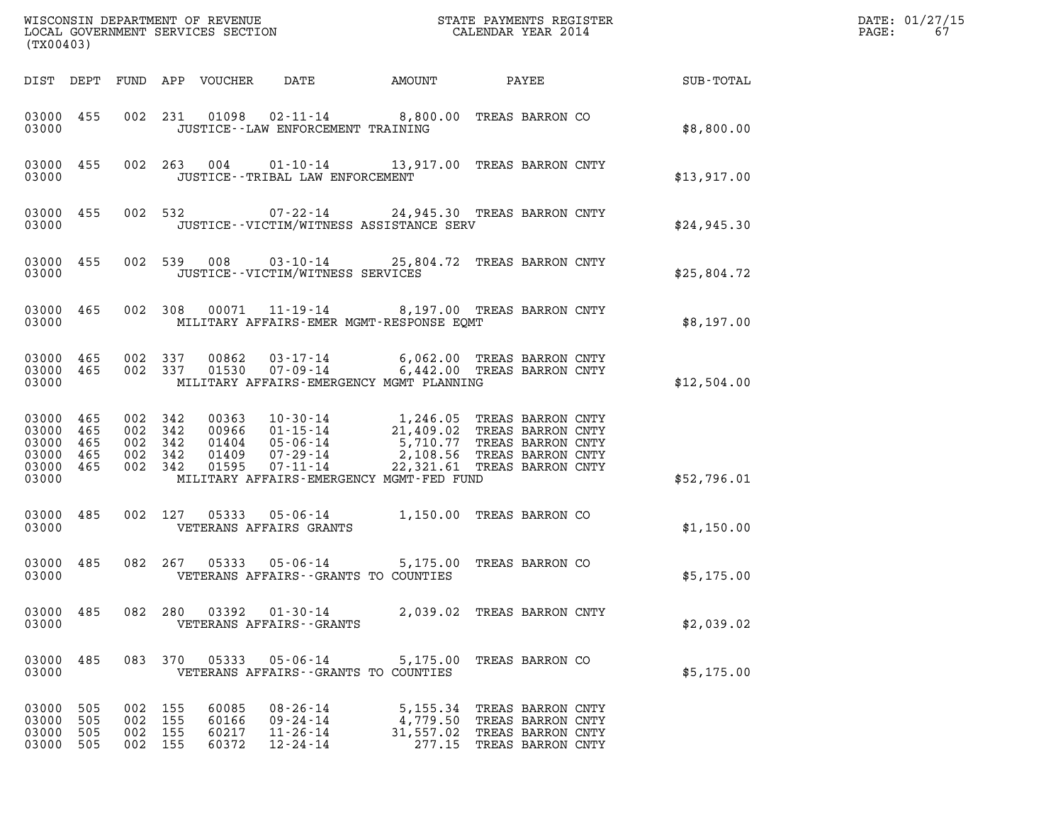| (TX00403)                                             |                          |                                                     |         |                                  |                                                                      |                                                                                                                                                                                                                                                                                       |                          |                            |             | DATE: 01/27/15<br>PAGE:<br>67 |
|-------------------------------------------------------|--------------------------|-----------------------------------------------------|---------|----------------------------------|----------------------------------------------------------------------|---------------------------------------------------------------------------------------------------------------------------------------------------------------------------------------------------------------------------------------------------------------------------------------|--------------------------|----------------------------|-------------|-------------------------------|
|                                                       |                          |                                                     |         | DIST DEPT FUND APP VOUCHER DATE  |                                                                      | AMOUNT                                                                                                                                                                                                                                                                                |                          | <b>PAYEE</b> FOR THE PAYEE | SUB-TOTAL   |                               |
| 03000                                                 | 03000 455                |                                                     |         |                                  | JUSTICE - - LAW ENFORCEMENT TRAINING                                 | 002 231 01098 02-11-14 8,800.00 TREAS BARRON CO                                                                                                                                                                                                                                       |                          |                            | \$8,800.00  |                               |
| 03000                                                 | 03000 455                |                                                     |         |                                  | JUSTICE - - TRIBAL LAW ENFORCEMENT                                   | 002  263  004  01-10-14  13,917.00  TREAS BARRON CNTY                                                                                                                                                                                                                                 |                          |                            | \$13,917.00 |                               |
| 03000                                                 |                          |                                                     |         |                                  |                                                                      | 03000 455 002 532 07-22-14 24,945.30 TREAS BARRON CNTY<br>JUSTICE - - VICTIM/WITNESS ASSISTANCE SERV                                                                                                                                                                                  |                          |                            | \$24,945.30 |                               |
| 03000                                                 | 03000 455                |                                                     |         |                                  | JUSTICE - - VICTIM/WITNESS SERVICES                                  | 002 539 008 03-10-14 25,804.72 TREAS BARRON CNTY                                                                                                                                                                                                                                      |                          |                            | \$25,804.72 |                               |
| 03000                                                 |                          |                                                     |         |                                  |                                                                      | 03000 465 002 308 00071 11-19-14 8,197.00 TREAS BARRON CNTY<br>MILITARY AFFAIRS-EMER MGMT-RESPONSE EOMT                                                                                                                                                                               |                          |                            | \$8,197.00  |                               |
| 03000                                                 | 03000 465                | 03000 465 002 337                                   | 002 337 |                                  |                                                                      | 00862  03-17-14   6,062.00 TREAS BARRON CNTY<br>01530   07-09-14   6,442.00 TREAS BARRON CNTY<br>MILITARY AFFAIRS-EMERGENCY MGMT PLANNING                                                                                                                                             |                          |                            | \$12,504.00 |                               |
| 03000 465<br>03000 465<br>03000<br>03000 465<br>03000 | 465<br>03000 465         | 002 342<br>002 342<br>002 342<br>002 342<br>002 342 |         |                                  |                                                                      | 00363   10-30-14   1,246.05   TREAS BARRON CNTY<br>00966   01-15-14   21,409.02   TREAS BARRON CNTY<br>01404   05-06-14   5,710.77   TREAS BARRON CNTY<br>01409   07-29-14   2,108.56   TREAS BARRON CNTY<br>01595   07-11-14   22,321.61<br>MILITARY AFFAIRS-EMERGENCY MGMT-FED FUND |                          |                            | \$52,796.01 |                               |
| 03000                                                 | 03000 485                |                                                     |         |                                  | VETERANS AFFAIRS GRANTS                                              | 002 127 05333 05-06-14 1,150.00 TREAS BARRON CO                                                                                                                                                                                                                                       |                          |                            | \$1,150.00  |                               |
| 03000                                                 | 03000 485                |                                                     |         |                                  |                                                                      | 082  267  05333  05-06-14  5,175.00  TREAS BARRON CO<br>VETERANS AFFAIRS--GRANTS TO COUNTIES                                                                                                                                                                                          |                          |                            | \$5,175.00  |                               |
| 03000 485<br>03000                                    |                          |                                                     | 082 280 |                                  | VETERANS AFFAIRS - - GRANTS                                          | 03392   01-30-14   2,039.02   TREAS BARRON CNTY                                                                                                                                                                                                                                       |                          |                            | \$2,039.02  |                               |
| 03000 485<br>03000                                    |                          |                                                     | 083 370 | 05333                            | $05 - 06 - 14$                                                       | 5,175.00 TREAS BARRON CO<br>VETERANS AFFAIRS -- GRANTS TO COUNTIES                                                                                                                                                                                                                    |                          |                            | \$5,175.00  |                               |
| 03000<br>03000<br>03000<br>03000                      | 505<br>505<br>505<br>505 | 002 155<br>002 155<br>002 155                       | 002 155 | 60085<br>60166<br>60217<br>60372 | $08 - 26 - 14$<br>$09 - 24 - 14$<br>$11 - 26 - 14$<br>$12 - 24 - 14$ | 5,155.34 TREAS BARRON CNTY<br>4,779.50 TREAS BARRON CNTY<br>31,557.02 TREAS BARRON CNTY                                                                                                                                                                                               | 277.15 TREAS BARRON CNTY |                            |             |                               |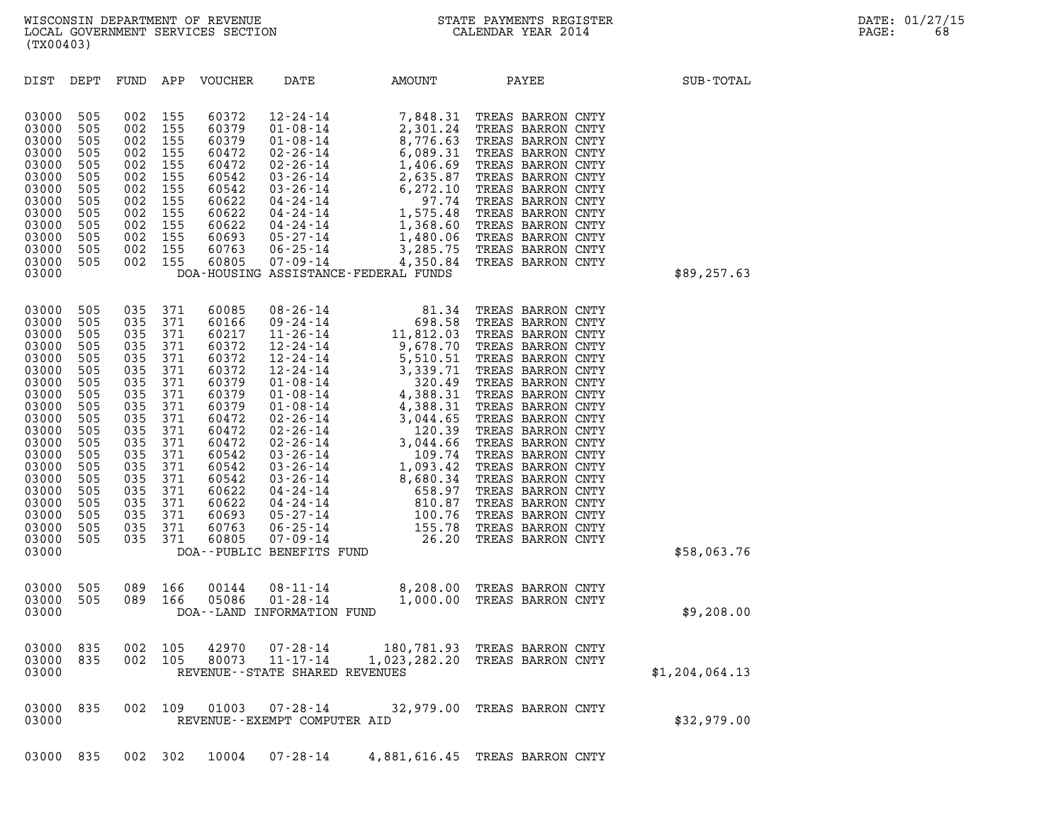| (TX00403)                                                                                                                                                                                 |                                                                                                                                          |                                                                                                                                          |                                                                                                                                          |                                                                                                                                                                                  |                                                                                                                                                                                                                                                                                                                                                                                             |                                                                                                                                                                                                                                                                                      |                                                                                                                                                                                                                                                                                                                                                                                                                                  |                |  |
|-------------------------------------------------------------------------------------------------------------------------------------------------------------------------------------------|------------------------------------------------------------------------------------------------------------------------------------------|------------------------------------------------------------------------------------------------------------------------------------------|------------------------------------------------------------------------------------------------------------------------------------------|----------------------------------------------------------------------------------------------------------------------------------------------------------------------------------|---------------------------------------------------------------------------------------------------------------------------------------------------------------------------------------------------------------------------------------------------------------------------------------------------------------------------------------------------------------------------------------------|--------------------------------------------------------------------------------------------------------------------------------------------------------------------------------------------------------------------------------------------------------------------------------------|----------------------------------------------------------------------------------------------------------------------------------------------------------------------------------------------------------------------------------------------------------------------------------------------------------------------------------------------------------------------------------------------------------------------------------|----------------|--|
| DIST                                                                                                                                                                                      | DEPT                                                                                                                                     | FUND                                                                                                                                     | APP                                                                                                                                      | VOUCHER                                                                                                                                                                          | DATE                                                                                                                                                                                                                                                                                                                                                                                        | <b>AMOUNT</b>                                                                                                                                                                                                                                                                        | PAYEE                                                                                                                                                                                                                                                                                                                                                                                                                            | SUB-TOTAL      |  |
| 03000<br>03000<br>03000<br>03000<br>03000<br>03000<br>03000<br>03000<br>03000<br>03000<br>03000<br>03000<br>03000<br>03000                                                                | 505<br>505<br>505<br>505<br>505<br>505<br>505<br>505<br>505<br>505<br>505<br>505<br>505                                                  | 002<br>002<br>002<br>002<br>002<br>002<br>002<br>002<br>002<br>002<br>002<br>002<br>002                                                  | 155<br>155<br>155<br>155<br>155<br>155<br>155<br>155<br>155<br>155<br>155<br>155<br>155                                                  | 60372<br>60379<br>60379<br>60472<br>60472<br>60542<br>60542<br>60622<br>60622<br>60622<br>60693<br>60763<br>60805                                                                | $12 - 24 - 14$<br>$01 - 08 - 14$<br>$01 - 08 - 14$<br>$02 - 26 - 14$<br>$02 - 26 - 14$<br>$03 - 26 - 14$<br>$03 - 26 - 14$<br>$04 - 24 - 14$<br>$04 - 24 - 14$<br>$04 - 24 - 14$<br>05-27-14<br>$06 - 25 - 14$<br>$07 - 09 - 14$                                                                                                                                                            | 7,848.31<br>2,301.24<br>8,776.63<br>6,089.31<br>$\begin{array}{c}\n\text{max}\n\\ \n\text{max}\n\end{array}$<br>1,406.69<br>2,635.87<br>6, 272.10<br>97.74<br>1,575.48<br>1,368.60<br>1,480.06<br>3,285.75<br>4,350.84<br>DOA-HOUSING ASSISTANCE-FEDERAL FUNDS                       | TREAS BARRON CNTY<br>TREAS BARRON CNTY<br>TREAS BARRON CNTY<br>TREAS BARRON CNTY<br>TREAS BARRON CNTY<br>TREAS BARRON CNTY<br>TREAS BARRON CNTY<br>TREAS BARRON CNTY<br>TREAS BARRON CNTY<br>TREAS BARRON CNTY<br>TREAS BARRON CNTY<br>TREAS BARRON CNTY<br>TREAS BARRON CNTY                                                                                                                                                    | \$89,257.63    |  |
| 03000<br>03000<br>03000<br>03000<br>03000<br>03000<br>03000<br>03000<br>03000<br>03000<br>03000<br>03000<br>03000<br>03000<br>03000<br>03000<br>03000<br>03000<br>03000<br>03000<br>03000 | 505<br>505<br>505<br>505<br>505<br>505<br>505<br>505<br>505<br>505<br>505<br>505<br>505<br>505<br>505<br>505<br>505<br>505<br>505<br>505 | 035<br>035<br>035<br>035<br>035<br>035<br>035<br>035<br>035<br>035<br>035<br>035<br>035<br>035<br>035<br>035<br>035<br>035<br>035<br>035 | 371<br>371<br>371<br>371<br>371<br>371<br>371<br>371<br>371<br>371<br>371<br>371<br>371<br>371<br>371<br>371<br>371<br>371<br>371<br>371 | 60085<br>60166<br>60217<br>60372<br>60372<br>60372<br>60379<br>60379<br>60379<br>60472<br>60472<br>60472<br>60542<br>60542<br>60542<br>60622<br>60622<br>60693<br>60763<br>60805 | $08 - 26 - 14$<br>$09 - 24 - 14$<br>$11 - 26 - 14$<br>$12 - 24 - 14$<br>$12 - 24 - 14$<br>$12 - 24 - 14$<br>$01 - 08 - 14$<br>$01 - 08 - 14$<br>$01 - 08 - 14$<br>$02 - 26 - 14$<br>$02 - 26 - 14$<br>$02 - 26 - 14$<br>$03 - 26 - 14$<br>$03 - 26 - 14$<br>$03 - 26 - 14$<br>04-24-14<br>$04 - 24 - 14$<br>$05 - 27 - 14$<br>$06 - 25 - 14$<br>$07 - 09 - 14$<br>DOA--PUBLIC BENEFITS FUND | 81.34<br>698.58<br>11,812.03<br>9,678.70<br>5,510.51<br>$5,510.51$<br>$3,339.71$<br>$320.49$<br>$4,388.31$<br>$4,388.31$<br>$4,388.31$<br>$4,388.31$<br>$4,044.65$<br>$120.39$<br>$3,044.66$<br>$109.74$<br>$1,093.42$<br>$8,680.34$<br>$658.97$<br>$810.876$<br>$105.78$<br>$26.20$ | TREAS BARRON CNTY<br>TREAS BARRON CNTY<br>TREAS BARRON CNTY<br>TREAS BARRON CNTY<br>TREAS BARRON CNTY<br>TREAS BARRON CNTY<br>TREAS BARRON CNTY<br>TREAS BARRON CNTY<br>TREAS BARRON CNTY<br>TREAS BARRON CNTY<br>TREAS BARRON CNTY<br>TREAS BARRON CNTY<br>TREAS BARRON CNTY<br>TREAS BARRON CNTY<br>TREAS BARRON CNTY<br>TREAS BARRON CNTY<br>TREAS BARRON CNTY<br>TREAS BARRON CNTY<br>TREAS BARRON CNTY<br>TREAS BARRON CNTY | \$58,063.76    |  |
| 03000<br>03000<br>03000                                                                                                                                                                   | 505<br>505                                                                                                                               | 089<br>089                                                                                                                               | 166<br>166                                                                                                                               | 00144<br>05086                                                                                                                                                                   | $08 - 11 - 14$<br>$01 - 28 - 14$<br>DOA--LAND INFORMATION FUND                                                                                                                                                                                                                                                                                                                              | 1,000.00                                                                                                                                                                                                                                                                             | 8,208.00 TREAS BARRON CNTY<br>TREAS BARRON CNTY                                                                                                                                                                                                                                                                                                                                                                                  | \$9,208.00     |  |
| 03000<br>03000<br>03000                                                                                                                                                                   | 835<br>835                                                                                                                               | 002<br>002                                                                                                                               | 105<br>105                                                                                                                               | 42970<br>80073                                                                                                                                                                   | $07 - 28 - 14$<br>$11 - 17 - 14$<br>REVENUE - - STATE SHARED REVENUES                                                                                                                                                                                                                                                                                                                       | 180,781.93<br>1,023,282.20                                                                                                                                                                                                                                                           | TREAS BARRON CNTY<br>TREAS BARRON CNTY                                                                                                                                                                                                                                                                                                                                                                                           | \$1,204,064.13 |  |
| 03000<br>03000                                                                                                                                                                            | 835                                                                                                                                      | 002                                                                                                                                      | 109                                                                                                                                      | 01003                                                                                                                                                                            | 07-28-14<br>REVENUE--EXEMPT COMPUTER AID                                                                                                                                                                                                                                                                                                                                                    |                                                                                                                                                                                                                                                                                      | 32,979.00 TREAS BARRON CNTY                                                                                                                                                                                                                                                                                                                                                                                                      | \$32,979.00    |  |

03000 835 002 302 10004 07-28-14 4,881,616.45 TREAS BARRON CNTY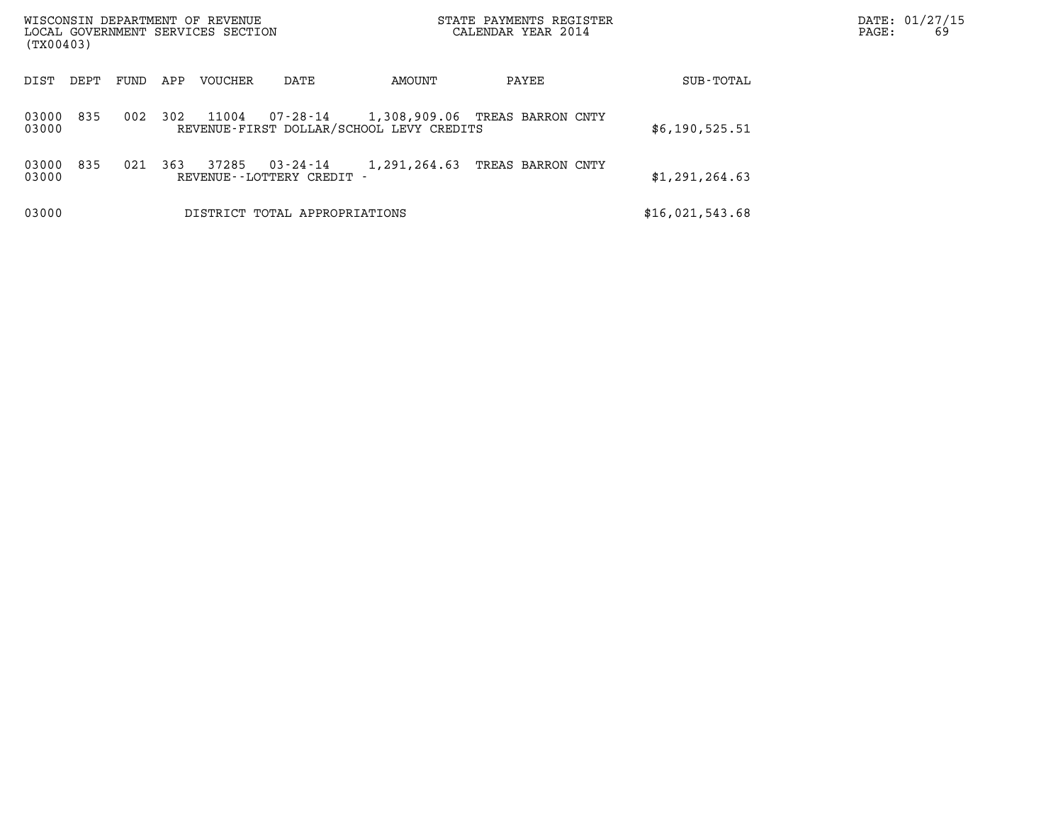| WISCONSIN DEPARTMENT OF REVENUE<br>LOCAL GOVERNMENT SERVICES SECTION<br>(TX00403) |      |     |                |                                        |                                          | STATE PAYMENTS REGISTER<br>CALENDAR YEAR 2014 |                 | DATE: 01/27/15<br>PAGE: | 69 |
|-----------------------------------------------------------------------------------|------|-----|----------------|----------------------------------------|------------------------------------------|-----------------------------------------------|-----------------|-------------------------|----|
| DIST<br>DEPT                                                                      | FUND | APP | <b>VOUCHER</b> | DATE                                   | AMOUNT                                   | PAYEE                                         | SUB-TOTAL       |                         |    |
| 835<br>03000<br>03000                                                             | 002  | 302 | 11004          |                                        | REVENUE-FIRST DOLLAR/SCHOOL LEVY CREDITS | 07-28-14 1,308,909.06 TREAS BARRON CNTY       | \$6,190,525.51  |                         |    |
| 835<br>03000<br>03000                                                             | 021  | 363 | 37285          | 03-24-14<br>REVENUE - - LOTTERY CREDIT | 1,291,264.63                             | TREAS BARRON CNTY                             | \$1,291,264.63  |                         |    |
| 03000                                                                             |      |     |                | DISTRICT TOTAL APPROPRIATIONS          |                                          |                                               | \$16,021,543.68 |                         |    |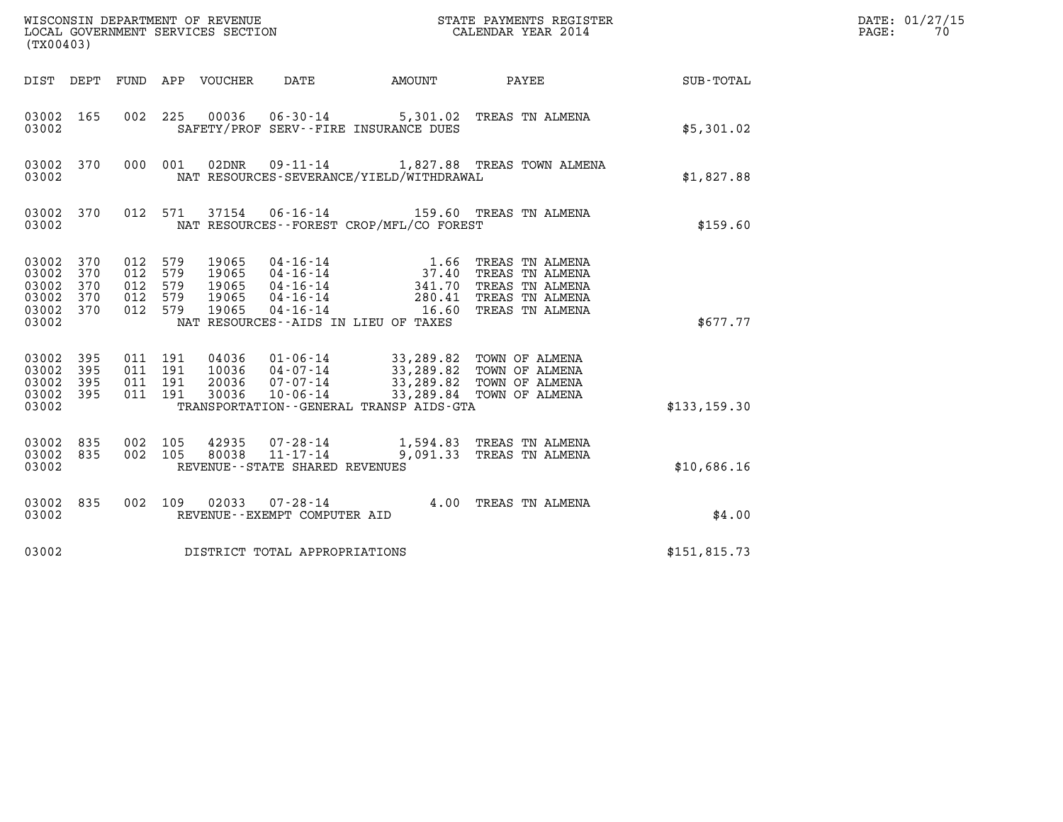| (TX00403)                                                                       |                                                 | WISCONSIN DEPARTMENT OF REVENUE<br>LOCAL GOVERNMENT SERVICES SECTION                                                                                                                                                                                 | STATE PAYMENTS REGISTER<br>CALENDAR YEAR 2014 |              | DATE: 01/27/15<br>PAGE:<br>70 |
|---------------------------------------------------------------------------------|-------------------------------------------------|------------------------------------------------------------------------------------------------------------------------------------------------------------------------------------------------------------------------------------------------------|-----------------------------------------------|--------------|-------------------------------|
|                                                                                 |                                                 | DIST DEPT FUND APP VOUCHER<br>DATE                                                                                                                                                                                                                   | AMOUNT PAYEE SUB-TOTAL                        |              |                               |
| 03002 165<br>03002                                                              | 002 225                                         | 06-30-14 5,301.02 TREAS TN ALMENA<br>00036<br>SAFETY/PROF SERV--FIRE INSURANCE DUES                                                                                                                                                                  |                                               | \$5,301.02   |                               |
| 03002 370<br>03002                                                              | 000 001                                         | 09-11-14 1,827.88 TREAS TOWN ALMENA<br>02DNR<br>NAT RESOURCES-SEVERANCE/YIELD/WITHDRAWAL                                                                                                                                                             |                                               | \$1,827.88   |                               |
| 03002 370<br>03002                                                              |                                                 | 37154  06-16-14  159.60  TREAS TN ALMENA<br>012 571<br>NAT RESOURCES - - FOREST CROP/MFL/CO FOREST                                                                                                                                                   |                                               | \$159.60     |                               |
| 03002 370<br>03002<br>370<br>03002<br>370<br>03002<br>370<br>03002 370<br>03002 | 012 579<br>012<br>012 579<br>012 579<br>012 579 | 04-16-14<br>04-16-14<br>04-16-14<br>04-16-14<br>04-16-14<br>04-16-14<br>04-16-14<br>04-16-14<br>04-16-14<br>04-16-14<br>04-16-14<br>04-16-14<br>04-16-14<br>19065<br>579<br>19065<br>19065<br>19065<br>19065<br>NAT RESOURCES--AIDS IN LIEU OF TAXES |                                               | \$677.77     |                               |
| 03002 395<br>03002<br>395<br>03002<br>395<br>03002 395<br>03002                 | 011 191<br>011 191<br>011 191<br>011 191        | 04036 01-06-14 33,289.82 TOWN OF ALMENA<br>10036 04-07-14 33,289.82 TOWN OF ALMENA<br>20036 07-07-14 33,289.82 TOWN OF ALMENA<br>30036<br>10-06-14<br>TRANSPORTATION--GENERAL TRANSP AIDS-GTA                                                        | 33,289.84 TOWN OF ALMENA                      | \$133,159.30 |                               |
| 03002 835<br>03002 835<br>03002                                                 | 002 105<br>002 105                              | $\begin{array}{cccc} 42935 & 07\cdot 28\cdot 14 & 1,594\cdot 83 & \text{TREAS TN ALMENA} \\ 80038 & 11\cdot 17\cdot 14 & 9,091\cdot 33 & \text{TREAS TN ALMENA} \end{array}$<br>REVENUE - - STATE SHARED REVENUES                                    |                                               | \$10,686.16  |                               |
| 03002 835<br>03002                                                              | 002 109                                         | 02033  07-28-14  4.00  TREAS TN ALMENA<br>REVENUE--EXEMPT COMPUTER AID                                                                                                                                                                               |                                               | \$4.00       |                               |
| 03002                                                                           |                                                 | DISTRICT TOTAL APPROPRIATIONS                                                                                                                                                                                                                        |                                               | \$151,815.73 |                               |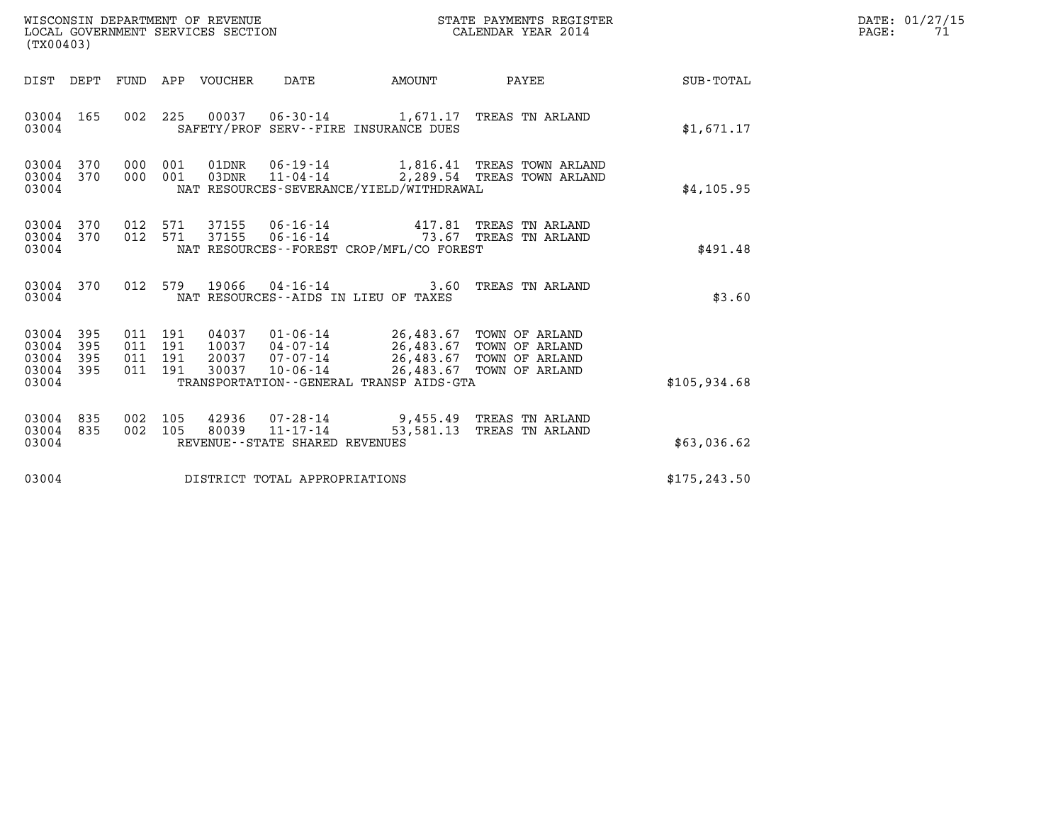| WISCONSIN DEPARTMENT OF REVENUE   | STATE PAYMENTS REGISTER | DATE: 01/27/15 |
|-----------------------------------|-------------------------|----------------|
| LOCAL GOVERNMENT SERVICES SECTION | CALENDAR YEAR 2014      | PAGE:          |

| WISCONSIN DEPARTMENT OF REVENUE<br>LOCAL GOVERNMENT SERVICES SECTION<br>(TX00403) |                          |  |         |                                |                                            |                                                                     | STATE PAYMENTS REGISTER<br>CALENDAR YEAR 2014                                                                                                                                                                                                                                                 |               | DATE: 01/27/15<br>$\mathtt{PAGE:}$<br>71 |
|-----------------------------------------------------------------------------------|--------------------------|--|---------|--------------------------------|--------------------------------------------|---------------------------------------------------------------------|-----------------------------------------------------------------------------------------------------------------------------------------------------------------------------------------------------------------------------------------------------------------------------------------------|---------------|------------------------------------------|
|                                                                                   |                          |  |         |                                |                                            | DIST DEPT FUND APP VOUCHER DATE AMOUNT                              | <b>PAYEE Example 2</b>                                                                                                                                                                                                                                                                        | SUB-TOTAL     |                                          |
| 03004 165<br>03004                                                                |                          |  |         |                                |                                            | SAFETY/PROF SERV--FIRE INSURANCE DUES                               | 002 225 00037 06-30-14 1,671.17 TREAS TN ARLAND                                                                                                                                                                                                                                               | \$1,671.17    |                                          |
| 03004 370<br>03004<br>03004                                                       | 370                      |  |         | 000 001 01DNR<br>000 001 03DNR | $06 - 19 - 14$<br>$11 - 04 - 14$           | NAT RESOURCES-SEVERANCE/YIELD/WITHDRAWAL                            | 1,816.41 TREAS TOWN ARLAND<br>2,289.54 TREAS TOWN ARLAND                                                                                                                                                                                                                                      | \$4,105.95    |                                          |
| 03004<br>03004<br>03004                                                           | 370<br>370               |  |         | 012 571 37155<br>012 571 37155 |                                            | NAT RESOURCES - - FOREST CROP/MFL/CO FOREST                         | 06-16-14 417.81 TREAS TN ARLAND<br>06-16-14 73.67 TREAS TN ARLAND                                                                                                                                                                                                                             | \$491.48      |                                          |
| 03004 370<br>03004                                                                |                          |  |         |                                |                                            | NAT RESOURCES -- AIDS IN LIEU OF TAXES                              | 012 579 19066 04-16-14 3.60 TREAS TN ARLAND                                                                                                                                                                                                                                                   | \$3.60        |                                          |
| 03004<br>03004<br>03004<br>03004<br>03004                                         | 395<br>395<br>395<br>395 |  | 011 191 |                                | 30037 10-06-14                             | 26,483.67 TOWN OF ARLAND<br>TRANSPORTATION--GENERAL TRANSP AIDS-GTA | $\begin{array}{cccc} 011 & 191 & 04037 & 01\cdot 06\cdot 14 & 26\, , 483\, .67 & \text{TOWN OF ARLAND} \\ 011 & 191 & 10037 & 04\cdot 07\cdot 14 & 26\, , 483\, .67 & \text{TOWN OF ARLAND} \\ 011 & 191 & 20037 & 07\cdot 07\cdot 14 & 26\, , 483\, .67 & \text{TOWN OF ARLAND} \end{array}$ | \$105,934.68  |                                          |
| 03004<br>03004<br>03004                                                           | 835<br>835               |  | 002 105 | 002 105 42936<br>80039         | 11-17-14<br>REVENUE--STATE SHARED REVENUES | 53,581.13                                                           | 07-28-14 9,455.49 TREAS TN ARLAND<br>TREAS TN ARLAND                                                                                                                                                                                                                                          | \$63,036.62   |                                          |
| 03004                                                                             |                          |  |         |                                | DISTRICT TOTAL APPROPRIATIONS              |                                                                     |                                                                                                                                                                                                                                                                                               | \$175, 243.50 |                                          |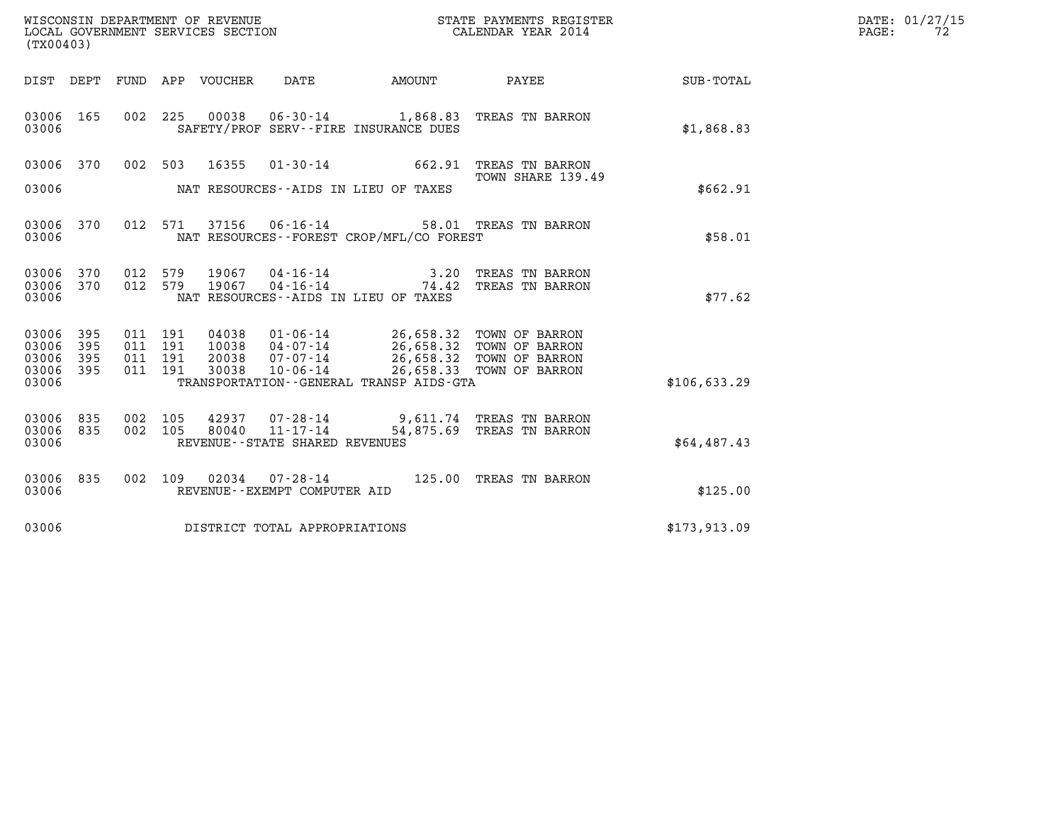| WISCONSIN DEPARTMENT OF REVENUE   | STATE PAYMENTS REGISTER | DATE: 01/27/15 |
|-----------------------------------|-------------------------|----------------|
| LOCAL GOVERNMENT SERVICES SECTION | CALENDAR YEAR 2014      | PAGE:          |

|                                           | WISCONSIN DEPARTMENT OF REVENUE<br>STATE PAYMENTS REGISTER<br>CALENDAR YEAR 2014<br>LOCAL GOVERNMENT SERVICES SECTION<br>(TX00403) |                          |                          |                                  |                                                                    |                                                                                             |                                                                      |                  |  |  |
|-------------------------------------------|------------------------------------------------------------------------------------------------------------------------------------|--------------------------|--------------------------|----------------------------------|--------------------------------------------------------------------|---------------------------------------------------------------------------------------------|----------------------------------------------------------------------|------------------|--|--|
| DIST                                      | DEPT                                                                                                                               | FUND                     | APP                      | VOUCHER                          | DATE                                                               | AMOUNT                                                                                      | PAYEE                                                                | <b>SUB-TOTAL</b> |  |  |
| 03006<br>03006                            | 165                                                                                                                                | 002                      | 225                      | 00038                            | $06 - 30 - 14$                                                     | 1,868.83<br>SAFETY/PROF SERV--FIRE INSURANCE DUES                                           | TREAS TN BARRON                                                      | \$1,868.83       |  |  |
| 03006                                     | 370                                                                                                                                | 002                      | 503                      | 16355                            | $01 - 30 - 14$                                                     | 662.91                                                                                      | TREAS TN BARRON<br>TOWN SHARE 139.49                                 |                  |  |  |
| 03006                                     |                                                                                                                                    |                          |                          |                                  |                                                                    | NAT RESOURCES -- AIDS IN LIEU OF TAXES                                                      |                                                                      | \$662.91         |  |  |
| 03006<br>03006                            | 370                                                                                                                                | 012                      | 571                      | 37156                            | $06 - 16 - 14$                                                     | NAT RESOURCES -- FOREST CROP/MFL/CO FOREST                                                  | 58.01 TREAS TN BARRON                                                | \$58.01          |  |  |
| 03006<br>03006<br>03006                   | 370<br>370                                                                                                                         | 012<br>012               | 579<br>579               | 19067<br>19067                   | $04 - 16 - 14$<br>$04 - 16 - 14$                                   | 3.20<br>74.42<br>NAT RESOURCES -- AIDS IN LIEU OF TAXES                                     | TREAS TN BARRON<br>TREAS TN BARRON                                   | \$77.62          |  |  |
| 03006<br>03006<br>03006<br>03006<br>03006 | 395<br>395<br>395<br>395                                                                                                           | 011<br>011<br>011<br>011 | 191<br>191<br>191<br>191 | 04038<br>10038<br>20038<br>30038 | $01 - 06 - 14$<br>04-07-14<br>07-07-14<br>$10 - 06 - 14$           | 26,658.32<br>26,658.32<br>26,658.32<br>26,658.33<br>TRANSPORTATION--GENERAL TRANSP AIDS-GTA | TOWN OF BARRON<br>TOWN OF BARRON<br>TOWN OF BARRON<br>TOWN OF BARRON | \$106,633.29     |  |  |
| 03006<br>03006<br>03006                   | 835<br>835                                                                                                                         | 002<br>002               | 105<br>105               | 42937<br>80040                   | $07 - 28 - 14$<br>$11 - 17 - 14$<br>REVENUE--STATE SHARED REVENUES | 9,611.74<br>54,875.69                                                                       | TREAS TN BARRON<br>TREAS TN BARRON                                   | \$64,487.43      |  |  |
| 03006<br>03006                            | 835                                                                                                                                | 002                      | 109                      | 02034                            | $07 - 28 - 14$<br>REVENUE--EXEMPT COMPUTER AID                     | 125.00                                                                                      | TREAS TN BARRON                                                      | \$125.00         |  |  |
| 03006                                     |                                                                                                                                    |                          |                          |                                  | DISTRICT TOTAL APPROPRIATIONS                                      |                                                                                             |                                                                      | \$173,913.09     |  |  |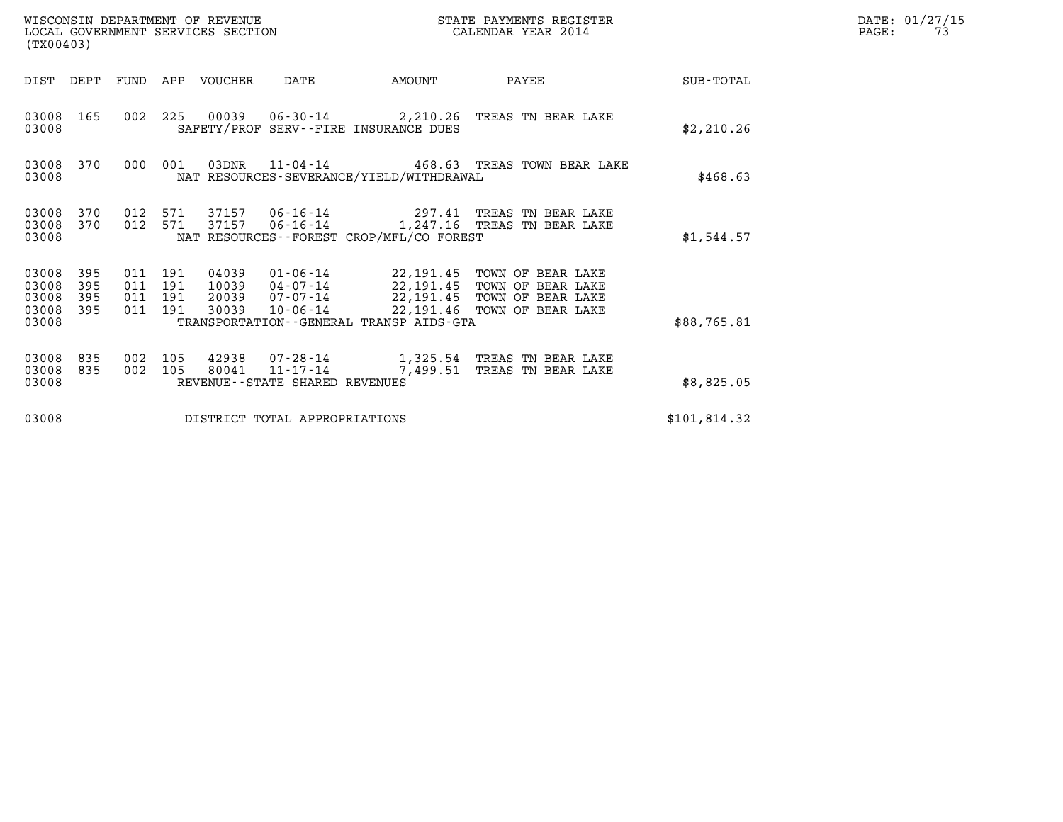| (TX00403)                                 |                          |            |                                          | WISCONSIN DEPARTMENT OF REVENUE<br>LOCAL GOVERNMENT SERVICES SECTION |                                            |                                                                        | STATE PAYMENTS REGISTER<br>CALENDAR YEAR 2014                                                                 |              | DATE: 01/27/15<br>PAGE:<br>73 |
|-------------------------------------------|--------------------------|------------|------------------------------------------|----------------------------------------------------------------------|--------------------------------------------|------------------------------------------------------------------------|---------------------------------------------------------------------------------------------------------------|--------------|-------------------------------|
| DIST DEPT                                 |                          |            |                                          | FUND APP VOUCHER                                                     | DATE                                       | AMOUNT                                                                 | PAYEE                                                                                                         | SUB-TOTAL    |                               |
| 03008 165<br>03008                        |                          |            |                                          |                                                                      |                                            | SAFETY/PROF SERV--FIRE INSURANCE DUES                                  | 002 225 00039 06-30-14 2,210.26 TREAS TN BEAR LAKE                                                            | \$2,210.26   |                               |
| 03008<br>03008                            | 370                      | 000        | 001                                      |                                                                      |                                            | NAT RESOURCES-SEVERANCE/YIELD/WITHDRAWAL                               | 03DNR 11-04-14 468.63 TREAS TOWN BEAR LAKE                                                                    | \$468.63     |                               |
| 03008<br>03008 370<br>03008               | 370                      | 012<br>012 | 571                                      | 571 37157<br>37157                                                   |                                            | NAT RESOURCES--FOREST CROP/MFL/CO FOREST                               | 06-16-14 297.41 TREAS TN BEAR LAKE<br>06-16-14 1,247.16 TREAS TN BEAR LAKE                                    | \$1,544.57   |                               |
| 03008<br>03008<br>03008<br>03008<br>03008 | 395<br>395<br>395<br>395 |            | 011 191<br>011 191<br>011 191<br>011 191 | 04039<br>10039<br>20039<br>30039                                     | 04-07-14<br>07-07-14<br>$10 - 06 - 14$     | 22,191.45<br>22,191.45<br>TRANSPORTATION - - GENERAL TRANSP AIDS - GTA | 01-06-14 22,191.45 TOWN OF BEAR LAKE<br>TOWN OF BEAR LAKE<br>TOWN OF BEAR LAKE<br>22,191.46 TOWN OF BEAR LAKE | \$88,765.81  |                               |
| 03008<br>03008<br>03008                   | 835<br>835               | 002<br>002 | 105<br>105                               | 42938<br>80041                                                       | 11-17-14<br>REVENUE--STATE SHARED REVENUES | 7,499.51                                                               | 07-28-14 1,325.54 TREAS TN BEAR LAKE<br>TREAS TN BEAR LAKE                                                    | \$8,825.05   |                               |
| 03008                                     |                          |            |                                          |                                                                      | DISTRICT TOTAL APPROPRIATIONS              |                                                                        |                                                                                                               | \$101,814.32 |                               |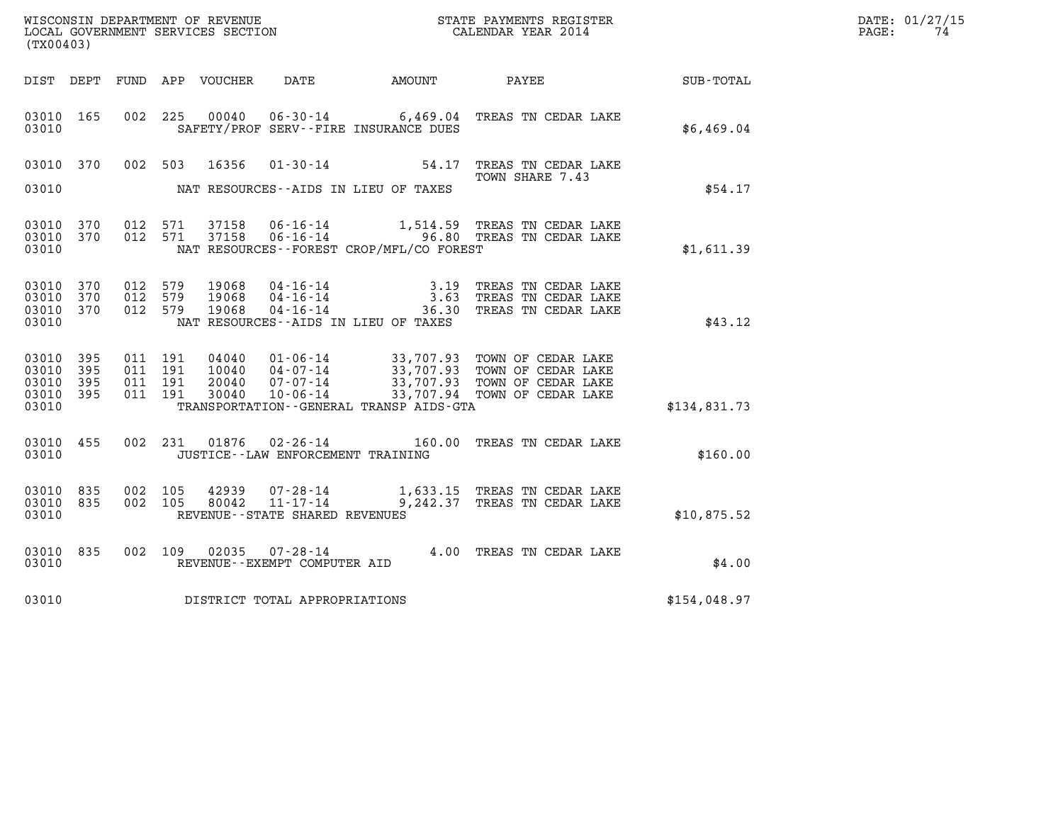| WISCONSIN DEPARTMENT OF REVENUE   | STATE PAYMENTS REGISTER | DATE: 01/27/15 |
|-----------------------------------|-------------------------|----------------|
| LOCAL GOVERNMENT SERVICES SECTION | CALENDAR YEAR 2014      | PAGE:          |

| (TX00403)                                             |     |         |                               |                                          |                                     |                                          | WISCONSIN DEPARTMENT OF REVENUE<br>LOCAL GOVERNMENT SERVICES SECTION<br>(TYOLOGIC)                                                                                             | $\mathbb{E} \mathbb{R}$ | DATE: 01/27/15<br>$\mathtt{PAGE:}$<br>74 |
|-------------------------------------------------------|-----|---------|-------------------------------|------------------------------------------|-------------------------------------|------------------------------------------|--------------------------------------------------------------------------------------------------------------------------------------------------------------------------------|-------------------------|------------------------------------------|
|                                                       |     |         |                               |                                          |                                     |                                          | DIST DEPT FUND APP VOUCHER DATE AMOUNT PAYEE                                                                                                                                   | SUB-TOTAL               |                                          |
| 03010 165<br>03010                                    |     |         |                               |                                          |                                     | SAFETY/PROF SERV--FIRE INSURANCE DUES    | 002 225 00040 06-30-14 6,469.04 TREAS TN CEDAR LAKE                                                                                                                            | \$6,469.04              |                                          |
| 03010 370                                             |     |         |                               | 002 503 16356                            |                                     |                                          | $01 - 30 - 14$ 54.17 TREAS TN CEDAR LAKE<br>TOWN SHARE 7.43                                                                                                                    |                         |                                          |
| 03010                                                 |     |         |                               |                                          |                                     | NAT RESOURCES--AIDS IN LIEU OF TAXES     |                                                                                                                                                                                | \$54.17                 |                                          |
| 03010 370<br>03010 370<br>03010                       |     |         |                               |                                          |                                     | NAT RESOURCES--FOREST CROP/MFL/CO FOREST | 012 571 37158 06-16-14 1,514.59 TREAS TN CEDAR LAKE<br>012 571 37158 06-16-14 36.80 TREAS TN CEDAR LAKE                                                                        | \$1,611.39              |                                          |
| 03010 370<br>03010 370<br>03010 370<br>03010          |     | 012 579 |                               | 012 579 19068<br>19068<br>012 579 19068  |                                     | NAT RESOURCES--AIDS IN LIEU OF TAXES     | 04-16-14 3.19 TREAS TN CEDAR LAKE<br>04-16-14 3.63 TREAS TN CEDAR LAKE<br>04-16-14 36.30 TREAS TN CEDAR LAKE                                                                   | \$43.12                 |                                          |
| 03010 395<br>03010<br>03010 395<br>03010 395<br>03010 | 395 |         | 011 191<br>011 191<br>011 191 | 011 191 04040<br>10040<br>20040<br>30040 |                                     | TRANSPORTATION--GENERAL TRANSP AIDS-GTA  | 01-06-14 33,707.93 TOWN OF CEDAR LAKE<br>04-07-14 33,707.93 TOWN OF CEDAR LAKE<br>07-07-14 33,707.93 TOWN OF CEDAR LAKE<br>10-06-14 33,707.94 TOWN OF CEDAR LAKE               | \$134,831.73            |                                          |
| 03010                                                 |     |         |                               |                                          |                                     | JUSTICE - - LAW ENFORCEMENT TRAINING     | 03010 455 002 231 01876 02-26-14 160.00 TREAS TN CEDAR LAKE                                                                                                                    | \$160.00                |                                          |
| 03010 835<br>03010 835<br>03010                       |     |         | 002 105                       | 42939<br>002 105 80042                   | REVENUE--STATE SHARED REVENUES      |                                          | $\begin{array}{llll} \texttt{07-28-14} & \texttt{1,633.15} & \texttt{TREAS TN CEDAR LAKE} \\ \texttt{11-17-14} & \texttt{9,242.37} & \texttt{TREAS TN CEDAR LAKE} \end{array}$ | \$10,875.52             |                                          |
| 03010 835<br>03010                                    |     |         |                               |                                          |                                     |                                          | 002   109   02035   07-28-14   4.00   TREAS TN CEDAR LAKE   REVENUE--EXEMPT COMPUTER AID                                                                                       | \$4.00                  |                                          |
|                                                       |     |         |                               |                                          | 03010 DISTRICT TOTAL APPROPRIATIONS |                                          |                                                                                                                                                                                | \$154,048.97            |                                          |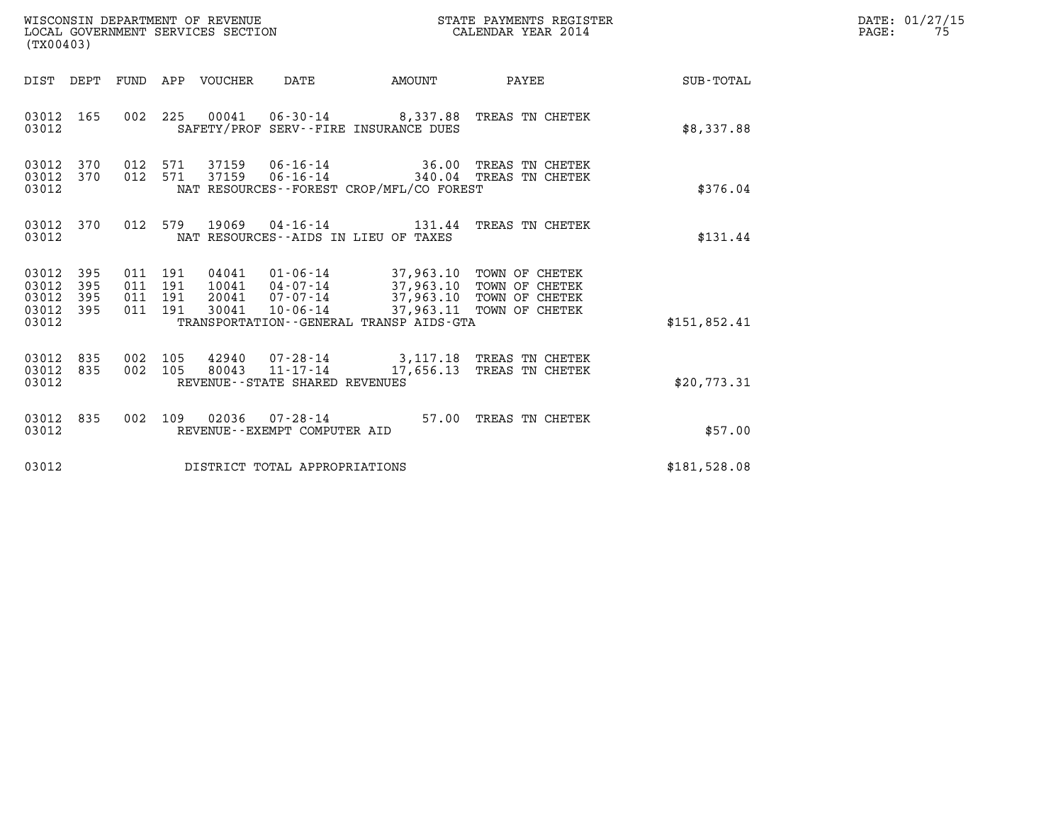| WISCONSIN DEPARTMENT OF REVENUE<br>LOCAL GOVERNMENT SERVICES SECTION<br>(TX00403) |                                               |                   |                               |         |                                 |                                |                                             | STATE PAYMENTS REGISTER<br>CALENDAR YEAR 2014                                                                                                                     |                        | DATE: 01/27/15<br>$\mathtt{PAGE:}$<br>75 |
|-----------------------------------------------------------------------------------|-----------------------------------------------|-------------------|-------------------------------|---------|---------------------------------|--------------------------------|---------------------------------------------|-------------------------------------------------------------------------------------------------------------------------------------------------------------------|------------------------|------------------------------------------|
|                                                                                   |                                               |                   |                               |         | DIST DEPT FUND APP VOUCHER DATE |                                |                                             |                                                                                                                                                                   | AMOUNT PAYEE SUB-TOTAL |                                          |
|                                                                                   | 03012 165<br>03012                            |                   |                               |         |                                 |                                | SAFETY/PROF SERV--FIRE INSURANCE DUES       | 002 225 00041 06-30-14 8,337.88 TREAS TN CHETEK                                                                                                                   | \$8,337.88             |                                          |
|                                                                                   | 03012 370<br>03012 370<br>03012               |                   |                               |         |                                 |                                | NAT RESOURCES - - FOREST CROP/MFL/CO FOREST | 012 571 37159 06-16-14 36.00 TREAS TN CHETEK<br>012 571 37159 06-16-14 340.04 TREAS TN CHETEK                                                                     | \$376.04               |                                          |
|                                                                                   | 03012 370<br>03012                            |                   |                               |         |                                 |                                | NAT RESOURCES--AIDS IN LIEU OF TAXES        | 012 579 19069 04-16-14 131.44 TREAS TN CHETEK                                                                                                                     | \$131.44               |                                          |
|                                                                                   | 03012 395<br>03012<br>03012<br>03012<br>03012 | 395<br>395<br>395 | 011 191<br>011 191<br>011 191 | 011 191 | 20041<br>30041                  |                                | TRANSPORTATION--GENERAL TRANSP AIDS-GTA     | 04041  01-06-14  37,963.10  TOWN OF CHETEK<br>10041  04-07-14  37,963.10 TOWN OF CHETEK<br>07-07-14 37,963.10 TOWN OF CHETEK<br>10-06-14 37,963.11 TOWN OF CHETEK | \$151,852.41           |                                          |
|                                                                                   | 03012<br>03012 835<br>03012                   | 835               | 002 105<br>002 105            |         |                                 | REVENUE--STATE SHARED REVENUES |                                             | 42940 07-28-14 3,117.18 TREAS TN CHETEK<br>80043  11-17-14  17,656.13  TREAS TN CHETEK                                                                            | \$20,773.31            |                                          |
|                                                                                   | 03012<br>03012                                | 835               |                               |         |                                 | REVENUE--EXEMPT COMPUTER AID   |                                             | 002 109 02036 07-28-14 57.00 TREAS TN CHETEK                                                                                                                      | \$57.00                |                                          |
|                                                                                   | 03012                                         |                   |                               |         |                                 | DISTRICT TOTAL APPROPRIATIONS  |                                             |                                                                                                                                                                   | \$181,528.08           |                                          |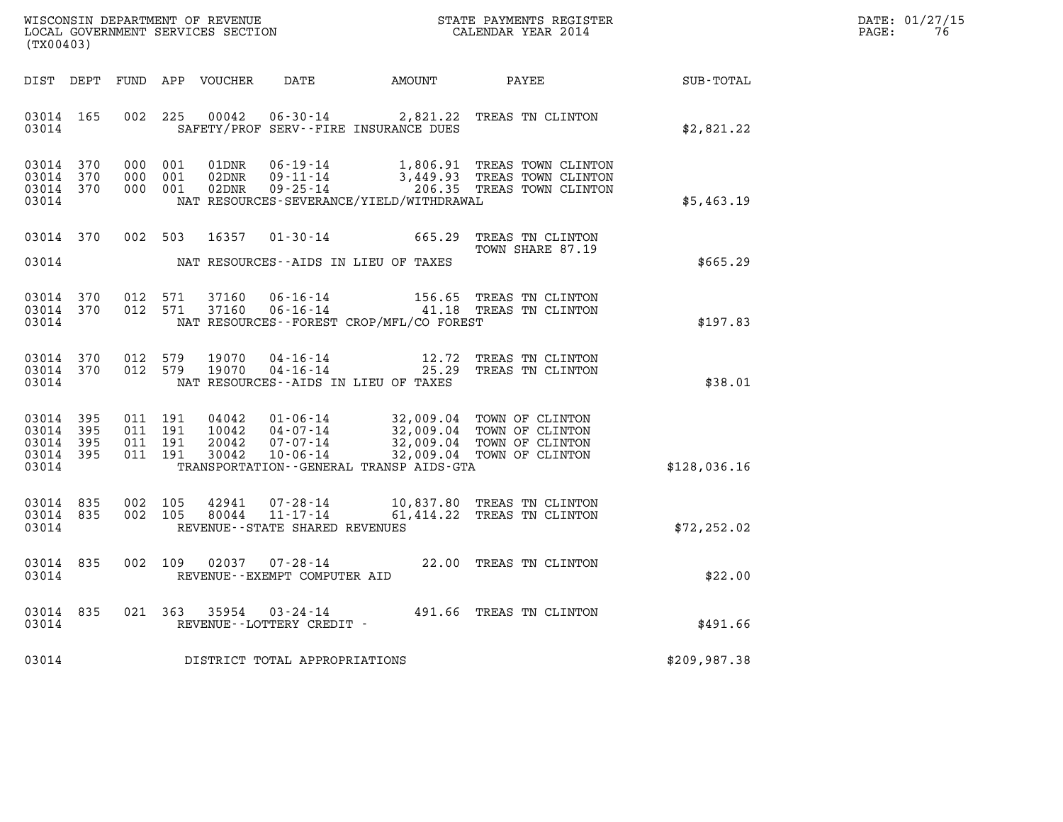| WISCONSIN DEPARTMENT OF REVENUE   | STATE PAYMENTS REGISTER | DATE: 01/27/15 |
|-----------------------------------|-------------------------|----------------|
| LOCAL GOVERNMENT SERVICES SECTION | CALENDAR YEAR 2014      | PAGE:          |

| (TX00403)                                    |                        |                                          |         |                |                                                        |                                              |                                                                                                                                                                              |              | DATE: 01/27/15<br>76<br>$\mathtt{PAGE}$ : |
|----------------------------------------------|------------------------|------------------------------------------|---------|----------------|--------------------------------------------------------|----------------------------------------------|------------------------------------------------------------------------------------------------------------------------------------------------------------------------------|--------------|-------------------------------------------|
|                                              |                        |                                          |         |                |                                                        | DIST DEPT FUND APP VOUCHER DATE AMOUNT PAYEE |                                                                                                                                                                              | SUB-TOTAL    |                                           |
| 03014 165<br>03014                           |                        | 002 225                                  |         | 00042          |                                                        | SAFETY/PROF SERV--FIRE INSURANCE DUES        | 06-30-14 2,821.22 TREAS TN CLINTON                                                                                                                                           | \$2,821.22   |                                           |
| 03014 370<br>03014 370<br>03014 370<br>03014 |                        | 000 001<br>000 001                       | 000 001 |                |                                                        | NAT RESOURCES-SEVERANCE/YIELD/WITHDRAWAL     | 01DNR  06-19-14   1,806.91 TREAS TOWN CLINTON<br>02DNR  09-11-14   3,449.93 TREAS TOWN CLINTON<br>02DNR  09-25-14   206.35 TREAS TOWN CLINTON                                | \$5,463.19   |                                           |
| 03014                                        |                        | 03014 370 002 503                        |         | 16357          |                                                        | NAT RESOURCES--AIDS IN LIEU OF TAXES         | 01-30-14 665.29 TREAS TN CLINTON<br>TOWN SHARE 87.19                                                                                                                         | \$665.29     |                                           |
| 03014                                        | 03014 370              | 03014 370 012 571                        |         |                |                                                        | NAT RESOURCES -- FOREST CROP/MFL/CO FOREST   | 012 571 37160 06-16-14 156.65 TREAS TN CLINTON<br>012 571 37160 06-16-14 41.18 TREAS TN CLINTON                                                                              | \$197.83     |                                           |
| 03014                                        | 03014 370              | 03014 370 012 579<br>012 579             |         | 19070<br>19070 |                                                        | NAT RESOURCES--AIDS IN LIEU OF TAXES         | 04-16-14 12.72 TREAS TN CLINTON<br>04-16-14 25.29 TREAS TN CLINTON                                                                                                           | \$38.01      |                                           |
| 03014 395<br>03014 395<br>03014              | 03014 395<br>03014 395 | 011 191<br>011 191<br>011 191<br>011 191 |         |                |                                                        | TRANSPORTATION - - GENERAL TRANSP AIDS - GTA | 04042 01-06-14 32,009.04 TOWN OF CLINTON<br>10042 04-07-14 32,009.04 TOWN OF CLINTON<br>20042 07-07-14 32,009.04 TOWN OF CLINTON<br>30042 10-06-14 32,009.04 TOWN OF CLINTON | \$128,036.16 |                                           |
| 03014                                        | 03014 835              | 03014 835 002 105<br>002 105             |         | 42941<br>80044 | REVENUE - - STATE SHARED REVENUES                      |                                              | 07-28-14 10,837.80 TREAS TN CLINTON<br>11-17-14 61,414.22 TREAS TN CLINTON                                                                                                   | \$72, 252.02 |                                           |
| 03014 835<br>03014                           |                        |                                          | 002 109 |                | $02037$ $07 - 28 - 14$<br>REVENUE--EXEMPT COMPUTER AID |                                              | 22.00 TREAS TN CLINTON                                                                                                                                                       | \$22.00      |                                           |
| 03014 835<br>03014                           |                        |                                          |         | 021 363 35954  | REVENUE - - LOTTERY CREDIT -                           |                                              | 03-24-14 491.66 TREAS TN CLINTON                                                                                                                                             | \$491.66     |                                           |
| 03014                                        |                        |                                          |         |                | DISTRICT TOTAL APPROPRIATIONS                          |                                              |                                                                                                                                                                              | \$209,987.38 |                                           |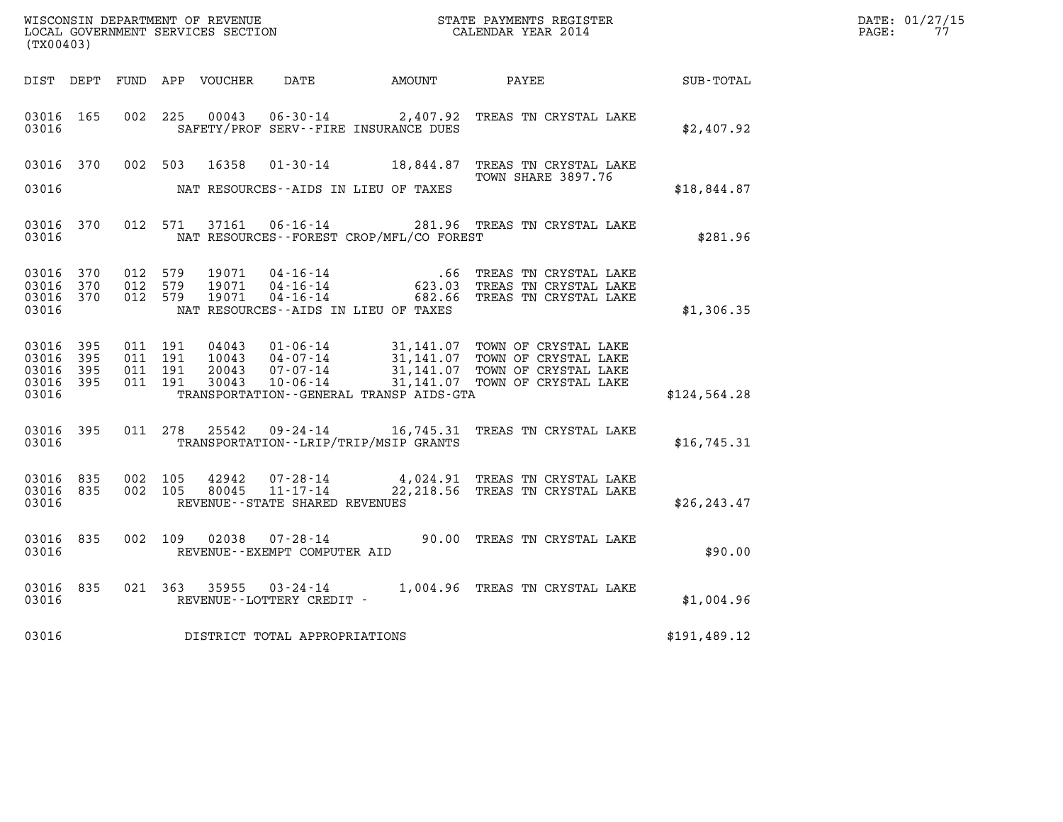| (TX00403)                                         |              |  |                                 |                                              |                                                                                                                                                                  |              | DATE: 01/27/15<br>PAGE: 77 |
|---------------------------------------------------|--------------|--|---------------------------------|----------------------------------------------|------------------------------------------------------------------------------------------------------------------------------------------------------------------|--------------|----------------------------|
|                                                   |              |  |                                 |                                              |                                                                                                                                                                  | SUB-TOTAL    |                            |
| 03016 165<br>03016                                |              |  |                                 | SAFETY/PROF SERV--FIRE INSURANCE DUES        | 002 225 00043 06-30-14 2,407.92 TREAS TN CRYSTAL LAKE                                                                                                            | \$2,407.92   |                            |
|                                                   |              |  |                                 |                                              | 03016 370 002 503 16358 01-30-14 18,844.87 TREAS TN CRYSTAL LAKE<br>TOWN SHARE 3897.76                                                                           |              |                            |
| 03016                                             |              |  |                                 | NAT RESOURCES--AIDS IN LIEU OF TAXES         |                                                                                                                                                                  | \$18,844.87  |                            |
| 03016                                             |              |  |                                 | NAT RESOURCES--FOREST CROP/MFL/CO FOREST     | 03016 370 012 571 37161 06-16-14 281.96 TREAS TN CRYSTAL LAKE                                                                                                    | \$281.96     |                            |
| 03016 370<br>03016 370<br>03016 370<br>03016      |              |  |                                 | NAT RESOURCES--AIDS IN LIEU OF TAXES         | 012 579 19071 04-16-14 .66 TREAS TN CRYSTAL LAKE<br>012 579 19071 04-16-14 .623.03 TREAS TN CRYSTAL LAKE<br>012 579 19071 04-16-14 .682.66 TREAS TN CRYSTAL LAKE | \$1,306.35   |                            |
| 03016 395<br>03016<br>03016<br>03016 395<br>03016 | 395<br>- 395 |  |                                 | TRANSPORTATION--GENERAL TRANSP AIDS-GTA      |                                                                                                                                                                  | \$124,564.28 |                            |
|                                                   |              |  |                                 | 03016 TRANSPORTATION - LRIP/TRIP/MSIP GRANTS | 03016 395 011 278 25542 09-24-14 16,745.31 TREAS TN CRYSTAL LAKE                                                                                                 | \$16,745.31  |                            |
| 03016 835<br>03016                                |              |  | REVENUE--STATE SHARED REVENUES  |                                              | 03016 835 002 105 42942 07-28-14 4,024.91 TREAS TN CRYSTAL LAKE<br>002 105 80045 11-17-14 22, 218.56 TREAS TN CRYSTAL LAKE                                       | \$26,243.47  |                            |
| 03016                                             | 03016 835    |  | REVENUE - - EXEMPT COMPUTER AID |                                              | 002 109 02038 07-28-14 90.00 TREAS TN CRYSTAL LAKE                                                                                                               | \$90.00      |                            |
| 03016                                             |              |  | REVENUE--LOTTERY CREDIT -       |                                              | 03016 835 021 363 35955 03-24-14 1,004.96 TREAS TN CRYSTAL LAKE                                                                                                  | \$1,004.96   |                            |
| 03016                                             |              |  | DISTRICT TOTAL APPROPRIATIONS   |                                              |                                                                                                                                                                  | \$191,489.12 |                            |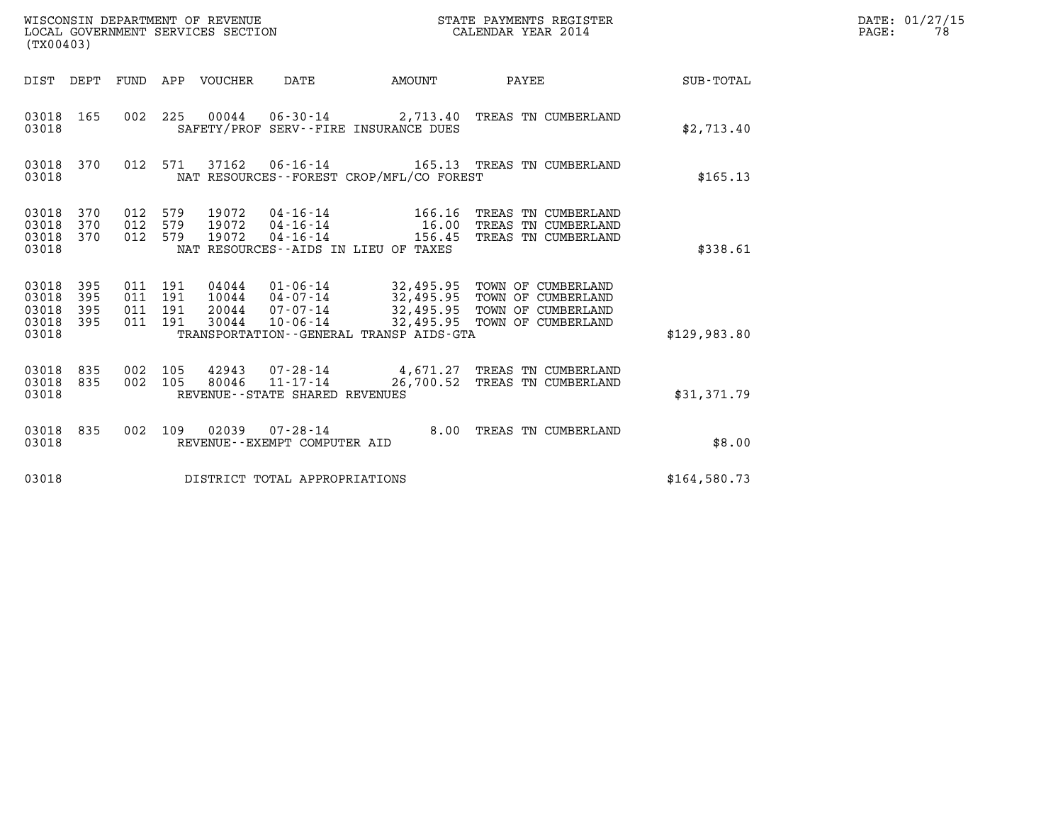| (TX00403)                                     |                   |                                          |            | WISCONSIN DEPARTMENT OF REVENUE<br>LOCAL GOVERNMENT SERVICES SECTION |                                                | STATE PAYMENTS REGISTER<br>CALENDAR YEAR 2014           | DATE: 01/27/15<br>PAGE:<br>78                                                                                                                  |              |  |
|-----------------------------------------------|-------------------|------------------------------------------|------------|----------------------------------------------------------------------|------------------------------------------------|---------------------------------------------------------|------------------------------------------------------------------------------------------------------------------------------------------------|--------------|--|
|                                               |                   |                                          |            | DIST DEPT FUND APP VOUCHER                                           | DATE                                           | AMOUNT                                                  | PAYEE                                                                                                                                          | SUB-TOTAL    |  |
| 03018 165<br>03018                            |                   |                                          |            |                                                                      |                                                | SAFETY/PROF SERV--FIRE INSURANCE DUES                   | 002 225 00044 06-30-14 2,713.40 TREAS TN CUMBERLAND                                                                                            | \$2,713.40   |  |
| 03018 370<br>03018                            |                   |                                          | 012 571    | 37162                                                                |                                                | NAT RESOURCES - - FOREST CROP/MFL/CO FOREST             | 06-16-14 165.13 TREAS TN CUMBERLAND                                                                                                            | \$165.13     |  |
| 03018<br>03018<br>03018<br>03018              | 370<br>370<br>370 | 012<br>012<br>012 579                    | 579<br>579 | 19072<br>19072<br>19072                                              | 04-16-14<br>$04 - 16 - 14$<br>$04 - 16 - 14$   | 166.16<br>16.00<br>NAT RESOURCES--AIDS IN LIEU OF TAXES | TREAS TN CUMBERLAND<br>TREAS TN CUMBERLAND<br>156.45 TREAS TN CUMBERLAND                                                                       | \$338.61     |  |
| 03018<br>03018<br>03018<br>03018 395<br>03018 | 395<br>395<br>395 | 011 191<br>011 191<br>011 191<br>011 191 |            | 20044<br>30044                                                       | $10044$ $04-07-14$<br>07-07-14<br>10-06-14     | TRANSPORTATION--GENERAL TRANSP AIDS-GTA                 | 04044  01-06-14  32,495.95  TOWN OF CUMBERLAND<br>32,495.95 TOWN OF CUMBERLAND<br>32,495.95 TOWN OF CUMBERLAND<br>32,495.95 TOWN OF CUMBERLAND | \$129.983.80 |  |
| 03018 835<br>03018 835<br>03018               |                   | 002 105<br>002 105                       |            | 80046                                                                | REVENUE - - STATE SHARED REVENUES              |                                                         | 42943 07-28-14 4,671.27 TREAS TN CUMBERLAND<br>11-17-14 26,700.52 TREAS TN CUMBERLAND                                                          | \$31,371.79  |  |
| 03018 835<br>03018                            |                   | 002 109                                  |            | 02039                                                                | $07 - 28 - 14$<br>REVENUE--EXEMPT COMPUTER AID |                                                         | 8.00 TREAS TN CUMBERLAND                                                                                                                       | \$8.00       |  |
| 03018                                         |                   |                                          |            |                                                                      | DISTRICT TOTAL APPROPRIATIONS                  |                                                         |                                                                                                                                                | \$164.580.73 |  |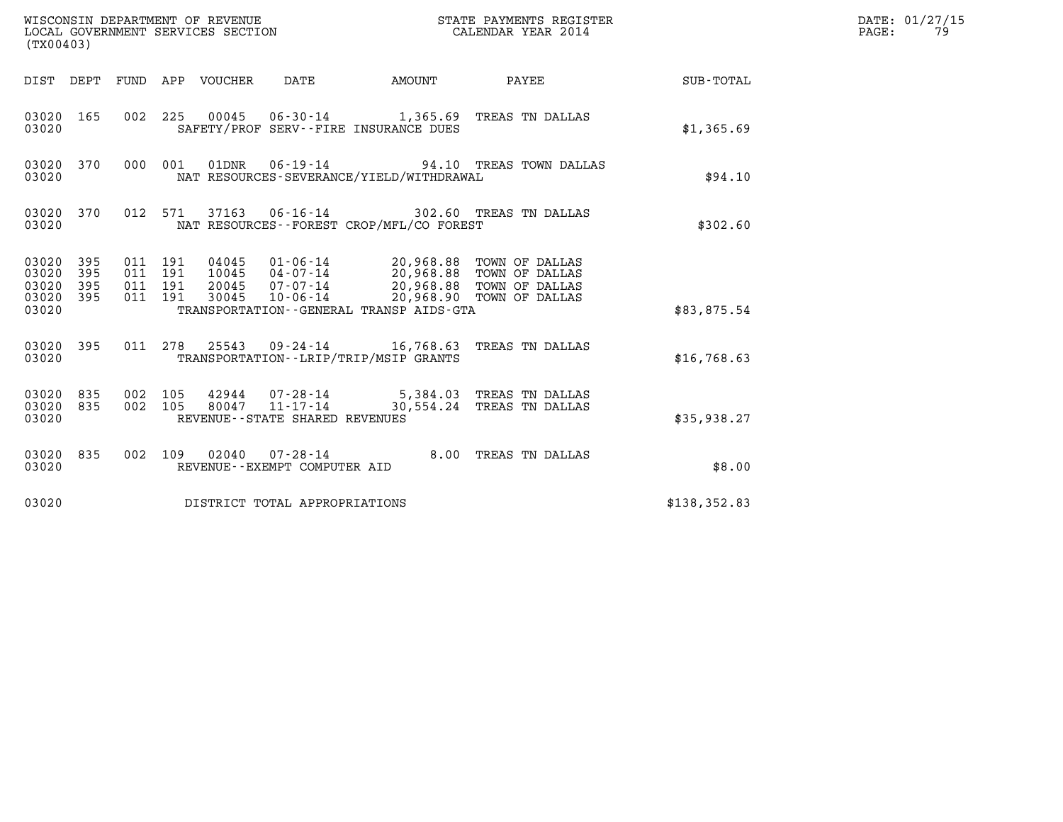| (TX00403)                                 |                          |                                          |         |                                 | WISCONSIN DEPARTMENT OF REVENUE<br>LOCAL GOVERNMENT SERVICES SECTION |                                                                                                          | STATE PAYMENTS REGISTER<br>CALENDAR YEAR 2014                                            |               | DATE: 01/27/15<br>PAGE:<br>79 |
|-------------------------------------------|--------------------------|------------------------------------------|---------|---------------------------------|----------------------------------------------------------------------|----------------------------------------------------------------------------------------------------------|------------------------------------------------------------------------------------------|---------------|-------------------------------|
|                                           |                          |                                          |         | DIST DEPT FUND APP VOUCHER DATE |                                                                      | <b>AMOUNT</b>                                                                                            | PAYEE                                                                                    | SUB-TOTAL     |                               |
| 03020 165<br>03020                        |                          |                                          |         |                                 |                                                                      | SAFETY/PROF SERV--FIRE INSURANCE DUES                                                                    | 002 225 00045 06-30-14 1,365.69 TREAS TN DALLAS                                          | \$1,365.69    |                               |
| 03020 370<br>03020                        |                          |                                          | 000 001 |                                 |                                                                      | NAT RESOURCES-SEVERANCE/YIELD/WITHDRAWAL                                                                 | 01DNR  06-19-14  94.10 TREAS TOWN DALLAS                                                 | \$94.10       |                               |
| 03020 370<br>03020                        |                          |                                          | 012 571 |                                 |                                                                      | NAT RESOURCES - - FOREST CROP/MFL/CO FOREST                                                              | 37163  06-16-14  302.60  TREAS TN DALLAS                                                 | \$302.60      |                               |
| 03020<br>03020<br>03020<br>03020<br>03020 | 395<br>395<br>395<br>395 | 011 191<br>011 191<br>011 191<br>011 191 |         | 20045<br>30045                  | 07-07-14                                                             | 20,968.88 TOWN OF DALLAS<br>10-06-14 20,968.90 TOWN OF DALLAS<br>TRANSPORTATION--GENERAL TRANSP AIDS-GTA | 04045  01-06-14  20,968.88  TOWN OF DALLAS<br>10045  04-07-14  20,968.88  TOWN OF DALLAS | \$83,875.54   |                               |
| 03020 395<br>03020                        |                          |                                          |         |                                 |                                                                      | TRANSPORTATION - - LRIP/TRIP/MSIP GRANTS                                                                 | 011 278 25543 09-24-14 16,768.63 TREAS TN DALLAS                                         | \$16,768.63   |                               |
| 03020 835<br>03020<br>03020               | 835                      | 002 105<br>002 105                       |         | 80047                           | $11 - 17 - 14$<br>REVENUE - - STATE SHARED REVENUES                  |                                                                                                          | 42944 07-28-14 5,384.03 TREAS TN DALLAS<br>30,554.24 TREAS TN DALLAS                     | \$35,938.27   |                               |
| 03020 835<br>03020                        |                          |                                          |         |                                 | 002 109 02040 07-28-14<br>REVENUE--EXEMPT COMPUTER AID               |                                                                                                          | 8.00 TREAS TN DALLAS                                                                     | \$8.00        |                               |
| 03020                                     |                          |                                          |         |                                 | DISTRICT TOTAL APPROPRIATIONS                                        |                                                                                                          |                                                                                          | \$138, 352.83 |                               |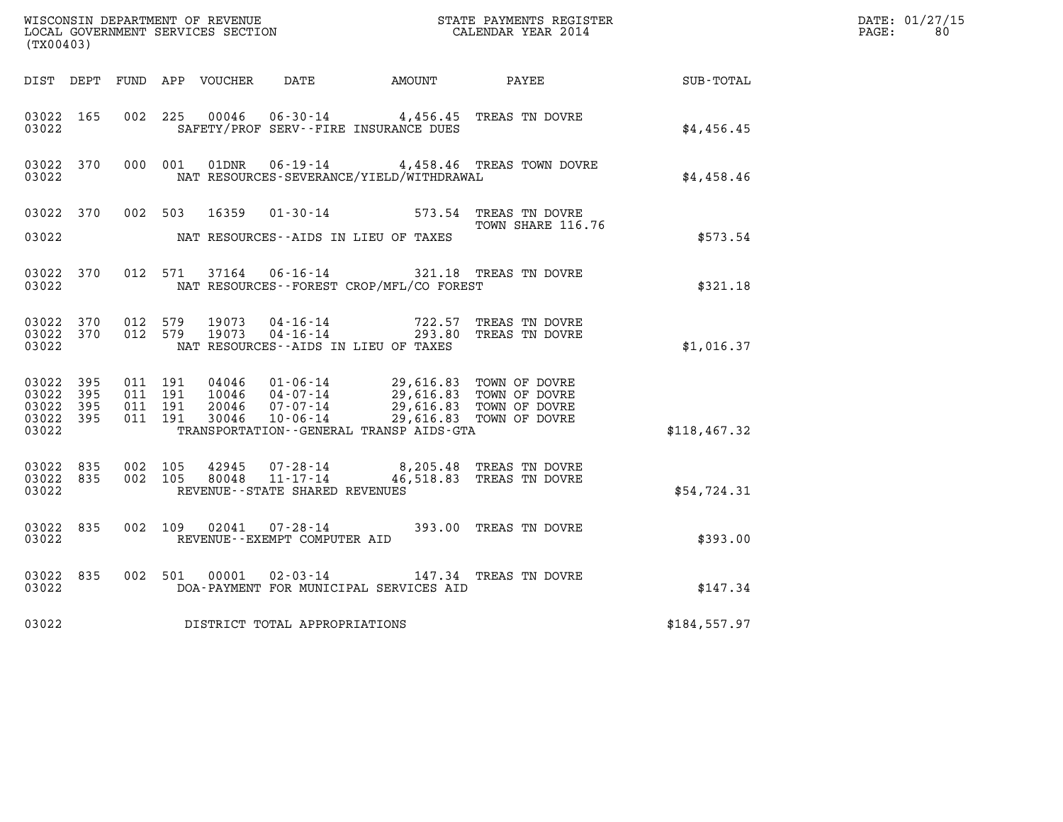| (TX00403)                                                 |                                          |         |                            |                                                                |                                                                                                    | $\tt WISCONSIM DEPARTMENT OF REVENUE$ $\tt WISCONSIMENT$ SERVICES SECTION $\tt CALENDAR YEAR$ 2014 CALENDAR SERVICES SECTION |              | DATE: 01/27/15<br>$\mathtt{PAGE:}$<br>80 |
|-----------------------------------------------------------|------------------------------------------|---------|----------------------------|----------------------------------------------------------------|----------------------------------------------------------------------------------------------------|------------------------------------------------------------------------------------------------------------------------------|--------------|------------------------------------------|
|                                                           |                                          |         | DIST DEPT FUND APP VOUCHER | DATE                                                           | AMOUNT                                                                                             | PAYEE                                                                                                                        | SUB-TOTAL    |                                          |
| 03022 165<br>03022                                        | 002 225                                  |         | 00046                      |                                                                | 06-30-14 4,456.45 TREAS TN DOVRE<br>SAFETY/PROF SERV--FIRE INSURANCE DUES                          |                                                                                                                              | \$4,456.45   |                                          |
| 03022 370<br>03022                                        |                                          | 000 001 | 01DNR                      |                                                                | NAT RESOURCES-SEVERANCE/YIELD/WITHDRAWAL                                                           | 06-19-14 4,458.46 TREAS TOWN DOVRE                                                                                           | \$4,458.46   |                                          |
| 03022 370<br>03022                                        | 002 503                                  |         | 16359                      |                                                                | $01 - 30 - 14$ 573.54<br>NAT RESOURCES--AIDS IN LIEU OF TAXES                                      | TREAS TN DOVRE<br>TOWN SHARE 116.76                                                                                          | \$573.54     |                                          |
| 03022 370<br>03022                                        |                                          | 012 571 | 37164                      |                                                                | 06-16-14 321.18 TREAS TN DOVRE<br>NAT RESOURCES - - FOREST CROP/MFL/CO FOREST                      |                                                                                                                              | \$321.18     |                                          |
| 03022 370<br>03022 370<br>03022                           | 012 579<br>012 579                       |         | 19073<br>19073             | 04-16-14<br>$04 - 16 - 14$                                     | 722.57<br>NAT RESOURCES -- AIDS IN LIEU OF TAXES                                                   | TREAS TN DOVRE<br>293.80 TREAS TN DOVRE                                                                                      | \$1,016.37   |                                          |
| 03022 395<br>03022 395<br>03022 395<br>03022 395<br>03022 | 011 191<br>011 191<br>011 191<br>011 191 |         | 04046<br>20046<br>30046    | $01 - 06 - 14$<br>10046 04-07-14<br>$07 - 07 - 14$<br>10-06-14 | TRANSPORTATION - - GENERAL TRANSP AIDS - GTA                                                       | 29,616.83 TOWN OF DOVRE<br>29,616.83 TOWN OF DOVRE<br>29,616.83 TOWN OF DOVRE<br>29,616.83 TOWN OF DOVRE                     | \$118,467.32 |                                          |
| 03022 835<br>03022 835<br>03022                           | 002 105<br>002 105                       |         |                            | REVENUE - - STATE SHARED REVENUES                              | $42945$ $07 - 28 - 14$ $8,205.48$ TREAS TN DOVRE $80048$ $11 - 17 - 14$ $46,518.83$ TREAS TN DOVRE |                                                                                                                              | \$54,724.31  |                                          |
| 03022 835<br>03022                                        |                                          | 002 109 | 02041                      | $07 - 28 - 14$<br>REVENUE--EXEMPT COMPUTER AID                 |                                                                                                    | 393.00 TREAS TN DOVRE                                                                                                        | \$393.00     |                                          |
| 03022 835<br>03022                                        | 002 501                                  |         | 00001                      | $02 - 03 - 14$                                                 | DOA-PAYMENT FOR MUNICIPAL SERVICES AID                                                             | 147.34 TREAS TN DOVRE                                                                                                        | \$147.34     |                                          |
| 03022                                                     |                                          |         |                            | DISTRICT TOTAL APPROPRIATIONS                                  |                                                                                                    |                                                                                                                              | \$184,557.97 |                                          |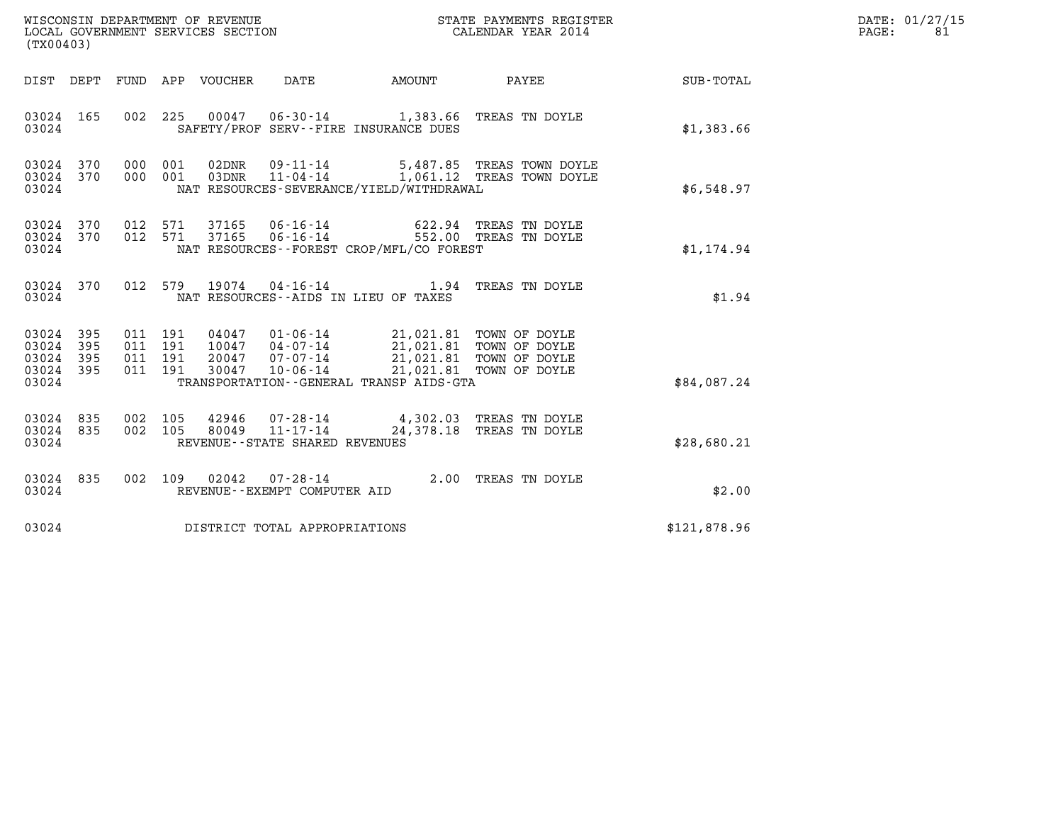| WISCONSIN DEPARTMENT OF REVENUE   | STATE PAYMENTS REGISTER | DATE: 01/27/15 |
|-----------------------------------|-------------------------|----------------|
| LOCAL GOVERNMENT SERVICES SECTION | CALENDAR YEAR 2014      | PAGE:          |

| (TX00403)                                                    |                                                                                                                                                                                                                                                                                                                                                                                        |              | DATE: 01/27/15<br>PAGE:<br>81 |
|--------------------------------------------------------------|----------------------------------------------------------------------------------------------------------------------------------------------------------------------------------------------------------------------------------------------------------------------------------------------------------------------------------------------------------------------------------------|--------------|-------------------------------|
|                                                              | DIST DEPT FUND APP VOUCHER DATE AMOUNT PAYEE SUB-TOTAL                                                                                                                                                                                                                                                                                                                                 |              |                               |
| 03024 165<br>03024                                           | 002 225 00047 06-30-14 1,383.66 TREAS TN DOYLE<br>SAFETY/PROF SERV--FIRE INSURANCE DUES                                                                                                                                                                                                                                                                                                | \$1,383.66   |                               |
| 03024 370<br>03024 370<br>03024                              | 000 001 02DNR 09-11-14 5,487.85 TREAS TOWN DOYLE<br>000 001 03DNR 11-04-14 1,061.12 TREAS TOWN DOYLE<br>NAT RESOURCES-SEVERANCE/YIELD/WITHDRAWAL                                                                                                                                                                                                                                       | \$6,548.97   |                               |
| 03024 370<br>03024 370<br>03024                              | 012 571 37165 06-16-14 622.94 TREAS TN DOYLE<br>012 571 37165 06-16-14 552.00 TREAS TN DOYLE<br>NAT RESOURCES--FOREST CROP/MFL/CO FOREST                                                                                                                                                                                                                                               | \$1,174.94   |                               |
| 03024                                                        | 03024 370 012 579 19074 04-16-14 1.94 TREAS TN DOYLE<br>NAT RESOURCES--AIDS IN LIEU OF TAXES                                                                                                                                                                                                                                                                                           | \$1.94       |                               |
| 03024 395<br>03024<br>395<br>03024 395<br>03024 395<br>03024 | $\begin{array}{cccc} 011 & 191 & 04047 & 01\cdot 06\cdot 14 & 21,021.81 & \text{TOWN OF DoyLE} \\ 011 & 191 & 10047 & 04\cdot 07\cdot 14 & 21,021.81 & \text{TOWN OF DoyLE} \\ 011 & 191 & 20047 & 07\cdot 07\cdot 14 & 21,021.81 & \text{TOWN OF DoyLE} \\ 011 & 191 & 30047 & 10\cdot 06\cdot 14 & 21,021.81 & \text{TOWN OF DoyLE} \end$<br>TRANSPORTATION--GENERAL TRANSP AIDS-GTA | \$84,087.24  |                               |
| 03024 835<br>03024 835<br>03024                              | 002 105 42946 07-28-14 4,302.03 TREAS TN DOYLE<br>002 105 80049 11-17-14 24,378.18 TREAS TN DOYLE<br>REVENUE--STATE SHARED REVENUES                                                                                                                                                                                                                                                    | \$28,680.21  |                               |
| 03024 835<br>03024                                           | 002 109 02042 07-28-14 2.00 TREAS TN DOYLE<br>REVENUE--EXEMPT COMPUTER AID                                                                                                                                                                                                                                                                                                             | \$2.00       |                               |
|                                                              | 03024 DISTRICT TOTAL APPROPRIATIONS                                                                                                                                                                                                                                                                                                                                                    | \$121,878.96 |                               |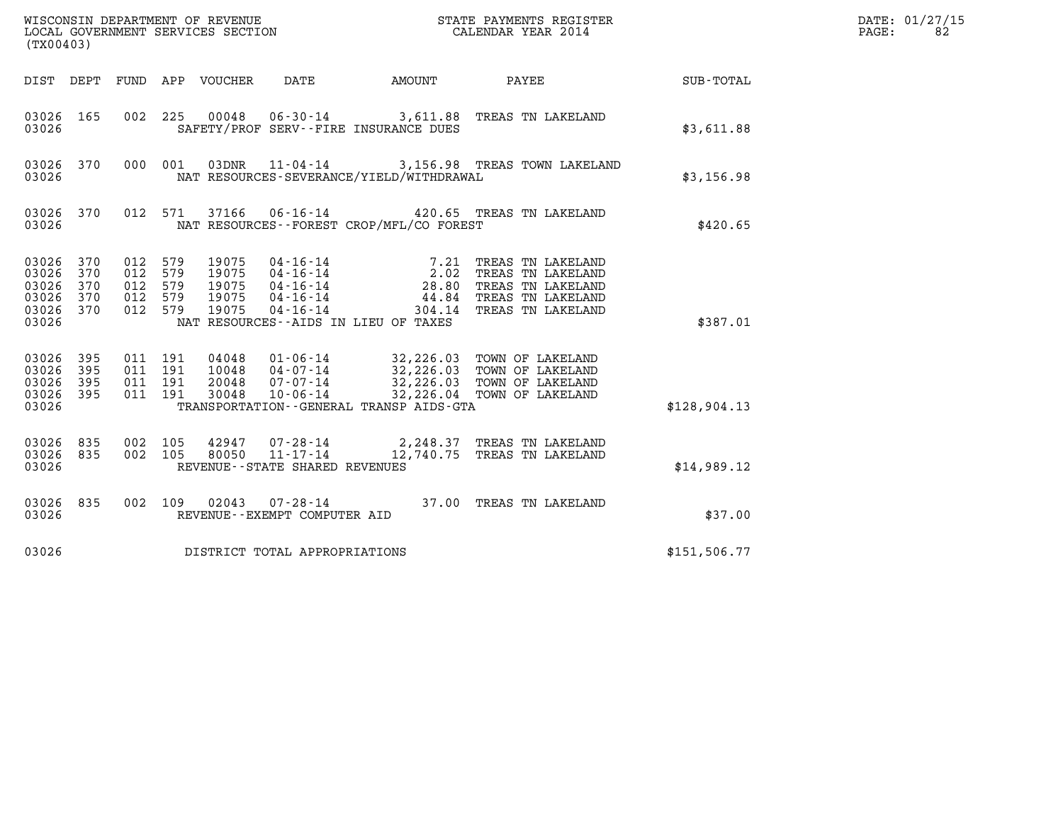| (TX00403)                                              |                          |                                                 |         |                                           |                                   | WISCONSIN DEPARTMENT OF REVENUE<br>LOCAL GOVERNMENT SERVICES SECTION                       | STATE PAYMENTS REGISTER<br>CALENDAR YEAR 2014                                                                                                   |               | DATE: 01/27/15<br>PAGE:<br>82 |
|--------------------------------------------------------|--------------------------|-------------------------------------------------|---------|-------------------------------------------|-----------------------------------|--------------------------------------------------------------------------------------------|-------------------------------------------------------------------------------------------------------------------------------------------------|---------------|-------------------------------|
|                                                        |                          |                                                 |         | DIST DEPT FUND APP VOUCHER                | DATE                              |                                                                                            | AMOUNT PAYEE SUB-TOTAL                                                                                                                          |               |                               |
| 03026 165<br>03026                                     |                          | 002 225                                         |         | 00048                                     |                                   | SAFETY/PROF SERV--FIRE INSURANCE DUES                                                      | 06-30-14 3,611.88 TREAS TN LAKELAND                                                                                                             | \$3,611.88    |                               |
| 03026 370<br>03026                                     |                          |                                                 | 000 001 | 03DNR                                     |                                   | NAT RESOURCES-SEVERANCE/YIELD/WITHDRAWAL                                                   | 11-04-14 3,156.98 TREAS TOWN LAKELAND                                                                                                           | \$3,156.98    |                               |
| 03026 370<br>03026                                     |                          |                                                 | 012 571 | 37166                                     |                                   | NAT RESOURCES - - FOREST CROP/MFL/CO FOREST                                                | 06-16-14 420.65 TREAS TN LAKELAND                                                                                                               | \$420.65      |                               |
| 03026 370<br>03026<br>03026<br>03026<br>03026<br>03026 | 370<br>370<br>370<br>370 | 012 579<br>012<br>012 579<br>012 579<br>012 579 | 579     | 19075<br>19075<br>19075<br>19075<br>19075 | $04 - 16 - 14$<br>$04 - 16 - 14$  | 04-16-14 7.21<br>04-16-14 2.02<br>04-16-14 28.80<br>NAT RESOURCES -- AIDS IN LIEU OF TAXES | 7.21 TREAS TN LAKELAND<br>TREAS TN LAKELAND<br>TREAS TN LAKELAND<br>44.84 TREAS TN LAKELAND<br>304.14 TREAS TN LAKELAND                         | \$387.01      |                               |
| 03026<br>03026<br>03026<br>03026 395<br>03026          | 395<br>395<br>395        | 011 191<br>011 191<br>011 191<br>011 191        |         | 04048<br>10048<br>20048<br>30048          | 10-06-14                          | TRANSPORTATION--GENERAL TRANSP AIDS-GTA                                                    | 01-06-14 32,226.03 TOWN OF LAKELAND<br>04-07-14 32,226.03 TOWN OF LAKELAND<br>07-07-14 32,226.03 TOWN OF LAKELAND<br>32,226.04 TOWN OF LAKELAND | \$128,904.13  |                               |
| 03026 835<br>03026 835<br>03026                        |                          | 002 105<br>002 105                              |         |                                           | REVENUE - - STATE SHARED REVENUES |                                                                                            | $42947$ 07-28-14 2,248.37 TREAS TN LAKELAND<br>80050 11-17-14 12,740.75 TREAS TN LAKELAND                                                       | \$14,989.12   |                               |
| 03026 835<br>03026                                     |                          |                                                 |         |                                           | REVENUE--EXEMPT COMPUTER AID      |                                                                                            | 002 109 02043 07-28-14 37.00 TREAS TN LAKELAND                                                                                                  | \$37.00       |                               |
| 03026                                                  |                          |                                                 |         |                                           | DISTRICT TOTAL APPROPRIATIONS     |                                                                                            |                                                                                                                                                 | \$151, 506.77 |                               |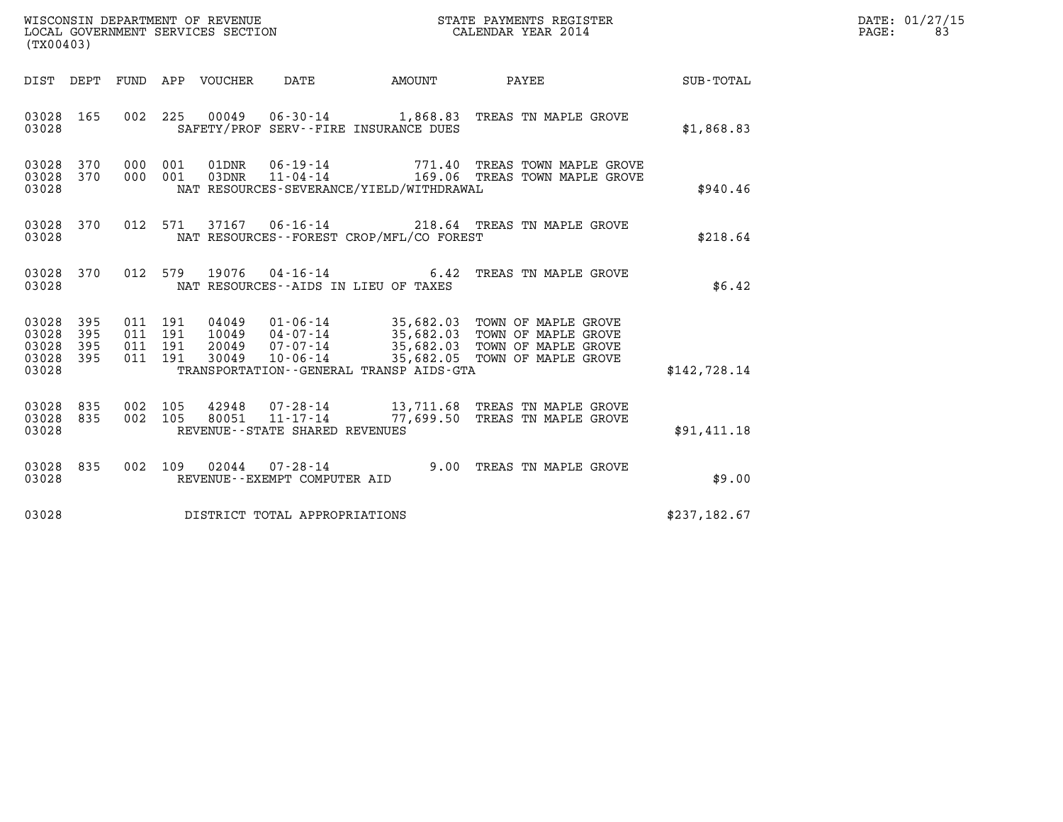| WISCONSIN DEPARTMENT OF REVENUE   | STATE PAYMENTS REGISTER | DATE: 01/27/15 |
|-----------------------------------|-------------------------|----------------|
| LOCAL GOVERNMENT SERVICES SECTION | CALENDAR YEAR 2014      | PAGE:          |

| (TX00403)                                         |            |                                          |                        |                                |                                          |                                                                                                                                                                                                          | $\label{eq:2.1} \frac{1}{\sqrt{2}}\int_{\mathbb{R}^3}\frac{1}{\sqrt{2}}\left(\frac{1}{\sqrt{2}}\right)^2\left(\frac{1}{\sqrt{2}}\right)^2\left(\frac{1}{\sqrt{2}}\right)^2\left(\frac{1}{\sqrt{2}}\right)^2\left(\frac{1}{\sqrt{2}}\right)^2\left(\frac{1}{\sqrt{2}}\right)^2\left(\frac{1}{\sqrt{2}}\right)^2\left(\frac{1}{\sqrt{2}}\right)^2\left(\frac{1}{\sqrt{2}}\right)^2\left(\frac{1}{\sqrt{2}}\right)^2\left(\frac{1}{\sqrt{2}}\right)^2\left(\frac$ | DATE: 01/27/15<br>$\mathtt{PAGE}$ :<br>83 |
|---------------------------------------------------|------------|------------------------------------------|------------------------|--------------------------------|------------------------------------------|----------------------------------------------------------------------------------------------------------------------------------------------------------------------------------------------------------|----------------------------------------------------------------------------------------------------------------------------------------------------------------------------------------------------------------------------------------------------------------------------------------------------------------------------------------------------------------------------------------------------------------------------------------------------------------|-------------------------------------------|
|                                                   |            |                                          |                        |                                | DIST DEPT FUND APP VOUCHER DATE AMOUNT   | <b>PAYEE</b>                                                                                                                                                                                             | SUB-TOTAL                                                                                                                                                                                                                                                                                                                                                                                                                                                      |                                           |
| 03028                                             | 03028 165  |                                          |                        |                                | SAFETY/PROF SERV--FIRE INSURANCE DUES    | 002 225 00049 06-30-14 1,868.83 TREAS TN MAPLE GROVE                                                                                                                                                     | \$1,868.83                                                                                                                                                                                                                                                                                                                                                                                                                                                     |                                           |
| 03028 370<br>03028 370<br>03028                   |            |                                          |                        |                                | NAT RESOURCES-SEVERANCE/YIELD/WITHDRAWAL | $\begin{array}{cccc} 000 & 001 & 01 \text{DNR} & 06-19-14 & & 771.40 & \text{TREAS TOWN MAPLE GROVE} \\ 000 & 001 & 03 \text{DNR} & 11-04-14 & & 169.06 & \text{TREAS TOWN MAPLE GROVE} \end{array}$     | \$940.46                                                                                                                                                                                                                                                                                                                                                                                                                                                       |                                           |
| 03028                                             | 03028 370  |                                          |                        |                                | NAT RESOURCES--FOREST CROP/MFL/CO FOREST | 012 571 37167 06-16-14 218.64 TREAS TN MAPLE GROVE                                                                                                                                                       | \$218.64                                                                                                                                                                                                                                                                                                                                                                                                                                                       |                                           |
| 03028                                             | 03028 370  |                                          |                        |                                | NAT RESOURCES--AIDS IN LIEU OF TAXES     | 012 579 19076 04-16-14 6.42 TREAS TN MAPLE GROVE                                                                                                                                                         | \$6.42                                                                                                                                                                                                                                                                                                                                                                                                                                                         |                                           |
| 03028 395<br>03028<br>03028<br>03028 395<br>03028 | 395<br>395 | 011 191<br>011 191<br>011 191<br>011 191 |                        |                                | TRANSPORTATION--GENERAL TRANSP AIDS-GTA  | 04049  01-06-14  35,682.03  TOWN OF MAPLE GROVE<br>10049  04-07-14  35,682.03  TOWN OF MAPLE GROVE<br>20049  07-07-14  35,682.03  TOWN OF MAPLE GROVE<br>30049  10-06-14  35,682.05  TOWN OF MAPLE GROVE | \$142,728.14                                                                                                                                                                                                                                                                                                                                                                                                                                                   |                                           |
| 03028 835<br>03028 835<br>03028                   |            | 002 105                                  | 002 105 42948<br>80051 | REVENUE--STATE SHARED REVENUES |                                          | 07-28-14 13,711.68 TREAS TN MAPLE GROVE<br>11-17-14 77,699.50 TREAS TN MAPLE GROVE                                                                                                                       | \$91,411.18                                                                                                                                                                                                                                                                                                                                                                                                                                                    |                                           |
| 03028                                             | 03028 835  |                                          |                        | REVENUE--EXEMPT COMPUTER AID   |                                          | 002 109 02044 07-28-14 9.00 TREAS TN MAPLE GROVE                                                                                                                                                         | \$9.00                                                                                                                                                                                                                                                                                                                                                                                                                                                         |                                           |
| 03028                                             |            |                                          |                        | DISTRICT TOTAL APPROPRIATIONS  |                                          |                                                                                                                                                                                                          | \$237,182.67                                                                                                                                                                                                                                                                                                                                                                                                                                                   |                                           |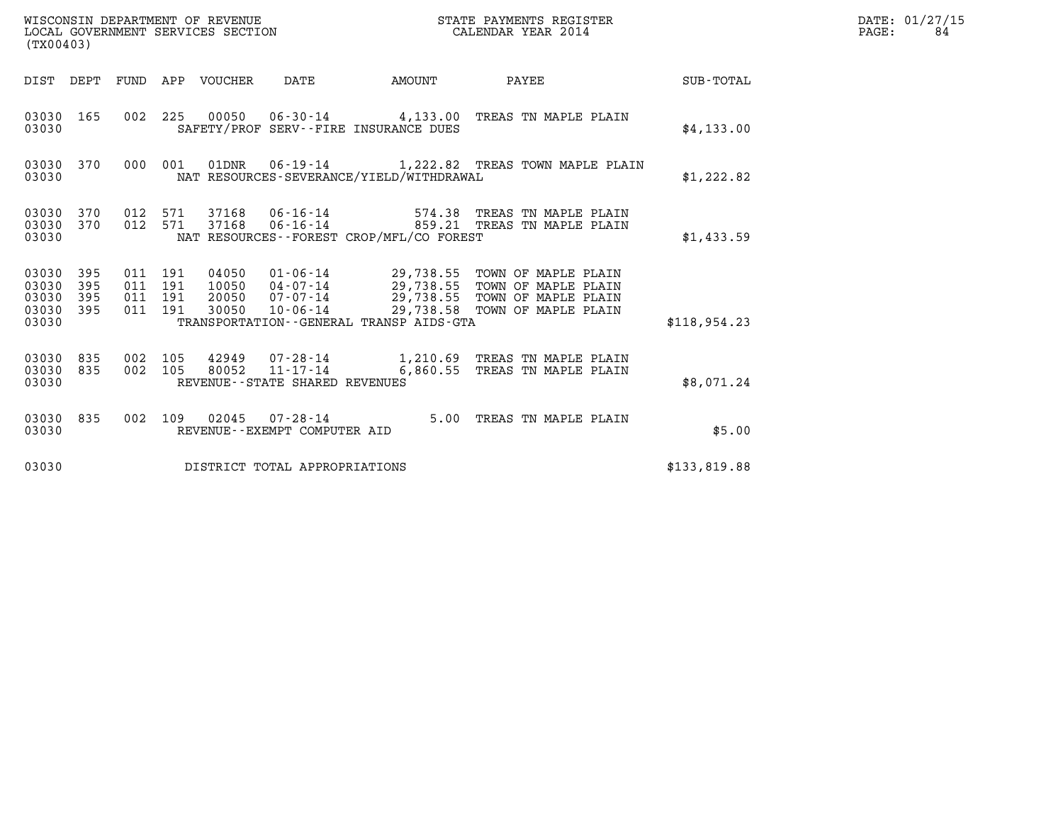| WISCONSIN DEPARTMENT OF REVENUE<br>LOCAL GOVERNMENT SERVICES SECTION<br>(TX00403) | STATE PAYMENTS REGISTER<br>CALENDAR YEAR 2014 | DATE: 01/27/15<br>PAGE: |
|-----------------------------------------------------------------------------------|-----------------------------------------------|-------------------------|

| (TX00403)                                 |                          |                          |                          | WISCONSIN DEPARTMENT OF REVENUE<br>LOCAL GOVERNMENT SERVICES SECTION |                                                                       |                                             | STATE PAYMENTS REGISTER<br>CALENDAR YEAR 2014                                                                                    |                  |
|-------------------------------------------|--------------------------|--------------------------|--------------------------|----------------------------------------------------------------------|-----------------------------------------------------------------------|---------------------------------------------|----------------------------------------------------------------------------------------------------------------------------------|------------------|
| DIST                                      | DEPT                     | FUND                     | APP                      | VOUCHER                                                              | DATE                                                                  | AMOUNT                                      | PAYEE                                                                                                                            | <b>SUB-TOTAL</b> |
| 03030<br>03030                            | 165                      | 002                      | 225                      |                                                                      |                                                                       | SAFETY/PROF SERV--FIRE INSURANCE DUES       | 00050  06-30-14  4,133.00  TREAS TN MAPLE PLAIN                                                                                  | \$4,133.00       |
| 03030<br>03030                            | 370                      | 000                      | 001                      | 01DNR                                                                |                                                                       | NAT RESOURCES-SEVERANCE/YIELD/WITHDRAWAL    | 06-19-14 1,222.82 TREAS TOWN MAPLE PLAIN                                                                                         | \$1,222.82       |
| 03030<br>03030<br>03030                   | 370<br>370               | 012<br>012               | 571<br>571               | 37168<br>37168                                                       | 06-16-14                                                              | NAT RESOURCES - - FOREST CROP/MFL/CO FOREST | 574.38 TREAS TN MAPLE PLAIN<br>06-16-14 6859.21 TREAS TN MAPLE PLAIN                                                             | \$1,433.59       |
| 03030<br>03030<br>03030<br>03030<br>03030 | 395<br>395<br>395<br>395 | 011<br>011<br>011<br>011 | 191<br>191<br>191<br>191 | 04050<br>10050<br>20050<br>30050                                     | $01 - 06 - 14$<br>04-07-14<br>$07 - 07 - 14$<br>10-06-14              | TRANSPORTATION--GENERAL TRANSP AIDS-GTA     | 29,738.55 TOWN OF MAPLE PLAIN<br>29,738.55 TOWN OF MAPLE PLAIN<br>29,738.55 TOWN OF MAPLE PLAIN<br>29,738.58 TOWN OF MAPLE PLAIN | \$118,954.23     |
| 03030<br>03030<br>03030                   | 835<br>835               | 002<br>002               | 105<br>105               | 42949<br>80052                                                       | $07 - 28 - 14$<br>$11 - 17 - 14$<br>REVENUE - - STATE SHARED REVENUES |                                             | 1,210.69 TREAS TN MAPLE PLAIN<br>6,860.55 TREAS TN MAPLE PLAIN                                                                   | \$8,071.24       |
| 03030<br>03030                            | 835                      | 002                      | 109                      | 02045                                                                | $07 - 28 - 14$<br>REVENUE - - EXEMPT COMPUTER AID                     | 5.00                                        | TREAS TN MAPLE PLAIN                                                                                                             | \$5.00           |
| 03030                                     |                          |                          |                          |                                                                      | DISTRICT TOTAL APPROPRIATIONS                                         |                                             |                                                                                                                                  | \$133,819.88     |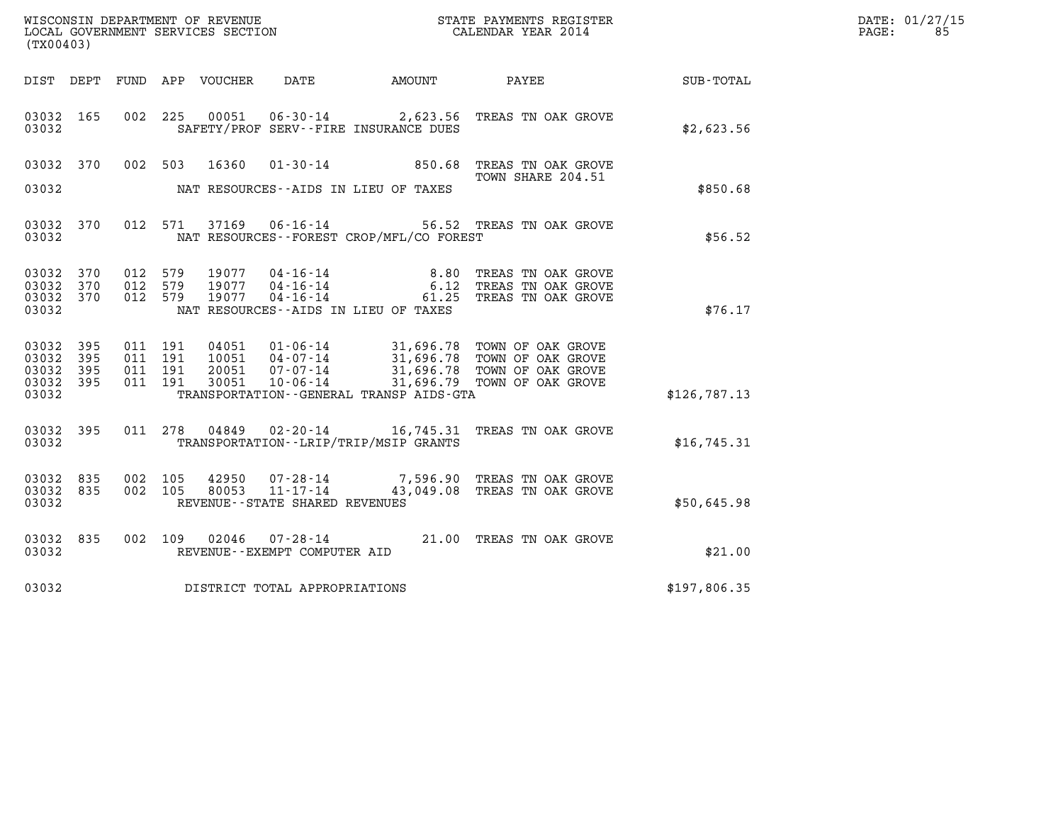| WISCONSIN DEPARTMENT OF REVENUE   | STATE PAYMENTS REGISTER | DATE: 01/27/15 |
|-----------------------------------|-------------------------|----------------|
| LOCAL GOVERNMENT SERVICES SECTION | CALENDAR YEAR 2014      | PAGE:          |

| (TX00403)                           |           |                               |                |                                   |                                              | WISCONSIN DEPARTMENT OF REVENUE<br>LOCAL GOVERNMENT SERVICES SECTION THE STATE PAYMENTS REGISTER<br>(TWOO403)                                                                                |              | DATE: 01/27/15<br>PAGE: 85 |
|-------------------------------------|-----------|-------------------------------|----------------|-----------------------------------|----------------------------------------------|----------------------------------------------------------------------------------------------------------------------------------------------------------------------------------------------|--------------|----------------------------|
|                                     |           |                               |                |                                   |                                              | DIST DEPT FUND APP VOUCHER DATE AMOUNT PAYEE                                                                                                                                                 | SUB-TOTAL    |                            |
| 03032                               | 03032 165 |                               |                |                                   | SAFETY/PROF SERV--FIRE INSURANCE DUES        | 002 225 00051 06-30-14 2,623.56 TREAS TN OAK GROVE                                                                                                                                           | \$2,623.56   |                            |
|                                     |           |                               |                |                                   |                                              | 03032 370 002 503 16360 01-30-14 850.68 TREAS TN OAK GROVE<br>TOWN SHARE 204.51                                                                                                              |              |                            |
| 03032                               |           |                               |                |                                   | NAT RESOURCES--AIDS IN LIEU OF TAXES         |                                                                                                                                                                                              | \$850.68     |                            |
| 03032                               |           |                               |                |                                   | NAT RESOURCES - - FOREST CROP/MFL/CO FOREST  | 03032 370 012 571 37169 06-16-14 56.52 TREAS TN OAK GROVE                                                                                                                                    | \$56.52      |                            |
| 03032 370                           | 03032 370 | 012 579<br>012 579            |                |                                   |                                              | 19077  04-16-14   8.80 TREAS TN OAK GROVE<br>19077  04-16-14   6.12 TREAS TN OAK GROVE<br>19077  04-16-14   61.25 TREAS TN OAK GROVE                                                         |              |                            |
| 03032 370<br>03032                  |           | 012 579                       |                |                                   | NAT RESOURCES--AIDS IN LIEU OF TAXES         |                                                                                                                                                                                              | \$76.17      |                            |
| 03032 395<br>03032 395<br>03032 395 |           | 011 191<br>011 191<br>011 191 |                |                                   |                                              | 04051  01-06-14  31,696.78 TOWN OF OAK GROVE<br>10051  04-07-14  31,696.78 TOWN OF OAK GROVE<br>20051  07-07-14  31,696.78 TOWN OF OAK GROVE<br>30051  10-06-14  31,696.79 TOWN OF OAK GROVE |              |                            |
| 03032                               | 03032 395 | 011 191                       |                |                                   | TRANSPORTATION - - GENERAL TRANSP AIDS - GTA |                                                                                                                                                                                              | \$126,787.13 |                            |
| 03032                               | 03032 395 |                               | 011 278 04849  |                                   | TRANSPORTATION - - LRIP/TRIP/MSIP GRANTS     | 02-20-14 16,745.31 TREAS TN OAK GROVE                                                                                                                                                        | \$16, 745.31 |                            |
| 03032 835<br>03032                  | 03032 835 | 002 105<br>002 105            | 42950<br>80053 | REVENUE - - STATE SHARED REVENUES |                                              | 07-28-14 7,596.90 TREAS TN OAK GROVE<br>11-17-14 43,049.08 TREAS TN OAK GROVE                                                                                                                | \$50,645.98  |                            |
| 03032                               | 03032 835 |                               |                | REVENUE--EXEMPT COMPUTER AID      |                                              | 002 109 02046 07-28-14 21.00 TREAS TN OAK GROVE                                                                                                                                              | \$21.00      |                            |
| 03032                               |           |                               |                | DISTRICT TOTAL APPROPRIATIONS     |                                              |                                                                                                                                                                                              | \$197,806.35 |                            |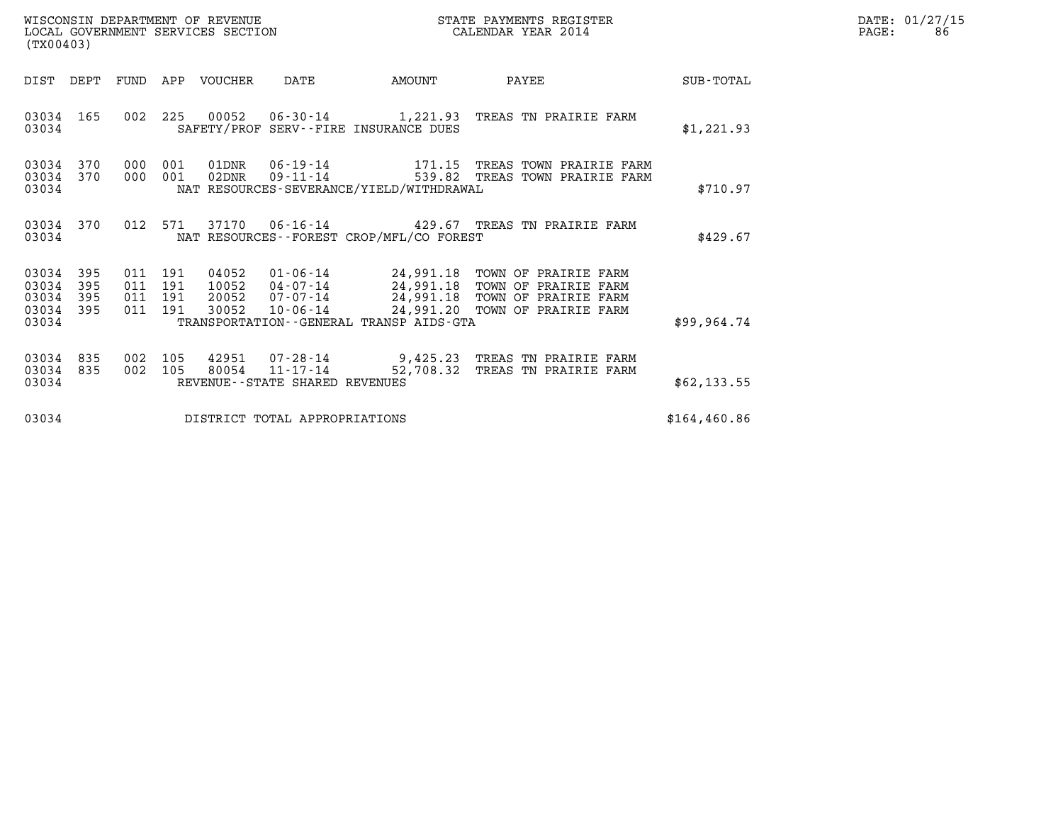|       | DATE: 01/27/15 |
|-------|----------------|
| PAGE: | 86.            |

| (TX00403)                                     |                   |                    |                    | WISCONSIN DEPARTMENT OF REVENUE<br>LOCAL GOVERNMENT SERVICES SECTION |                                   |                                              | STATE PAYMENTS REGISTER<br>CALENDAR YEAR 2014                                                                                                                                     |               | DATE: 01/27/15<br>PAGE:<br>86 |
|-----------------------------------------------|-------------------|--------------------|--------------------|----------------------------------------------------------------------|-----------------------------------|----------------------------------------------|-----------------------------------------------------------------------------------------------------------------------------------------------------------------------------------|---------------|-------------------------------|
| DIST DEPT                                     |                   |                    |                    | FUND APP VOUCHER                                                     | DATE                              | AMOUNT                                       | PAYEE                                                                                                                                                                             | SUB-TOTAL     |                               |
| 03034 165<br>03034                            |                   |                    | 002 225            |                                                                      |                                   | SAFETY/PROF SERV--FIRE INSURANCE DUES        | 00052  06-30-14  1,221.93  TREAS TN PRAIRIE FARM                                                                                                                                  | \$1,221.93    |                               |
| 03034 370<br>03034 370<br>03034               |                   | 000<br>000 001     | 001                | $02$ DNR                                                             |                                   | NAT RESOURCES-SEVERANCE/YIELD/WITHDRAWAL     | $01$ DNR $06 - 19 - 14$ 171.15 TREAS TOWN PRAIRIE FARM<br>09-11-14 539.82 TREAS TOWN PRAIRIE FARM                                                                                 | \$710.97      |                               |
| 03034 370<br>03034                            |                   |                    | 012 571            | 37170                                                                |                                   | NAT RESOURCES - - FOREST CROP/MFL/CO FOREST  | 06-16-14   429.67 TREAS TN PRAIRIE FARM                                                                                                                                           | \$429.67      |                               |
| 03034<br>03034<br>03034<br>03034 395<br>03034 | 395<br>395<br>395 | 011 191<br>011 191 | 011 191<br>011 191 | 04052<br>10052<br>30052                                              |                                   | TRANSPORTATION - - GENERAL TRANSP AIDS - GTA | 01-06-14 24,991.18 TOWN OF PRAIRIE FARM<br>04-07-14 24,991.18 TOWN OF PRAIRIE FARM<br>20052  07-07-14  24,991.18  TOWN OF PRAIRIE FARM<br>10-06-14 24,991.20 TOWN OF PRAIRIE FARM | \$99.964.74   |                               |
| 03034<br>03034<br>03034                       | 835<br>835        | 002<br>002         | 105<br>105         | 42951<br>80054                                                       | REVENUE - - STATE SHARED REVENUES |                                              | 07-28-14 9,425.23 TREAS TN PRAIRIE FARM<br>11-17-14 52,708.32 TREAS TN PRAIRIE FARM                                                                                               | \$62,133.55   |                               |
| 03034                                         |                   |                    |                    |                                                                      | DISTRICT TOTAL APPROPRIATIONS     |                                              |                                                                                                                                                                                   | \$164, 460.86 |                               |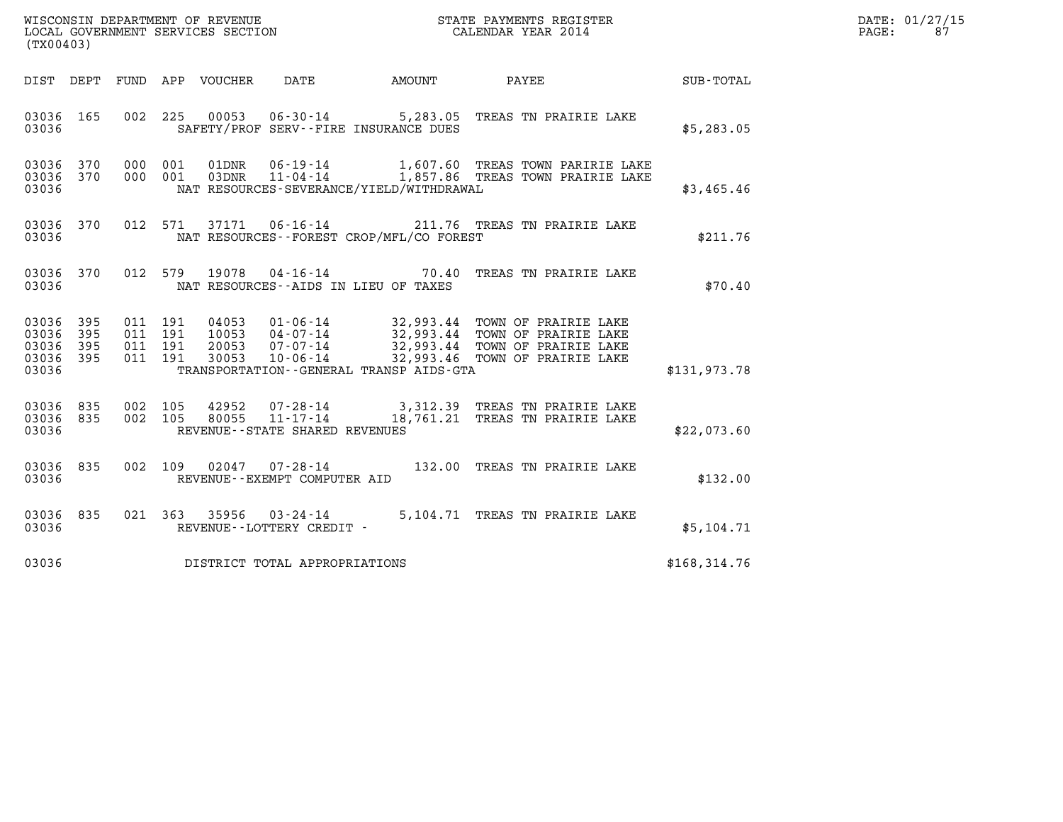|       | DATE: 01/27/15 |
|-------|----------------|
| PAGE: | 87             |

| (TX00403)                                             |     |                                          |                                |                                              | WISCONSIN DEPARTMENT OF REVENUE<br>LOCAL GOVERNMENT SERVICES SECTION<br>(TYOO402)                                                   |               | DATE: 01/27/15<br>$\mathtt{PAGE}$ :<br>87 |
|-------------------------------------------------------|-----|------------------------------------------|--------------------------------|----------------------------------------------|-------------------------------------------------------------------------------------------------------------------------------------|---------------|-------------------------------------------|
|                                                       |     | DIST DEPT FUND APP VOUCHER               | DATE                           |                                              |                                                                                                                                     |               |                                           |
| 03036 165<br>03036                                    |     |                                          |                                | SAFETY/PROF SERV--FIRE INSURANCE DUES        | 002 225 00053 06-30-14 5,283.05 TREAS TN PRAIRIE LAKE                                                                               | \$5,283.05    |                                           |
| 03036                                                 |     |                                          |                                | NAT RESOURCES-SEVERANCE/YIELD/WITHDRAWAL     | 03036 370 000 001 01DNR 06-19-14 1,607.60 TREAS TOWN PARIRIE LAKE 03036 370 000 001 03DNR 11-04-14 1,857.86 TREAS TOWN PRAIRIE LAKE | \$3,465.46    |                                           |
| 03036 370<br>03036                                    |     |                                          |                                | NAT RESOURCES - - FOREST CROP/MFL/CO FOREST  | 012 571 37171 06-16-14 211.76 TREAS TN PRAIRIE LAKE                                                                                 | \$211.76      |                                           |
| 03036 370<br>03036                                    |     |                                          |                                | NAT RESOURCES--AIDS IN LIEU OF TAXES         | 012 579 19078 04-16-14 70.40 TREAS TN PRAIRIE LAKE                                                                                  | \$70.40       |                                           |
| 03036 395<br>03036<br>03036 395<br>03036 395<br>03036 | 395 | 011 191<br>011 191<br>011 191<br>011 191 |                                | TRANSPORTATION - - GENERAL TRANSP AIDS - GTA |                                                                                                                                     | \$131,973.78  |                                           |
| 03036 835<br>03036 835<br>03036                       |     |                                          | REVENUE--STATE SHARED REVENUES |                                              | 002 105 42952 07-28-14 3,312.39 TREAS TN PRAIRIE LAKE<br>002 105 80055 11-17-14 18,761.21 TREAS TN PRAIRIE LAKE                     | \$22,073.60   |                                           |
| 03036 835<br>03036                                    |     |                                          | REVENUE--EXEMPT COMPUTER AID   |                                              | 002 109 02047 07-28-14 132.00 TREAS TN PRAIRIE LAKE                                                                                 | \$132.00      |                                           |
| 03036 835<br>03036                                    |     |                                          | REVENUE--LOTTERY CREDIT -      |                                              | 021 363 35956 03-24-14 5,104.71 TREAS TN PRAIRIE LAKE                                                                               | \$5,104.71    |                                           |
| 03036                                                 |     | DISTRICT TOTAL APPROPRIATIONS            |                                |                                              |                                                                                                                                     | \$168, 314.76 |                                           |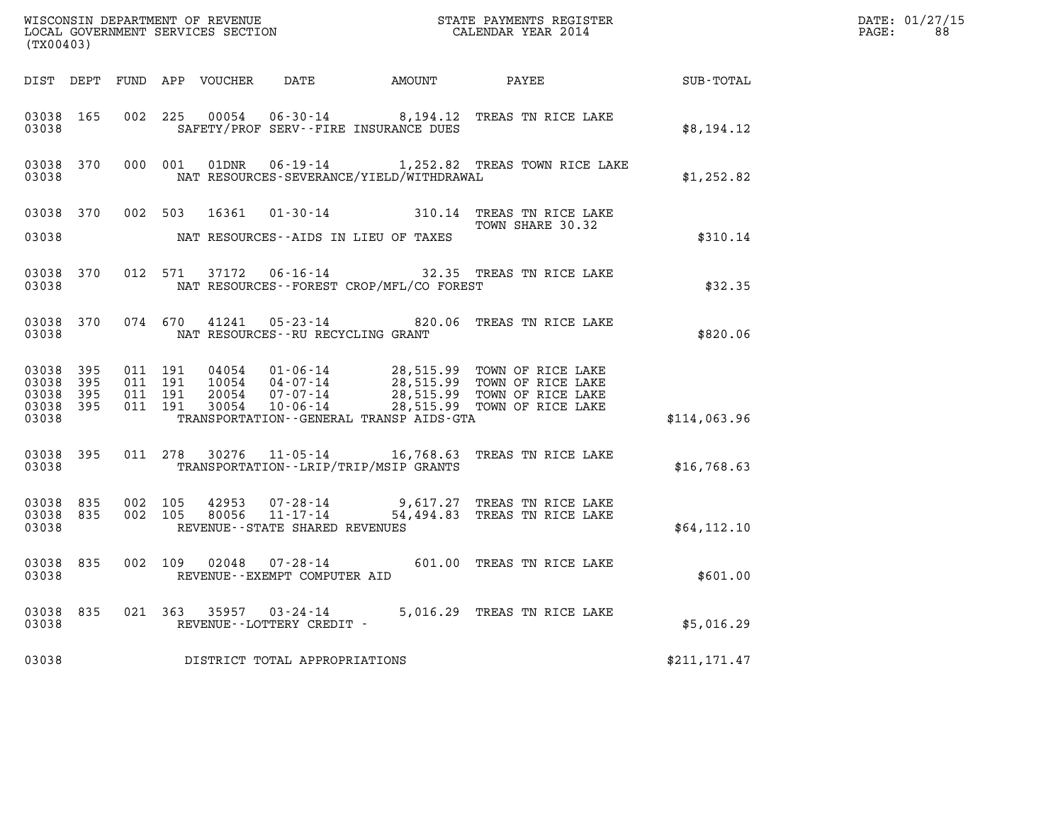| DATE: | 01/27/15 |
|-------|----------|
| PAGE: | 88       |

| (TX00403)                       |           |         |                    |                         |                                   |                                              |                                                                                                                                                                                                              |               | DATE: 01/27/15<br>$\mathtt{PAGE:}$<br>88 |
|---------------------------------|-----------|---------|--------------------|-------------------------|-----------------------------------|----------------------------------------------|--------------------------------------------------------------------------------------------------------------------------------------------------------------------------------------------------------------|---------------|------------------------------------------|
|                                 |           |         |                    |                         |                                   |                                              | DIST DEPT FUND APP VOUCHER DATE AMOUNT PAYEE TOTAL                                                                                                                                                           |               |                                          |
| 03038                           | 03038 165 |         |                    | 002 225 00054           |                                   | SAFETY/PROF SERV--FIRE INSURANCE DUES        | 06-30-14 8,194.12 TREAS TN RICE LAKE                                                                                                                                                                         | \$8,194.12    |                                          |
| 03038                           | 03038 370 |         |                    | 000 001 01DNR           |                                   | NAT RESOURCES-SEVERANCE/YIELD/WITHDRAWAL     | 06-19-14 1,252.82 TREAS TOWN RICE LAKE                                                                                                                                                                       | \$1,252.82    |                                          |
|                                 |           |         |                    |                         |                                   |                                              | 03038 370 002 503 16361 01-30-14 310.14 TREAS TN RICE LAKE<br>TOWN SHARE 30.32                                                                                                                               |               |                                          |
| 03038                           |           |         |                    |                         |                                   | NAT RESOURCES--AIDS IN LIEU OF TAXES         |                                                                                                                                                                                                              | \$310.14      |                                          |
| 03038 370<br>03038              |           |         |                    |                         |                                   | NAT RESOURCES--FOREST CROP/MFL/CO FOREST     | 012 571 37172 06-16-14 32.35 TREAS TN RICE LAKE                                                                                                                                                              | \$32.35       |                                          |
| 03038                           |           |         |                    | 03038 370 074 670 41241 |                                   | NAT RESOURCES--RU RECYCLING GRANT            | 05-23-14 820.06 TREAS TN RICE LAKE                                                                                                                                                                           | \$820.06      |                                          |
| 03038 395<br>03038 395          |           |         | 011 191<br>011 191 |                         |                                   |                                              |                                                                                                                                                                                                              |               |                                          |
| 03038 395<br>03038 395<br>03038 |           |         | 011 191<br>011 191 |                         |                                   | TRANSPORTATION - - GENERAL TRANSP AIDS - GTA | 04054   01-06-14   28,515.99   TOWN OF RICE LAKE<br>10054   04-07-14   28,515.99   TOWN OF RICE LAKE<br>20054   07-07-14   28,515.99   TOWN OF RICE LAKE<br>30054   10-06-14   28,515.99   TOWN OF RICE LAKE | \$114,063.96  |                                          |
| 03038                           | 03038 395 |         |                    |                         |                                   | TRANSPORTATION - - LRIP/TRIP/MSIP GRANTS     | 011 278 30276 11-05-14 16,768.63 TREAS TN RICE LAKE                                                                                                                                                          | \$16,768.63   |                                          |
| 03038 835<br>03038              | 03038 835 | 002 105 | 002 105            | 42953<br>80056          | REVENUE - - STATE SHARED REVENUES |                                              | 07-28-14 9,617.27 TREAS TN RICE LAKE<br>11-17-14 54.494 83 mpmag TV 11-17-14<br>54,494.83 TREAS TN RICE LAKE                                                                                                 | \$64,112.10   |                                          |
| 03038                           | 03038 835 |         |                    |                         | REVENUE--EXEMPT COMPUTER AID      |                                              | 002 109 02048 07-28-14 601.00 TREAS TN RICE LAKE                                                                                                                                                             | \$601.00      |                                          |
| 03038                           | 03038 835 |         |                    |                         | REVENUE--LOTTERY CREDIT -         |                                              | 021 363 35957 03-24-14 5,016.29 TREAS TN RICE LAKE                                                                                                                                                           | \$5,016.29    |                                          |
| 03038                           |           |         |                    |                         | DISTRICT TOTAL APPROPRIATIONS     |                                              |                                                                                                                                                                                                              | \$211, 171.47 |                                          |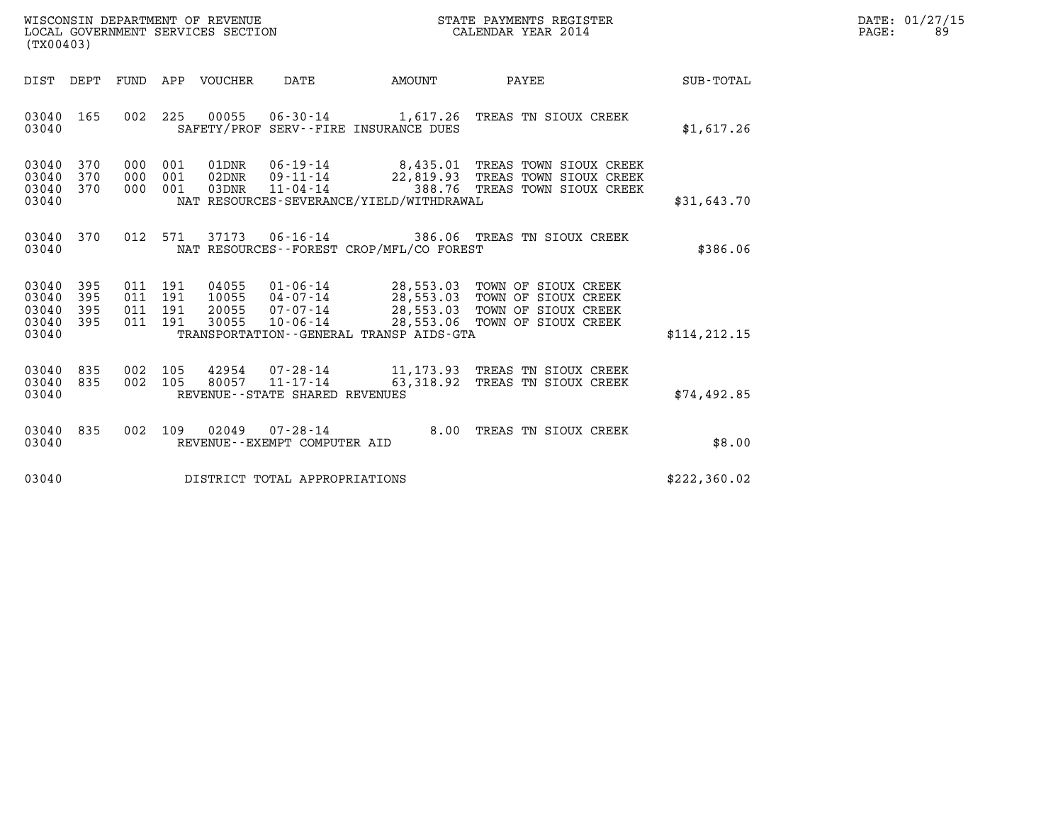| WISCONSIN DEPARTMENT OF REVENUE   | STATE PAYMENTS REGISTER | DATE: 01/27/15 |
|-----------------------------------|-------------------------|----------------|
| LOCAL GOVERNMENT SERVICES SECTION | CALENDAR YEAR 2014      | PAGE:<br>89    |

| WISCONSIN DEPARTMENT OF REVENUE<br>LOCAL GOVERNMENT SERVICES SECTION<br>(TX00403)                                                                                                               | STATE PAYMENTS REGISTER<br>CALENDAR YEAR 2014                                                                                                                        |               | DATE: 01/27/15<br>PAGE:<br>89 |
|-------------------------------------------------------------------------------------------------------------------------------------------------------------------------------------------------|----------------------------------------------------------------------------------------------------------------------------------------------------------------------|---------------|-------------------------------|
| DIST DEPT FUND APP VOUCHER DATE AMOUNT                                                                                                                                                          | <b>PAYEE</b> PAYEE                                                                                                                                                   | SUB-TOTAL     |                               |
| 03040 165<br>03040<br>SAFETY/PROF SERV--FIRE INSURANCE DUES                                                                                                                                     | 002 225 00055 06-30-14 1,617.26 TREAS TN SIOUX CREEK                                                                                                                 | \$1,617.26    |                               |
| 03040 370<br>000 001<br>001<br>02DNR<br>03040 370<br>000<br>03040 370<br>000 001<br>03DNR<br>$11 - 04 - 14$<br>03040<br>NAT RESOURCES-SEVERANCE/YIELD/WITHDRAWAL                                | 01DNR  06-19-14  8,435.01 TREAS TOWN SIOUX CREEK<br>09-11-14 22,819.93 TREAS TOWN SIOUX CREEK<br>388.76 TREAS TOWN SIOUX CREEK                                       | \$31,643.70   |                               |
| 03040 370<br>03040<br>NAT RESOURCES--FOREST CROP/MFL/CO FOREST                                                                                                                                  | 012 571 37173 06-16-14 386.06 TREAS TN SIOUX CREEK                                                                                                                   | \$386.06      |                               |
| 03040 395<br>011 191<br>04055<br>03040 395<br>011<br>191<br>10055<br>03040 395<br>011<br>191<br>20055<br>03040 395<br>011 191<br>30055<br>03040<br>TRANSPORTATION - - GENERAL TRANSP AIDS - GTA | 01-06-14 28,553.03 TOWN OF SIOUX CREEK<br>04-07-14 28,553.03 TOWN OF SIOUX CREEK<br>07-07-14 28,553.03 TOWN OF SIOUX CREEK<br>10-06-14 28,553.06 TOWN OF SIOUX CREEK | \$114, 212.15 |                               |
| 03040 835<br>002 105<br>03040 835<br>03040<br>REVENUE - - STATE SHARED REVENUES                                                                                                                 | 42954 07-28-14 11,173.93 TREAS TN SIOUX CREEK<br>002 105 80057 11-17-14 63,318.92 TREAS TN SIOUX CREEK                                                               | \$74,492.85   |                               |
| 03040 835<br>03040<br>REVENUE--EXEMPT COMPUTER AID                                                                                                                                              | 002 109 02049 07-28-14 8.00 TREAS TN SIOUX CREEK                                                                                                                     | \$8.00        |                               |
| 03040 DISTRICT TOTAL APPROPRIATIONS                                                                                                                                                             |                                                                                                                                                                      | \$222,360.02  |                               |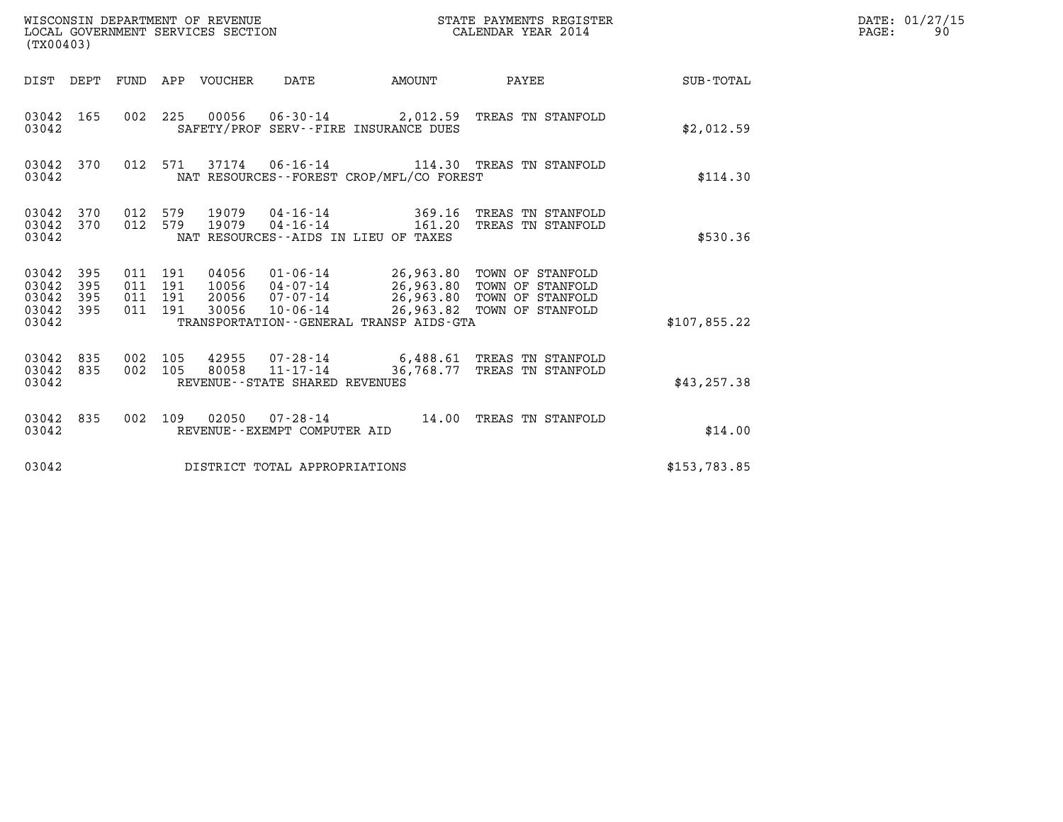| (TX00403)                                     |                   |                                      |     | WISCONSIN DEPARTMENT OF REVENUE<br>LOCAL GOVERNMENT SERVICES SECTION |                                |                                                | STATE PAYMENTS REGISTER<br>CALENDAR YEAR 2014                                                                                                   |              | DATE: 01/27/15<br>PAGE:<br>90 |
|-----------------------------------------------|-------------------|--------------------------------------|-----|----------------------------------------------------------------------|--------------------------------|------------------------------------------------|-------------------------------------------------------------------------------------------------------------------------------------------------|--------------|-------------------------------|
|                                               |                   |                                      |     | DIST DEPT FUND APP VOUCHER                                           | DATE                           | AMOUNT                                         | <b>PAYEE</b> FOR THE PAYEE                                                                                                                      | SUB-TOTAL    |                               |
| 03042 165<br>03042                            |                   |                                      |     |                                                                      |                                | SAFETY/PROF SERV--FIRE INSURANCE DUES          | 002 225 00056 06-30-14 2,012.59 TREAS TN STANFOLD                                                                                               | \$2,012.59   |                               |
| 03042 370<br>03042                            |                   |                                      |     |                                                                      |                                | NAT RESOURCES -- FOREST CROP/MFL/CO FOREST     | 012 571 37174 06-16-14 114.30 TREAS TN STANFOLD                                                                                                 | \$114.30     |                               |
| 03042 370<br>03042 370<br>03042               |                   | 012 579<br>012 579                   |     | 19079<br>19079                                                       | $04 - 16 - 14$                 | 369.16<br>NAT RESOURCES--AIDS IN LIEU OF TAXES | TREAS TN STANFOLD<br>04-16-14 161.20 TREAS TN STANFOLD                                                                                          | \$530.36     |                               |
| 03042 395<br>03042<br>03042<br>03042<br>03042 | 395<br>395<br>395 | 011 191<br>011 191<br>011<br>011 191 | 191 | 04056<br>20056<br>30056                                              | 07-07-14<br>10-06-14           | TRANSPORTATION--GENERAL TRANSP AIDS-GTA        | 01-06-14 26,963.80 TOWN OF STANFOLD<br>10056  04-07-14  26,963.80  TOWN OF STANFOLD<br>26,963.80 TOWN OF STANFOLD<br>26,963.82 TOWN OF STANFOLD | \$107,855.22 |                               |
| 03042<br>03042 835<br>03042                   | 835               | 002 105<br>002 105                   |     | 80058                                                                | REVENUE--STATE SHARED REVENUES |                                                | 42955 07-28-14 6,488.61 TREAS TN STANFOLD<br>11-17-14 36,768.77 TREAS TN STANFOLD                                                               | \$43, 257.38 |                               |
| 03042 835<br>03042                            |                   | 002 109                              |     | 02050                                                                | REVENUE--EXEMPT COMPUTER AID   |                                                |                                                                                                                                                 | \$14.00      |                               |
| 03042                                         |                   |                                      |     |                                                                      | DISTRICT TOTAL APPROPRIATIONS  |                                                |                                                                                                                                                 | \$153,783.85 |                               |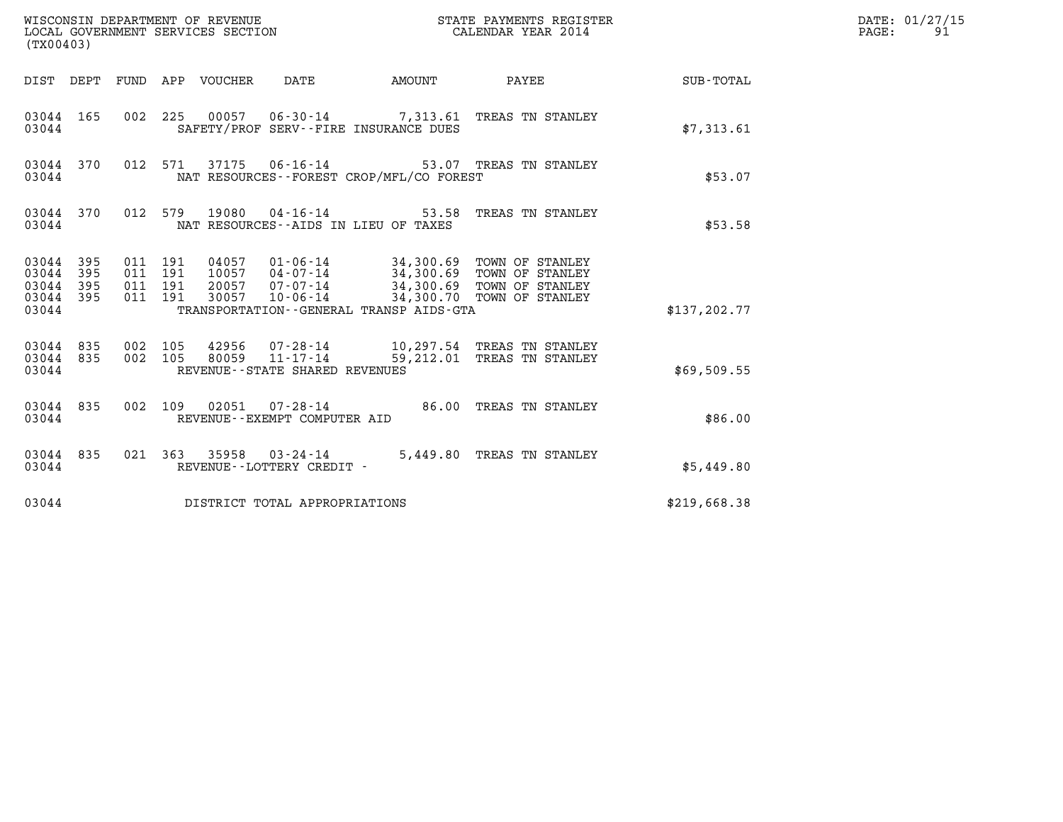| (TX00403)                                                       |                                          |  |                                          | STATE PAYMENTS REGISTER                                                                                                                                                                  |               | DATE: 01/27/15<br>$\mathtt{PAGE:}$<br>91 |
|-----------------------------------------------------------------|------------------------------------------|--|------------------------------------------|------------------------------------------------------------------------------------------------------------------------------------------------------------------------------------------|---------------|------------------------------------------|
| DIST DEPT FUND APP VOUCHER DATE                                 |                                          |  |                                          |                                                                                                                                                                                          |               |                                          |
| 03044 165<br>03044                                              |                                          |  | SAFETY/PROF SERV--FIRE INSURANCE DUES    | 002 225 00057 06-30-14 7,313.61 TREAS TN STANLEY                                                                                                                                         | \$7,313.61    |                                          |
| 03044 370<br>03044                                              |                                          |  | NAT RESOURCES--FOREST CROP/MFL/CO FOREST | 012 571 37175 06-16-14 53.07 TREAS TN STANLEY                                                                                                                                            | \$53.07       |                                          |
| 03044 370<br>03044                                              |                                          |  | NAT RESOURCES--AIDS IN LIEU OF TAXES     | 012 579 19080 04-16-14 53.58 TREAS TN STANLEY                                                                                                                                            | \$53.58       |                                          |
| 03044 395<br>03044<br>395<br>03044<br>395<br>03044 395<br>03044 | 011 191<br>011 191<br>011 191<br>011 191 |  | TRANSPORTATION--GENERAL TRANSP AIDS-GTA  | 04057  01-06-14  34,300.69  TOWN OF STANLEY<br>10057  04-07-14  34,300.69  TOWN OF STANLEY<br>20057  07-07-14  34,300.69  TOWN OF STANLEY<br>30057  10-06-14  34,300.70  TOWN OF STANLEY | \$137, 202.77 |                                          |
| 03044 835 002 105<br>03044 835<br>03044                         | 002 105                                  |  | REVENUE - - STATE SHARED REVENUES        | 42956  07-28-14  10,297.54 TREAS TN STANLEY<br>80059  11-17-14  59,212.01 TREAS TN STANLEY                                                                                               | \$69,509.55   |                                          |
| 03044 835<br>03044                                              | 002 109                                  |  | REVENUE--EXEMPT COMPUTER AID             | 02051  07-28-14  86.00 TREAS TN STANLEY                                                                                                                                                  | \$86.00       |                                          |
| 03044 835<br>03044                                              |                                          |  | REVENUE--LOTTERY CREDIT -                | 021 363 35958 03-24-14 5,449.80 TREAS TN STANLEY                                                                                                                                         | \$5,449.80    |                                          |
| 03044                                                           |                                          |  | DISTRICT TOTAL APPROPRIATIONS            |                                                                                                                                                                                          | \$219,668.38  |                                          |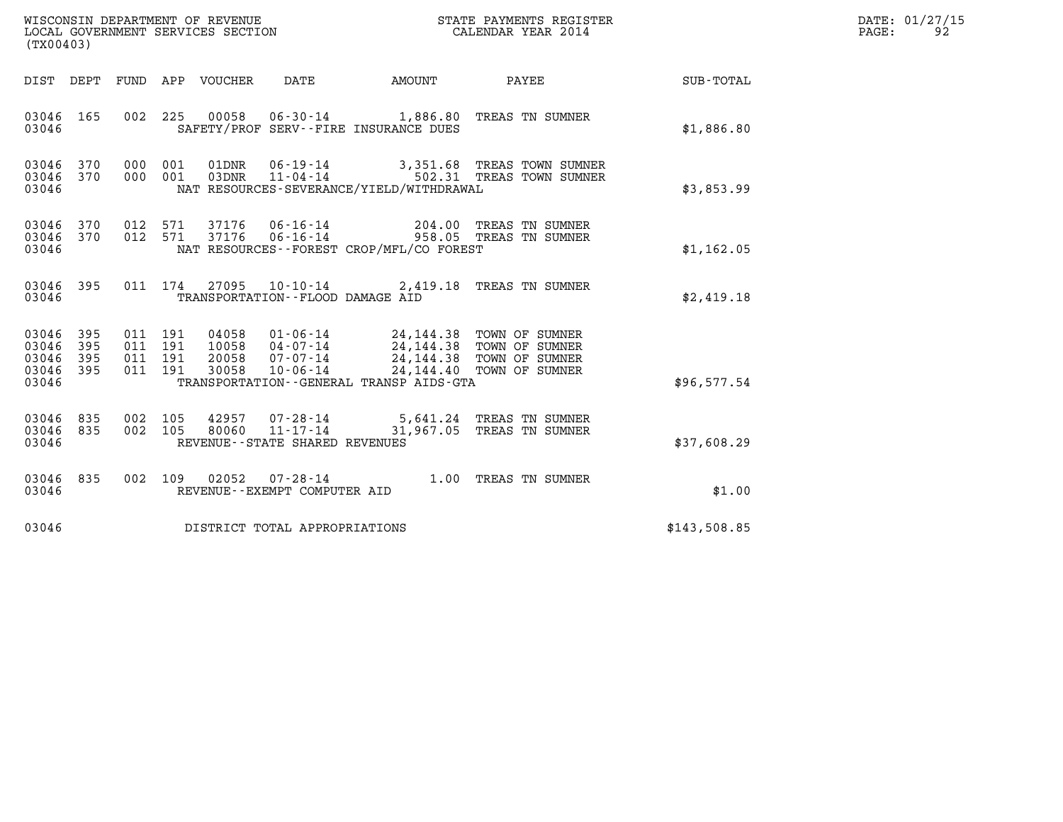| (TX00403)                                 |                          |                                          | WISCONSIN DEPARTMENT OF REVENUE<br>LOCAL GOVERNMENT SERVICES SECTION |                                   |                                             | STATE PAYMENTS REGISTER<br>CALENDAR YEAR 2014                                                                                                                |                  | DATE: 01/27/15<br>$\mathtt{PAGE:}$<br>92 |
|-------------------------------------------|--------------------------|------------------------------------------|----------------------------------------------------------------------|-----------------------------------|---------------------------------------------|--------------------------------------------------------------------------------------------------------------------------------------------------------------|------------------|------------------------------------------|
|                                           |                          |                                          | DIST DEPT FUND APP VOUCHER DATE                                      |                                   | <b>EXAMPLE TO AMOUNT</b>                    | PAYEE                                                                                                                                                        | <b>SUB-TOTAL</b> |                                          |
| 03046 165<br>03046                        |                          |                                          |                                                                      |                                   | SAFETY/PROF SERV--FIRE INSURANCE DUES       | 002  225  00058  06-30-14  1,886.80  TREAS TN SUMNER                                                                                                         | \$1,886.80       |                                          |
| 03046<br>03046<br>03046                   | 370<br>370               | 000 001<br>000 001                       |                                                                      |                                   | NAT RESOURCES-SEVERANCE/YIELD/WITHDRAWAL    | 01DNR  06-19-14  3,351.68 TREAS TOWN SUMNER<br>03DNR  11-04-14  502.31 TREAS TOWN SUMNER                                                                     | \$3,853.99       |                                          |
| 03046<br>03046<br>03046                   | 370<br>370               | 012 571<br>012 571                       |                                                                      |                                   | NAT RESOURCES - - FOREST CROP/MFL/CO FOREST | $37176$ 06-16-14  204.00 TREAS TN SUMNER<br>$37176$ 06-16-14  958.05 TREAS TN SUMNER                                                                         | \$1,162.05       |                                          |
| 03046 395<br>03046                        |                          |                                          |                                                                      | TRANSPORTATION--FLOOD DAMAGE AID  |                                             | 011 174 27095 10-10-14 2,419.18 TREAS TN SUMNER                                                                                                              | \$2,419.18       |                                          |
| 03046<br>03046<br>03046<br>03046<br>03046 | 395<br>395<br>395<br>395 | 011 191<br>011 191<br>011 191<br>011 191 | 30058                                                                | $10 - 06 - 14$                    | TRANSPORTATION--GENERAL TRANSP AIDS-GTA     | 04058 01-06-14 24, 144.38 TOWN OF SUMNER<br>10058 04-07-14 24, 144.38 TOWN OF SUMNER<br>20058 07-07-14 24, 144.38 TOWN OF SUMNER<br>24,144.40 TOWN OF SUMNER | \$96,577.54      |                                          |
| 03046<br>03046<br>03046                   | 835<br>835               | 002 105<br>002 105                       | 80060                                                                | REVENUE - - STATE SHARED REVENUES |                                             | 42957 07-28-14 5,641.24 TREAS TN SUMNER<br>11-17-14 31,967.05 TREAS TN SUMNER                                                                                | \$37,608.29      |                                          |
| 03046 835<br>03046                        |                          |                                          |                                                                      | REVENUE--EXEMPT COMPUTER AID      |                                             | 002 109 02052 07-28-14 1.00 TREAS TN SUMNER                                                                                                                  | \$1.00           |                                          |
| 03046                                     |                          |                                          |                                                                      | DISTRICT TOTAL APPROPRIATIONS     |                                             |                                                                                                                                                              | \$143,508.85     |                                          |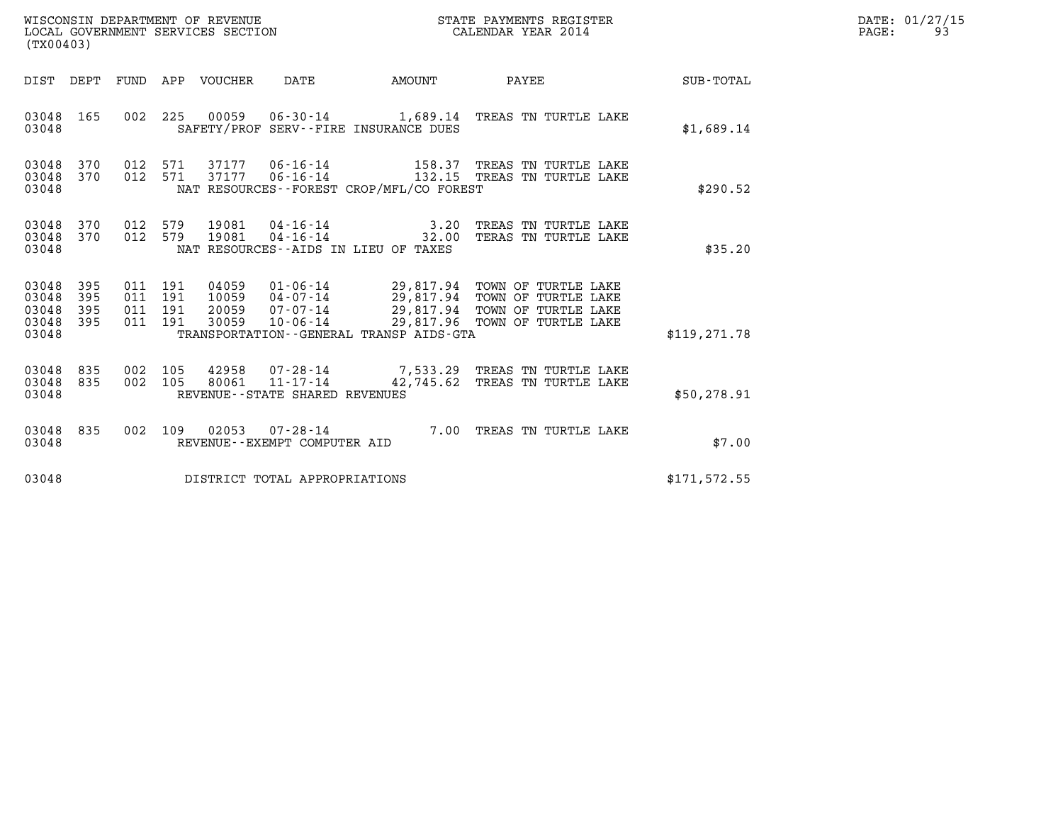| WISCONSIN DEPARTMENT OF REVENUE<br>LOCAL GOVERNMENT SERVICES SECTION<br>(TX00403) |                   |                                          |  |                                  |                                   | STATE PAYMENTS REGISTER<br>CALENDAR YEAR 2014                  | DATE: 01/27/15<br>PAGE:<br>93                                                                                                                      |               |  |
|-----------------------------------------------------------------------------------|-------------------|------------------------------------------|--|----------------------------------|-----------------------------------|----------------------------------------------------------------|----------------------------------------------------------------------------------------------------------------------------------------------------|---------------|--|
|                                                                                   |                   |                                          |  | DIST DEPT FUND APP VOUCHER       | DATE                              | AMOUNT                                                         | PAYEE                                                                                                                                              | SUB-TOTAL     |  |
| 03048 165<br>03048                                                                |                   | 002 225                                  |  | 00059                            |                                   | SAFETY/PROF SERV--FIRE INSURANCE DUES                          | 06-30-14 1,689.14 TREAS TN TURTLE LAKE                                                                                                             | \$1,689.14    |  |
| 03048<br>03048 370<br>03048                                                       | 370               | 012 571<br>012 571                       |  | 37177                            |                                   | NAT RESOURCES - - FOREST CROP/MFL/CO FOREST                    | 158.37 TREAS TN TURTLE LAKE<br>06-16-14 132.15 TREAS TN TURTLE LAKE                                                                                | \$290.52      |  |
| 03048 370<br>03048<br>03048                                                       | 370               | 012 579<br>012 579                       |  | 19081<br>19081                   | $04 - 16 - 14$                    | $04 - 16 - 14$ 3.20<br>NAT RESOURCES - - AIDS IN LIEU OF TAXES | TREAS TN TURTLE LAKE<br>32.00 TERAS TN TURTLE LAKE                                                                                                 | \$35.20       |  |
| 03048<br>03048<br>03048<br>03048 395<br>03048                                     | 395<br>395<br>395 | 011 191<br>011 191<br>011 191<br>011 191 |  | 04059<br>10059<br>20059<br>30059 | 07-07-14<br>10-06-14              | TRANSPORTATION--GENERAL TRANSP AIDS-GTA                        | 01-06-14 29,817.94 TOWN OF TURTLE LAKE<br>04-07-14 29,817.94 TOWN OF TURTLE LAKE<br>29,817.94 TOWN OF TURTLE LAKE<br>29,817.96 TOWN OF TURTLE LAKE | \$119, 271.78 |  |
| 03048 835<br>03048 835<br>03048                                                   |                   | 002 105<br>002 105                       |  | 80061                            | REVENUE - - STATE SHARED REVENUES |                                                                | 42958 07-28-14 7,533.29 TREAS TN TURTLE LAKE<br>11-17-14 42,745.62 TREAS TN TURTLE LAKE                                                            | \$50, 278.91  |  |
| 03048 835<br>03048                                                                |                   | 002 109                                  |  | 02053                            | REVENUE--EXEMPT COMPUTER AID      |                                                                | 07-28-14 7.00 TREAS TN TURTLE LAKE                                                                                                                 | \$7.00        |  |
| 03048                                                                             |                   |                                          |  |                                  | DISTRICT TOTAL APPROPRIATIONS     |                                                                |                                                                                                                                                    | \$171,572.55  |  |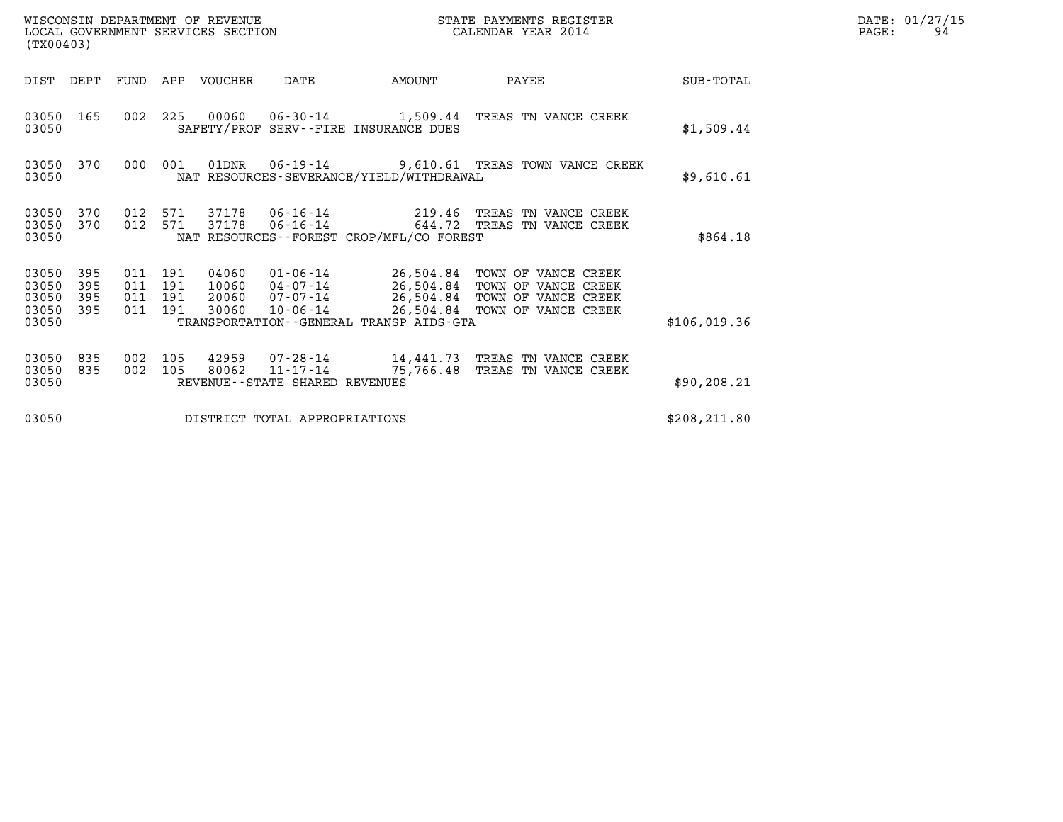| (TX00403)                                 |                          |                                          |     | WISCONSIN DEPARTMENT OF REVENUE<br>LOCAL GOVERNMENT SERVICES SECTION |                                |                                              | STATE PAYMENTS REGISTER<br>CALENDAR YEAR 2014                                                                                                               |               | DATE: 01/27/15<br>PAGE:<br>94 |
|-------------------------------------------|--------------------------|------------------------------------------|-----|----------------------------------------------------------------------|--------------------------------|----------------------------------------------|-------------------------------------------------------------------------------------------------------------------------------------------------------------|---------------|-------------------------------|
|                                           | DIST DEPT                |                                          |     | FUND APP VOUCHER                                                     | DATE                           | AMOUNT                                       | PAYEE                                                                                                                                                       | SUB-TOTAL     |                               |
| 03050 165<br>03050                        |                          |                                          |     |                                                                      |                                | SAFETY/PROF SERV--FIRE INSURANCE DUES        | 002 225 00060 06-30-14 1,509.44 TREAS TN VANCE CREEK                                                                                                        | \$1,509.44    |                               |
| 03050 370<br>03050                        |                          | 000 001                                  |     |                                                                      |                                | NAT RESOURCES-SEVERANCE/YIELD/WITHDRAWAL     | 01DNR  06-19-14  9,610.61 TREAS TOWN VANCE CREEK                                                                                                            | \$9,610.61    |                               |
| 03050<br>03050<br>03050                   | 370<br>370               | 012 571<br>012 571                       |     | 37178                                                                |                                | NAT RESOURCES - - FOREST CROP/MFL/CO FOREST  | 37178  06-16-14  219.46  TREAS TN VANCE CREEK<br>06-16-14 644.72 TREAS TN VANCE CREEK                                                                       | \$864.18      |                               |
| 03050<br>03050<br>03050<br>03050<br>03050 | 395<br>395<br>395<br>395 | 011 191<br>011 191<br>011 191<br>011 191 |     | 04060<br>10060<br>20060<br>30060                                     | 10-06-14                       | TRANSPORTATION - - GENERAL TRANSP AIDS - GTA | 01-06-14 26,504.84 TOWN OF VANCE CREEK<br>04-07-14 26,504.84 TOWN OF VANCE CREEK<br>07-07-14 26,504.84 TOWN OF VANCE CREEK<br>26,504.84 TOWN OF VANCE CREEK | \$106,019.36  |                               |
| 03050<br>03050<br>03050                   | 835<br>835               | 002<br>002 105                           | 105 | 80062                                                                | REVENUE--STATE SHARED REVENUES |                                              | 42959 07-28-14 14,441.73 TREAS TN VANCE CREEK<br>11-17-14 75,766.48 TREAS TN VANCE CREEK                                                                    | \$90,208.21   |                               |
| 03050                                     |                          |                                          |     |                                                                      | DISTRICT TOTAL APPROPRIATIONS  |                                              |                                                                                                                                                             | \$208, 211.80 |                               |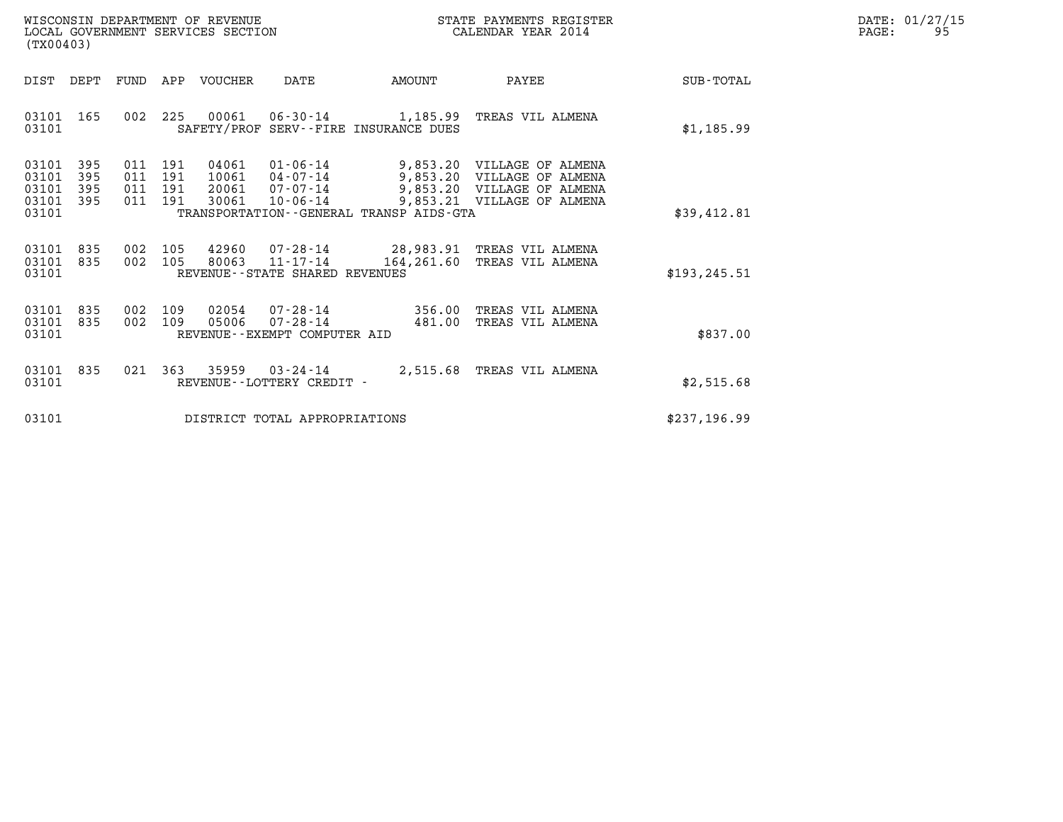| WISCONSIN DEPARTMENT OF REVENUE   | STATE PAYMENTS REGISTER | DATE: 01/27/15 |
|-----------------------------------|-------------------------|----------------|
| LOCAL GOVERNMENT SERVICES SECTION | CALENDAR YEAR 2014      | PAGE:          |

| (TX00403)                                                             |                                                                                          |                                                                                               |                         |                                                                                                                      |               |
|-----------------------------------------------------------------------|------------------------------------------------------------------------------------------|-----------------------------------------------------------------------------------------------|-------------------------|----------------------------------------------------------------------------------------------------------------------|---------------|
| DIST<br>DEPT                                                          | FUND<br>APP<br>VOUCHER                                                                   | <b>DATE</b>                                                                                   | AMOUNT                  | PAYEE                                                                                                                | SUB-TOTAL     |
| 03101<br>165<br>03101                                                 | 002<br>225<br>00061                                                                      | $06 - 30 - 14$<br>SAFETY/PROF SERV--FIRE INSURANCE DUES                                       | 1,185.99                | TREAS VIL ALMENA                                                                                                     | \$1,185.99    |
| 03101<br>395<br>395<br>03101<br>03101<br>395<br>395<br>03101<br>03101 | 191<br>04061<br>011<br>191<br>011<br>10061<br>011<br>191<br>20061<br>191<br>30061<br>011 | $01 - 06 - 14$<br>04-07-14<br>07-07-14<br>10-06-14<br>TRANSPORTATION--GENERAL TRANSP AIDS-GTA |                         | 9,853.20 VILLAGE OF ALMENA<br>9,853.20 VILLAGE OF ALMENA<br>9,853.20 VILLAGE OF ALMENA<br>9,853.21 VILLAGE OF ALMENA | \$39,412.81   |
| 03101<br>835<br>835<br>03101<br>03101                                 | 42960<br>002<br>105<br>105<br>002<br>80063                                               | 07-28-14<br>$11 - 17 - 14$<br>REVENUE--STATE SHARED REVENUES                                  | 28,983.91<br>164,261.60 | TREAS VIL ALMENA<br>TREAS VIL ALMENA                                                                                 | \$193, 245.51 |
| 835<br>03101<br>03101<br>835<br>03101                                 | 109<br>02054<br>002<br>05006<br>002<br>109                                               | 07-28-14<br>$07 - 28 - 14$<br>REVENUE--EXEMPT COMPUTER AID                                    | 356.00<br>481.00        | TREAS VIL ALMENA<br>TREAS VIL ALMENA                                                                                 | \$837.00      |
| 03101<br>835<br>03101                                                 | 021<br>363<br>35959                                                                      | $03 - 24 - 14$<br>REVENUE - - LOTTERY CREDIT -                                                | 2,515.68                | TREAS VIL ALMENA                                                                                                     | \$2,515.68    |
| 03101                                                                 |                                                                                          | DISTRICT TOTAL APPROPRIATIONS                                                                 |                         |                                                                                                                      | \$237,196.99  |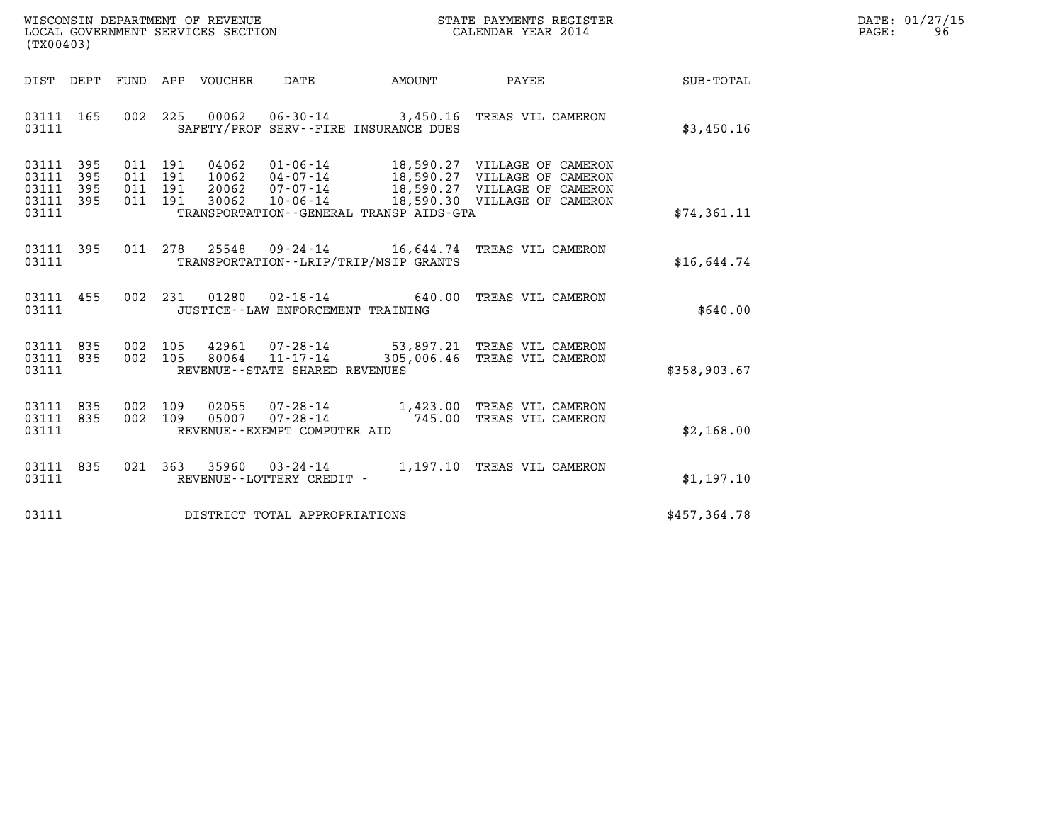| WISCONSIN DEPARTMENT OF REVENUE   | STATE PAYMENTS REGISTER | DATE: 01/27/15 |
|-----------------------------------|-------------------------|----------------|
| LOCAL GOVERNMENT SERVICES SECTION | CALENDAR YEAR 2014      | PAGE:<br>96    |

| (TX00403)                                 |                          |                   |                              |                                  |                                                |                                         |                                                                                                                                       |                  |  |
|-------------------------------------------|--------------------------|-------------------|------------------------------|----------------------------------|------------------------------------------------|-----------------------------------------|---------------------------------------------------------------------------------------------------------------------------------------|------------------|--|
| DIST DEPT                                 |                          | FUND              | APP                          | VOUCHER DATE                     |                                                | <b>AMOUNT</b>                           | <b>PAYEE</b> FOUND THE PAYEE                                                                                                          | <b>SUB-TOTAL</b> |  |
| 03111<br>03111                            | 165                      | 002               | 225                          |                                  |                                                | SAFETY/PROF SERV--FIRE INSURANCE DUES   | 00062  06-30-14  3,450.16  TREAS VIL CAMERON                                                                                          | \$3,450.16       |  |
| 03111<br>03111<br>03111<br>03111<br>03111 | 395<br>395<br>395<br>395 | 011<br>011<br>011 | 011 191<br>191<br>191<br>191 | 04062<br>10062<br>20062<br>30062 | 04 - 07 - 14<br>07 - 07 - 14<br>$10 - 06 - 14$ | TRANSPORTATION--GENERAL TRANSP AIDS-GTA | 01-06-14 18,590.27 VILLAGE OF CAMERON<br>18,590.27 VILLAGE OF CAMERON<br>18,590.27 VILLAGE OF CAMERON<br>18,590.30 VILLAGE OF CAMERON | \$74,361.11      |  |
| 03111<br>03111                            | 395                      |                   | 011 278                      |                                  |                                                | TRANSPORTATION--LRIP/TRIP/MSIP GRANTS   | 25548  09-24-14   16,644.74   TREAS VIL CAMERON                                                                                       | \$16,644.74      |  |
| 03111<br>03111                            | 455                      |                   | 002 231                      |                                  | JUSTICE - - LAW ENFORCEMENT TRAINING           |                                         | TREAS VIL CAMERON                                                                                                                     | \$640.00         |  |
| 03111<br>03111<br>03111                   | 835<br>835               | 002<br>002        | 105<br>105                   |                                  | REVENUE - - STATE SHARED REVENUES              |                                         | 42961  07-28-14  53,897.21 TREAS VIL CAMERON<br>80064 11-17-14 305,006.46 TREAS VIL CAMERON                                           | \$358,903.67     |  |
| 03111<br>03111<br>03111                   | 835<br>835               | 002               | 002 109<br>109               | 05007                            | REVENUE--EXEMPT COMPUTER AID                   |                                         | 02055  07-28-14  1,423.00 TREAS VIL CAMERON<br>07-28-14 745.00 TREAS VIL CAMERON                                                      | \$2,168.00       |  |
| 03111<br>03111                            | 835                      | 021               | 363                          | 35960                            | $03 - 24 - 14$<br>REVENUE--LOTTERY CREDIT -    |                                         | 1,197.10 TREAS VIL CAMERON                                                                                                            | \$1,197.10       |  |
| 03111                                     |                          |                   |                              |                                  | DISTRICT TOTAL APPROPRIATIONS                  |                                         |                                                                                                                                       | \$457,364.78     |  |
|                                           |                          |                   |                              |                                  |                                                |                                         |                                                                                                                                       |                  |  |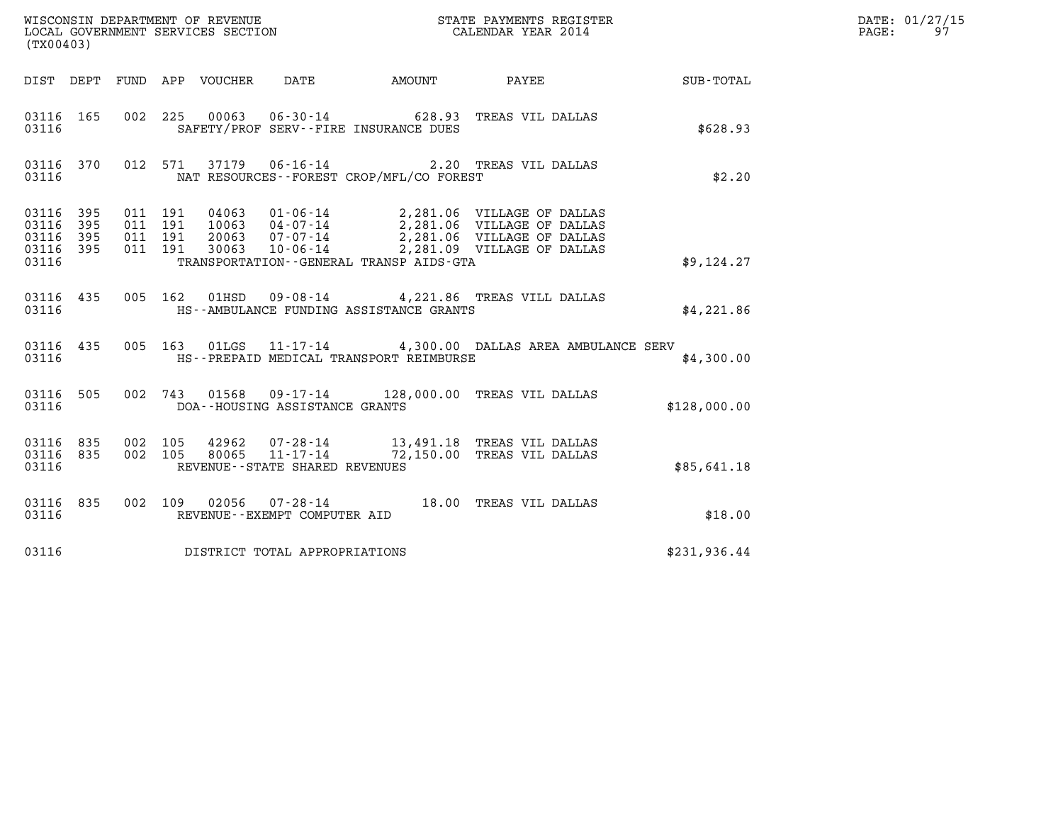| (TX00403)                                             |     |                    |                    |                                 |                                |                                                                                                                                                                                                                             |  |              | DATE: 01/27/15<br>$\mathtt{PAGE:}$<br>97 |
|-------------------------------------------------------|-----|--------------------|--------------------|---------------------------------|--------------------------------|-----------------------------------------------------------------------------------------------------------------------------------------------------------------------------------------------------------------------------|--|--------------|------------------------------------------|
|                                                       |     |                    |                    | DIST DEPT FUND APP VOUCHER DATE |                                | AMOUNT PAYEE SUB-TOTAL                                                                                                                                                                                                      |  |              |                                          |
| 03116 165<br>03116                                    |     |                    |                    |                                 |                                | 002 225 00063 06-30-14 628.93 TREAS VIL DALLAS<br>SAFETY/PROF SERV--FIRE INSURANCE DUES                                                                                                                                     |  | \$628.93     |                                          |
| 03116                                                 |     |                    |                    |                                 |                                | 03116 370 012 571 37179 06-16-14 2.20 TREAS VIL DALLAS<br>NAT RESOURCES -- FOREST CROP/MFL/CO FOREST                                                                                                                        |  | \$2.20       |                                          |
| 03116 395<br>03116<br>03116 395<br>03116 395<br>03116 | 395 | 011 191<br>011 191 | 011 191<br>011 191 |                                 |                                | 04063 01-06-14 2,281.06 VILLAGE OF DALLAS<br>10063 04-07-14 2,281.06 VILLAGE OF DALLAS<br>20063 07-07-14 2,281.06 VILLAGE OF DALLAS<br>30063 10-06-14 2,281.09 VILLAGE OF DALLAS<br>TRANSPORTATION--GENERAL TRANSP AIDS-GTA |  | \$9,124.27   |                                          |
|                                                       |     |                    |                    |                                 |                                | 03116 435 005 162 01HSD 09-08-14 4,221.86 TREAS VILL DALLAS<br>03116 HS--AMBULANCE FUNDING ASSISTANCE GRANTS                                                                                                                |  | \$4,221.86   |                                          |
| 03116                                                 |     |                    |                    |                                 |                                | 03116 435 005 163 01LGS 11-17-14 4,300.00 DALLAS AREA AMBULANCE SERV<br>HS--PREPAID MEDICAL TRANSPORT REIMBURSE                                                                                                             |  | \$4,300.00   |                                          |
| 03116                                                 |     |                    |                    |                                 | DOA--HOUSING ASSISTANCE GRANTS | 03116 505 002 743 01568 09-17-14 128,000.00 TREAS VIL DALLAS                                                                                                                                                                |  | \$128,000.00 |                                          |
| 03116                                                 |     |                    |                    |                                 | REVENUE--STATE SHARED REVENUES | 03116 835 002 105 42962 07-28-14 13,491.18 TREAS VIL DALLAS<br>03116 835 002 105 80065 11-17-14 72,150.00 TREAS VIL DALLAS                                                                                                  |  | \$85,641.18  |                                          |
| 03116                                                 |     |                    |                    |                                 | REVENUE--EXEMPT COMPUTER AID   | 03116 835 002 109 02056 07-28-14 18.00 TREAS VIL DALLAS                                                                                                                                                                     |  | \$18.00      |                                          |
| 03116                                                 |     |                    |                    |                                 | DISTRICT TOTAL APPROPRIATIONS  |                                                                                                                                                                                                                             |  | \$231,936.44 |                                          |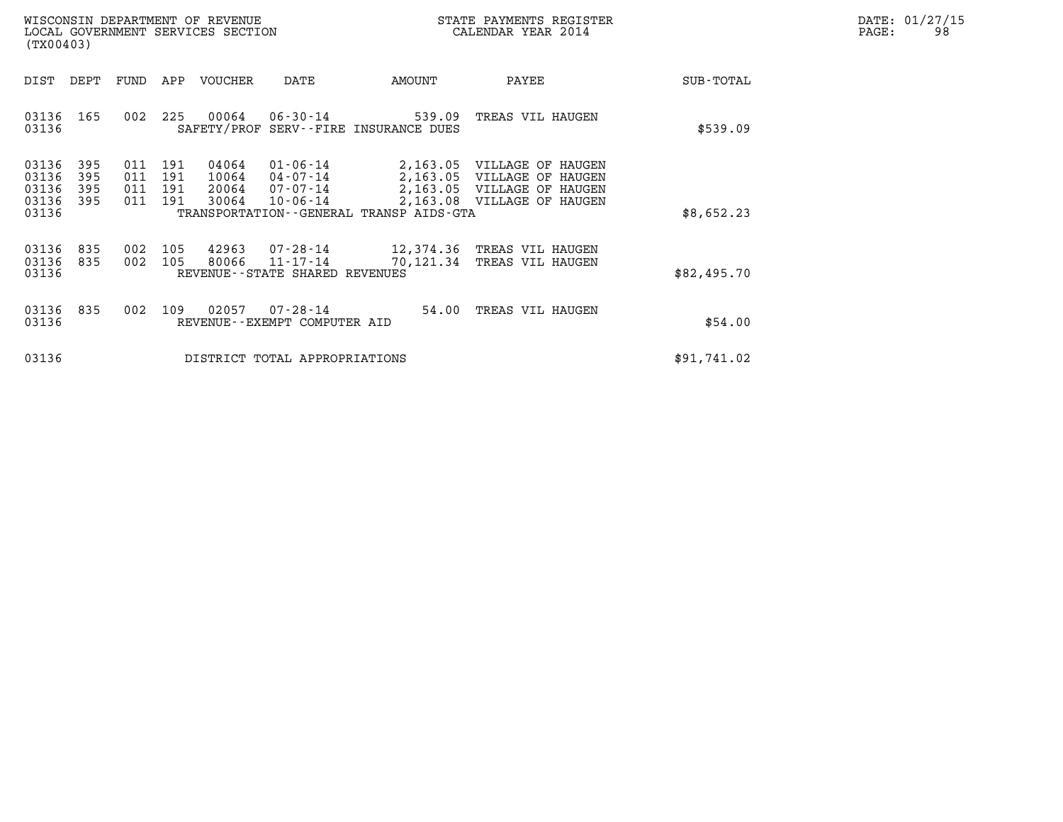|       | DATE: 01/27/15 |
|-------|----------------|
| PAGE: | 98             |

| WISCONSIN DEPARTMENT OF REVENUE<br>LOCAL GOVERNMENT SERVICES SECTION<br>(TX00403)                                             |                                                                                                                                              | STATE PAYMENTS REGISTER<br>CALENDAR YEAR 2014                                                                                      | DATE: 01/27/15<br>98<br>PAGE: |
|-------------------------------------------------------------------------------------------------------------------------------|----------------------------------------------------------------------------------------------------------------------------------------------|------------------------------------------------------------------------------------------------------------------------------------|-------------------------------|
| DEPT<br>DIST<br>FUND<br>APP                                                                                                   | VOUCHER<br>AMOUNT<br>DATE                                                                                                                    | PAYEE<br>SUB-TOTAL                                                                                                                 |                               |
| 03136<br>- 165<br>225<br>002<br>03136                                                                                         | 00064<br>06-30-14<br>539.09<br>SAFETY/PROF SERV--FIRE INSURANCE DUES                                                                         | TREAS VIL HAUGEN<br>\$539.09                                                                                                       |                               |
| 03136<br>395<br>191<br>011<br>03136<br>395<br>011<br>191<br>03136<br>011<br>395<br>191<br>03136<br>395<br>011<br>191<br>03136 | 04064<br>$01 - 06 - 14$<br>10064<br>04-07-14<br>20064<br>07-07-14<br>30064<br>$10 - 06 - 14$<br>TRANSPORTATION - - GENERAL TRANSP AIDS - GTA | 2,163.05 VILLAGE OF HAUGEN<br>2,163.05 VILLAGE OF HAUGEN<br>2,163.05 VILLAGE OF HAUGEN<br>2,163.08 VILLAGE OF HAUGEN<br>\$8,652.23 |                               |
| 03136<br>105<br>835<br>002<br>03136<br>002<br>105<br>835<br>03136                                                             | 42963<br>07-28-14<br>80066<br>11-17-14<br>70,121.34<br>REVENUE--STATE SHARED REVENUES                                                        | 12,374.36 TREAS VIL HAUGEN<br>TREAS VIL HAUGEN<br>\$82,495.70                                                                      |                               |
| 03136<br>835<br>109<br>002<br>03136                                                                                           | 02057<br>$07 - 28 - 14$<br>54.00<br>REVENUE--EXEMPT COMPUTER AID                                                                             | TREAS VIL HAUGEN<br>\$54.00                                                                                                        |                               |
| 03136                                                                                                                         | DISTRICT TOTAL APPROPRIATIONS                                                                                                                | \$91,741.02                                                                                                                        |                               |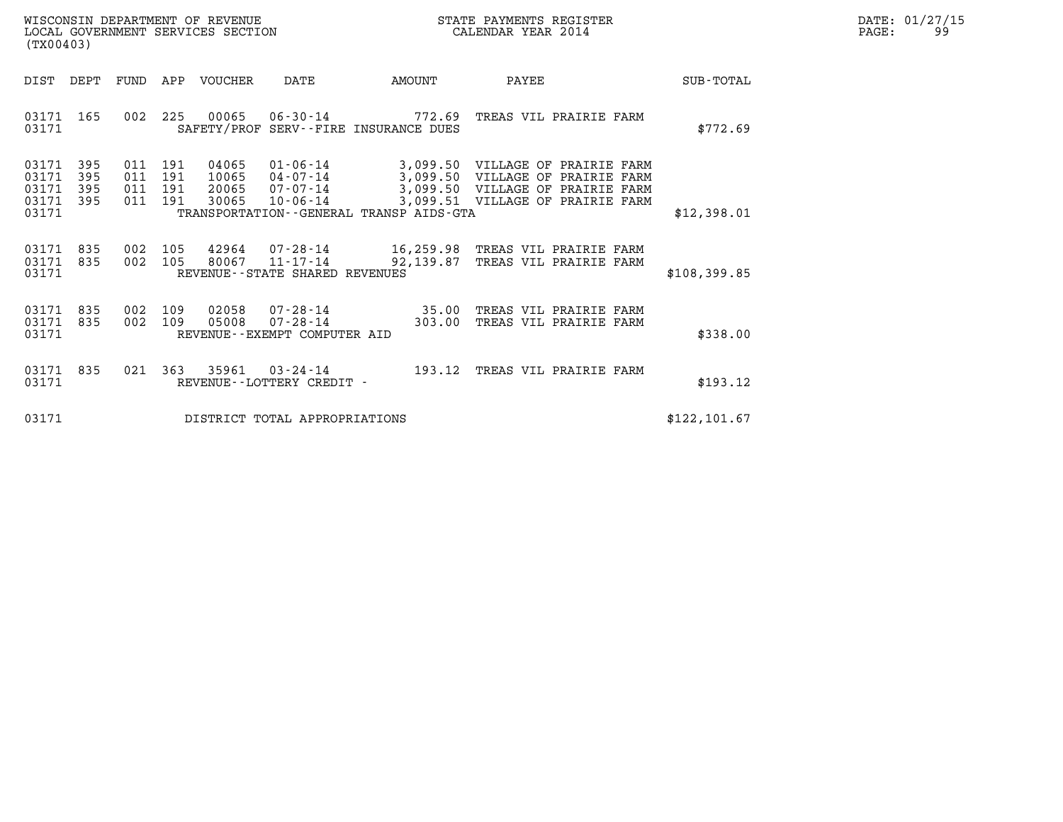| WISCONSIN DEPARTMENT OF REVENUE   | STATE PAYMENTS REGISTER | DATE: 01/27/15 |
|-----------------------------------|-------------------------|----------------|
| LOCAL GOVERNMENT SERVICES SECTION | CALENDAR YEAR 2014      | -Q Q<br>PAGE:  |

| (TX00403)                                                       |            |                                  |                                  |                                                  |                                                                      | $\begin{array}{lll} \texttt{m15} \texttt{C} \texttt{M} \texttt{D} \texttt{L} \texttt{D} \texttt{L} \texttt{D} \texttt{L} \texttt{D} \texttt{D} \texttt{L} \texttt{D} \texttt{C} \texttt{A} \texttt{D} \texttt{D} \texttt{D} \texttt{D} \texttt{D} \texttt{D} \texttt{D} \texttt{D} \texttt{D} \texttt{D} \texttt{D} \texttt{D} \texttt{D} \texttt{D} \texttt{D} \texttt{D} \texttt{D} \texttt{D} \texttt{D} \texttt{D} \$ |               | DATE: 01/27/15<br>99<br>PAGE: |
|-----------------------------------------------------------------|------------|----------------------------------|----------------------------------|--------------------------------------------------|----------------------------------------------------------------------|---------------------------------------------------------------------------------------------------------------------------------------------------------------------------------------------------------------------------------------------------------------------------------------------------------------------------------------------------------------------------------------------------------------------------|---------------|-------------------------------|
| DIST DEPT                                                       |            |                                  | FUND APP VOUCHER DATE            |                                                  | <b>EXAMPLE THE AMOUNT</b>                                            | PAYEE                                                                                                                                                                                                                                                                                                                                                                                                                     | SUB-TOTAL     |                               |
| 03171 165<br>03171                                              |            |                                  |                                  |                                                  | SAFETY/PROF SERV--FIRE INSURANCE DUES                                | 002 225 00065 06-30-14 772.69 TREAS VIL PRAIRIE FARM                                                                                                                                                                                                                                                                                                                                                                      | \$772.69      |                               |
| 03171 395<br>395<br>03171<br>395<br>03171<br>03171 395<br>03171 | 011<br>011 | 011 191<br>191<br>191<br>011 191 | 04065<br>10065<br>20065<br>30065 | 04-07-14<br>07-07-14<br>$10 - 06 - 14$           | 3,099.50<br>3,099.50<br>TRANSPORTATION - - GENERAL TRANSP AIDS - GTA | 01-06-14 3,099.50 VILLAGE OF PRAIRIE FARM<br>VILLAGE OF PRAIRIE FARM<br>VILLAGE OF PRAIRIE FARM<br>3,099.51 VILLAGE OF PRAIRIE FARM                                                                                                                                                                                                                                                                                       | \$12,398.01   |                               |
| 03171 835<br>03171 835<br>03171                                 |            | 002 105<br>002 105               |                                  | 80067 11-17-14<br>REVENUE--STATE SHARED REVENUES | 92,139.87                                                            | 42964 07-28-14 16,259.98 TREAS VIL PRAIRIE FARM<br>TREAS VIL PRAIRIE FARM                                                                                                                                                                                                                                                                                                                                                 | \$108,399.85  |                               |
| 03171 835<br>03171 835<br>03171                                 | 002<br>002 | 109<br>109                       | 02058<br>05008                   | REVENUE--EXEMPT COMPUTER AID                     | 07 - 28 - 14 35.00<br>07 - 28 - 14 303.00                            | TREAS VIL PRAIRIE FARM<br>TREAS VIL PRAIRIE FARM                                                                                                                                                                                                                                                                                                                                                                          | \$338.00      |                               |
| 03171 835<br>03171                                              | 021        |                                  |                                  | REVENUE--LOTTERY CREDIT -                        |                                                                      | 363 35961 03-24-14 193.12 TREAS VIL PRAIRIE FARM                                                                                                                                                                                                                                                                                                                                                                          | \$193.12      |                               |
| 03171                                                           |            |                                  |                                  | DISTRICT TOTAL APPROPRIATIONS                    |                                                                      |                                                                                                                                                                                                                                                                                                                                                                                                                           | \$122, 101.67 |                               |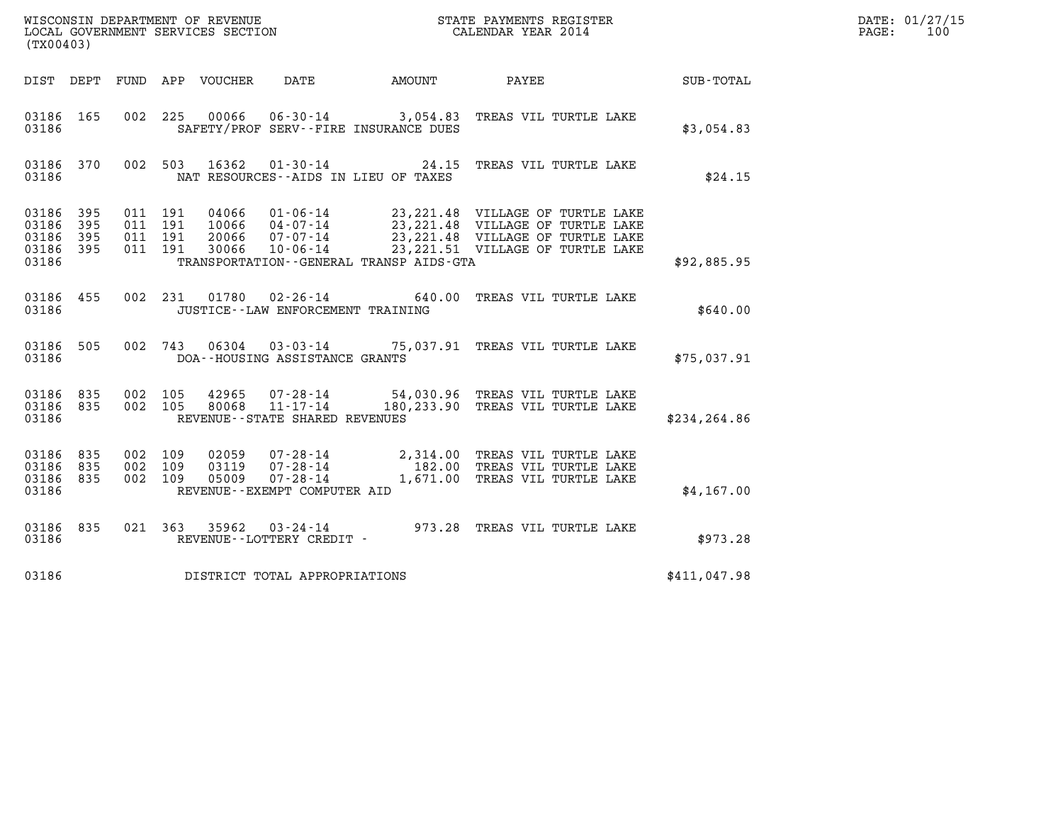| (TX00403)                                             |           |                                          |  |  |                                      |                                              |                                                                                                                                                                                                          |                  | DATE: 01/27/15<br>$\mathtt{PAGE}$ :<br>100 |
|-------------------------------------------------------|-----------|------------------------------------------|--|--|--------------------------------------|----------------------------------------------|----------------------------------------------------------------------------------------------------------------------------------------------------------------------------------------------------------|------------------|--------------------------------------------|
|                                                       |           |                                          |  |  |                                      | DIST DEPT FUND APP VOUCHER DATE AMOUNT PAYEE |                                                                                                                                                                                                          | <b>SUB-TOTAL</b> |                                            |
| 03186 165<br>03186                                    |           |                                          |  |  |                                      | SAFETY/PROF SERV--FIRE INSURANCE DUES        | 002 225 00066 06-30-14 3,054.83 TREAS VIL TURTLE LAKE                                                                                                                                                    | \$3,054.83       |                                            |
| 03186                                                 | 03186 370 |                                          |  |  |                                      | NAT RESOURCES -- AIDS IN LIEU OF TAXES       | 002 503 16362 01-30-14 24.15 TREAS VIL TURTLE LAKE                                                                                                                                                       | \$24.15          |                                            |
| 03186 395<br>03186<br>03186 395<br>03186 395<br>03186 | 395       | 011 191<br>011 191<br>011 191<br>011 191 |  |  |                                      | TRANSPORTATION - - GENERAL TRANSP AIDS - GTA | 04066 01-06-14 23,221.48 VILLAGE OF TURTLE LAKE<br>10066 04-07-14 23,221.48 VILLAGE OF TURTLE LAKE<br>20066 07-07-14 23,221.48 VILLAGE OF TURTLE LAKE<br>30066 10-06-14 23,221.51 VILLAGE OF TURTLE LAKE | \$92,885.95      |                                            |
| 03186                                                 | 03186 455 |                                          |  |  | JUSTICE - - LAW ENFORCEMENT TRAINING |                                              | 002 231 01780 02-26-14 640.00 TREAS VIL TURTLE LAKE                                                                                                                                                      | \$640.00         |                                            |
| 03186                                                 |           |                                          |  |  | DOA--HOUSING ASSISTANCE GRANTS       |                                              | 03186 505 002 743 06304 03-03-14 75,037.91 TREAS VIL TURTLE LAKE                                                                                                                                         | \$75,037.91      |                                            |
| 03186 835 002 105<br>03186 835<br>03186               |           |                                          |  |  | REVENUE--STATE SHARED REVENUES       |                                              | 002 105 42965 07-28-14 54,030.96 TREAS VIL TURTLE LAKE<br>002 105 80068 11-17-14 180,233.90 TREAS VIL TURTLE LAKE                                                                                        | \$234, 264.86    |                                            |
| 03186 835<br>03186 835<br>03186 835<br>03186          |           | 002 109<br>002 109<br>002 109            |  |  | REVENUE--EXEMPT COMPUTER AID         |                                              | 02059  07-28-14  2,314.00 TREAS VIL TURTLE LAKE<br>03119  07-28-14  182.00 TREAS VIL TURTLE LAKE<br>05009  07-28-14  1,671.00 TREAS VIL TURTLE LAKE                                                      | \$4,167.00       |                                            |
| 03186                                                 | 03186 835 |                                          |  |  |                                      |                                              |                                                                                                                                                                                                          | \$973.28         |                                            |
| 03186                                                 |           |                                          |  |  | DISTRICT TOTAL APPROPRIATIONS        |                                              |                                                                                                                                                                                                          | \$411,047.98     |                                            |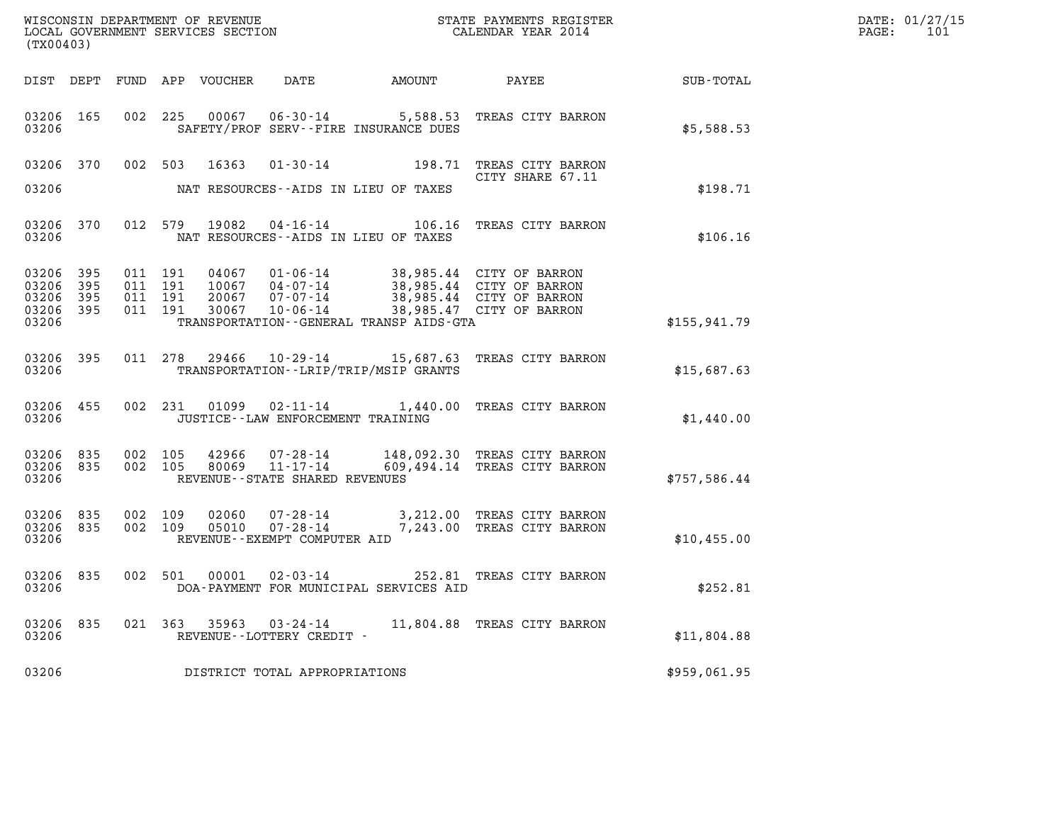| DATE: | 01/27/15 |
|-------|----------|
| PAGE: | 101      |

| (TX00403)                                     |                        |                               |         |                  |                                                                 |                                                                       |                                                                                                              |              | DATE: 01/27/15<br>PAGE:<br>101 |
|-----------------------------------------------|------------------------|-------------------------------|---------|------------------|-----------------------------------------------------------------|-----------------------------------------------------------------------|--------------------------------------------------------------------------------------------------------------|--------------|--------------------------------|
|                                               | DIST DEPT              |                               |         | FUND APP VOUCHER | DATE                                                            | AMOUNT                                                                | PAYEE                                                                                                        | SUB-TOTAL    |                                |
| 03206 165<br>03206                            |                        |                               | 002 225 | 00067            |                                                                 | SAFETY/PROF SERV--FIRE INSURANCE DUES                                 | 06-30-14 5,588.53 TREAS CITY BARRON                                                                          | \$5,588.53   |                                |
| 03206 370<br>03206                            |                        |                               | 002 503 | 16363            |                                                                 | NAT RESOURCES--AIDS IN LIEU OF TAXES                                  | 01-30-14 198.71 TREAS CITY BARRON<br>CITY SHARE 67.11                                                        | \$198.71     |                                |
| 03206 370<br>03206                            |                        |                               |         |                  |                                                                 | 012 579 19082 04-16-14 106.16<br>NAT RESOURCES--AIDS IN LIEU OF TAXES | TREAS CITY BARRON                                                                                            | \$106.16     |                                |
| 03206<br>03206<br>03206<br>03206 395<br>03206 | 395<br>395<br>395      | 011 191<br>011 191<br>011 191 | 011 191 | 04067<br>30067   | $01 - 06 - 14$<br>10067  04-07-14<br>20067 07-07-14<br>10-06-14 | TRANSPORTATION--GENERAL TRANSP AIDS-GTA                               | 38,985.44 CITY OF BARRON<br>38,985.44 CITY OF BARRON<br>38,985.44 CITY OF BARRON<br>38,985.47 CITY OF BARRON | \$155,941.79 |                                |
| 03206 395<br>03206                            |                        |                               |         |                  |                                                                 | TRANSPORTATION - - LRIP/TRIP/MSIP GRANTS                              | 011 278 29466 10-29-14 15,687.63 TREAS CITY BARRON                                                           | \$15,687.63  |                                |
| 03206 455<br>03206                            |                        |                               | 002 231 |                  | JUSTICE - - LAW ENFORCEMENT TRAINING                            |                                                                       | 01099  02-11-14  1,440.00  TREAS CITY BARRON                                                                 | \$1,440.00   |                                |
| 03206                                         | 03206 835<br>03206 835 | 002 105                       | 002 105 | 42966            | 80069 11-17-14<br>REVENUE--STATE SHARED REVENUES                |                                                                       | 07-28-14 148,092.30 TREAS CITY BARRON<br>609,494.14 TREAS CITY BARRON                                        | \$757,586.44 |                                |
| 03206<br>03206 835<br>03206                   | 835                    | 002 109<br>002 109            |         | 02060<br>05010   | $07 - 28 - 14$<br>REVENUE--EXEMPT COMPUTER AID                  |                                                                       | 3,212.00 TREAS CITY BARRON<br>07-28-14 7,243.00 TREAS CITY BARRON                                            | \$10,455.00  |                                |
| 03206 835<br>03206                            |                        | 002 501                       |         | 00001            | $02 - 03 - 14$                                                  | DOA-PAYMENT FOR MUNICIPAL SERVICES AID                                | 252.81 TREAS CITY BARRON                                                                                     | \$252.81     |                                |
| 03206<br>03206                                | 835                    |                               |         | 021 363 35963    | 03-24-14<br>REVENUE--LOTTERY CREDIT -                           |                                                                       | 11,804.88 TREAS CITY BARRON                                                                                  | \$11,804.88  |                                |
| 03206                                         |                        |                               |         |                  | DISTRICT TOTAL APPROPRIATIONS                                   |                                                                       |                                                                                                              | \$959,061.95 |                                |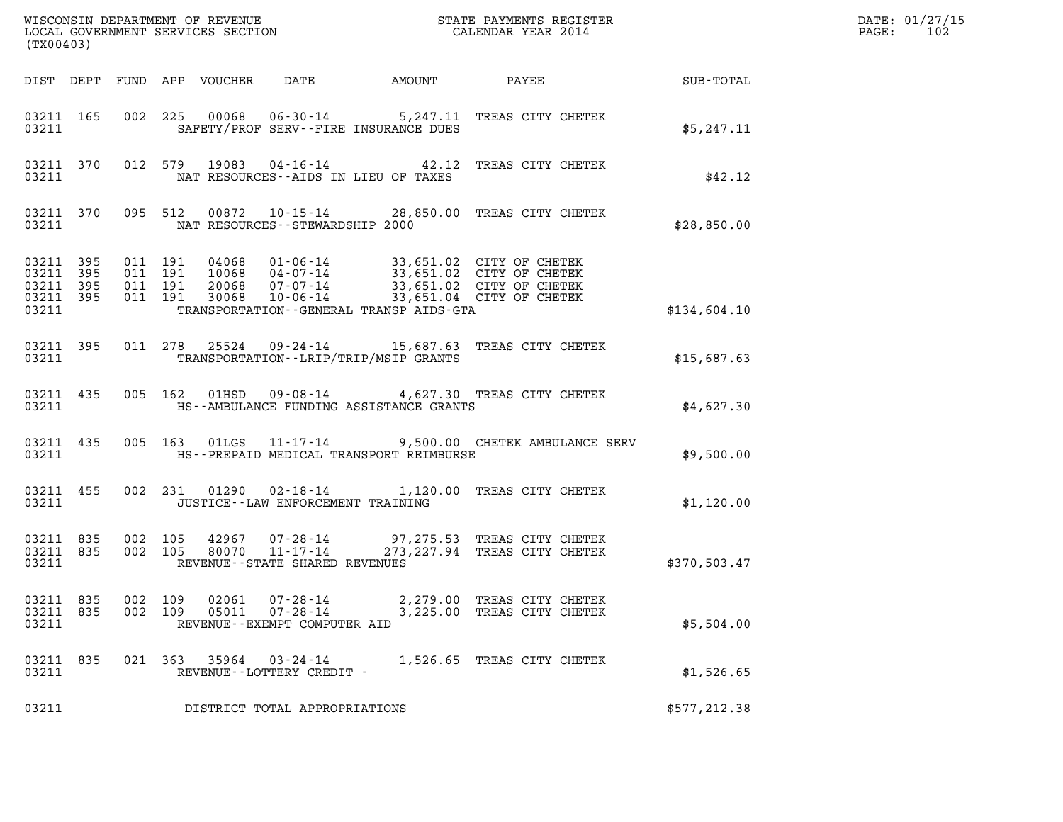| (TX00403)                       |                                |                    |                    |                            |                                                            |                                          |                                                                                                                                                                                      |                 | DATE: 01/27/15<br>$\mathtt{PAGE}$ :<br>102 |
|---------------------------------|--------------------------------|--------------------|--------------------|----------------------------|------------------------------------------------------------|------------------------------------------|--------------------------------------------------------------------------------------------------------------------------------------------------------------------------------------|-----------------|--------------------------------------------|
|                                 |                                |                    |                    | DIST DEPT FUND APP VOUCHER |                                                            | DATE AMOUNT                              |                                                                                                                                                                                      | PAYEE SUB-TOTAL |                                            |
| 03211                           | 03211 165                      |                    |                    |                            |                                                            | SAFETY/PROF SERV--FIRE INSURANCE DUES    | 002 225 00068 06-30-14 5,247.11 TREAS CITY CHETEK                                                                                                                                    | \$5,247.11      |                                            |
| 03211                           |                                |                    |                    |                            |                                                            | NAT RESOURCES--AIDS IN LIEU OF TAXES     | 03211 370 012 579 19083 04-16-14 42.12 TREAS CITY CHETEK                                                                                                                             | \$42.12         |                                            |
| 03211                           |                                |                    |                    |                            | NAT RESOURCES - - STEWARDSHIP 2000                         |                                          | 03211 370 095 512 00872 10-15-14 28,850.00 TREAS CITY CHETEK                                                                                                                         | \$28,850.00     |                                            |
| 03211 395<br>03211 395<br>03211 | 03211 395 011 191<br>03211 395 | 011 191            | 011 191<br>011 191 |                            |                                                            | TRANSPORTATION--GENERAL TRANSP AIDS-GTA  | 04068  01-06-14  33,651.02  CITY OF CHETEK<br>10068  04-07-14  33,651.02  CITY OF CHETEK<br>20068  07-07-14  33,651.02  CITY OF CHETEK<br>30068  10-06-14  33,651.04  CITY OF CHETEK | \$134,604.10    |                                            |
| 03211                           | 03211 395                      |                    |                    |                            |                                                            | TRANSPORTATION - - LRIP/TRIP/MSIP GRANTS | 011 278 25524 09-24-14 15,687.63 TREAS CITY CHETEK                                                                                                                                   | \$15,687.63     |                                            |
| 03211                           | 03211 435                      |                    |                    |                            |                                                            | HS--AMBULANCE FUNDING ASSISTANCE GRANTS  | 005 162 01HSD 09-08-14 4,627.30 TREAS CITY CHETEK                                                                                                                                    | \$4,627.30      |                                            |
| 03211                           | 03211 435                      |                    |                    |                            |                                                            | HS--PREPAID MEDICAL TRANSPORT REIMBURSE  | 005 163 01LGS 11-17-14 9,500.00 CHETEK AMBULANCE SERV                                                                                                                                | \$9,500.00      |                                            |
| 03211                           | 03211 455                      |                    |                    |                            | JUSTICE -- LAW ENFORCEMENT TRAINING                        |                                          | 002 231 01290 02-18-14 1,120.00 TREAS CITY CHETEK                                                                                                                                    | \$1,120.00      |                                            |
| 03211 835<br>03211 835<br>03211 |                                |                    |                    |                            | REVENUE--STATE SHARED REVENUES                             |                                          | 002 105 42967 07-28-14 97,275.53 TREAS CITY CHETEK<br>002 105 80070 11-17-14 273,227.94 TREAS CITY CHETEK                                                                            | \$370,503.47    |                                            |
| 03211 835<br>03211 835<br>03211 |                                | 002 109<br>002 109 |                    | 02061<br>05011             | 07-28-14<br>$07 - 28 - 14$<br>REVENUE--EXEMPT COMPUTER AID |                                          | 2,279.00 TREAS CITY CHETEK<br>3,225.00 TREAS CITY CHETEK                                                                                                                             | \$5,504.00      |                                            |
| 03211 835<br>03211              |                                |                    |                    |                            | 021 363 35964 03-24-14<br>REVENUE--LOTTERY CREDIT -        |                                          | 1,526.65 TREAS CITY CHETEK                                                                                                                                                           | \$1,526.65      |                                            |
| 03211                           |                                |                    |                    |                            | DISTRICT TOTAL APPROPRIATIONS                              |                                          |                                                                                                                                                                                      | \$577, 212.38   |                                            |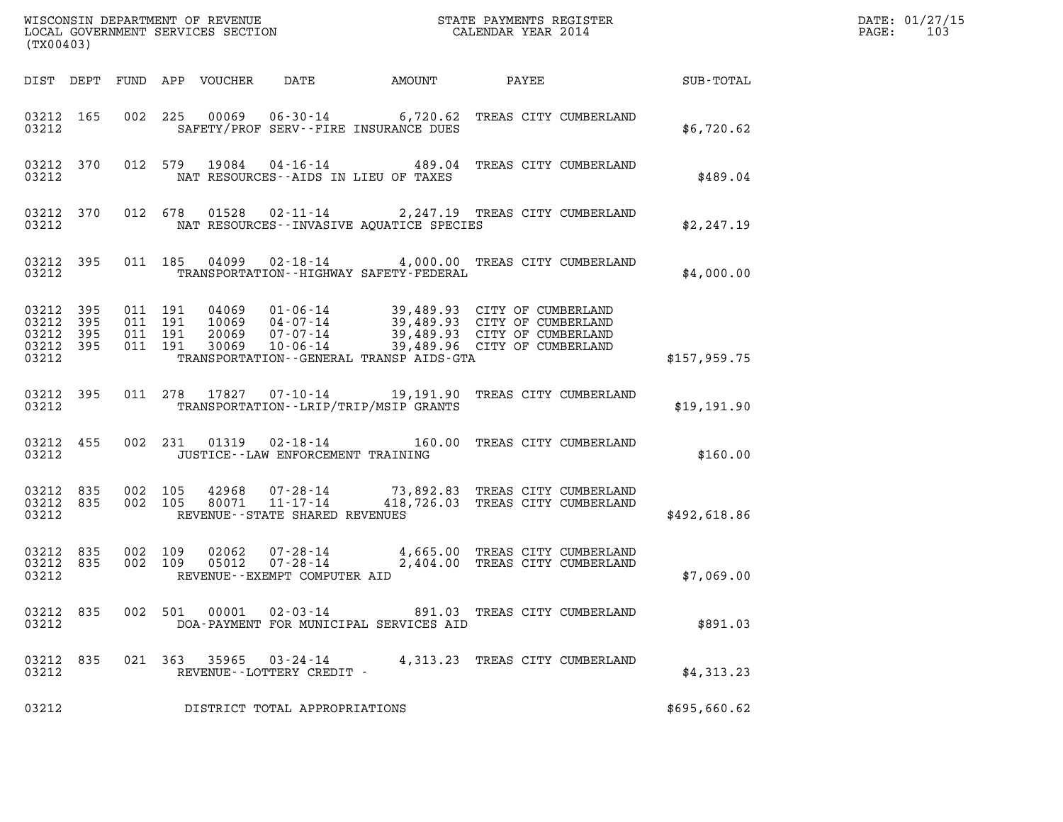| (TX00403)                                                         |  |         |                    |  |                                   |                                              |                                                                                                                                                                                          |              | DATE: 01/27/15<br>$\mathtt{PAGE}$ :<br>103 |
|-------------------------------------------------------------------|--|---------|--------------------|--|-----------------------------------|----------------------------------------------|------------------------------------------------------------------------------------------------------------------------------------------------------------------------------------------|--------------|--------------------------------------------|
|                                                                   |  |         |                    |  |                                   |                                              |                                                                                                                                                                                          |              |                                            |
| 03212                                                             |  |         |                    |  |                                   | SAFETY/PROF SERV--FIRE INSURANCE DUES        | 03212 165 002 225 00069 06-30-14 6,720.62 TREAS CITY CUMBERLAND                                                                                                                          | \$6,720.62   |                                            |
| 03212                                                             |  |         |                    |  |                                   | NAT RESOURCES--AIDS IN LIEU OF TAXES         | 03212 370 012 579 19084 04-16-14 489.04 TREAS CITY CUMBERLAND                                                                                                                            | \$489.04     |                                            |
| 03212                                                             |  |         |                    |  |                                   | NAT RESOURCES -- INVASIVE AOUATICE SPECIES   | 03212 370 012 678 01528 02-11-14 2,247.19 TREAS CITY CUMBERLAND                                                                                                                          | \$2,247.19   |                                            |
| 03212                                                             |  |         |                    |  |                                   | TRANSPORTATION - - HIGHWAY SAFETY - FEDERAL  | 03212 395 011 185 04099 02-18-14 4,000.00 TREAS CITY CUMBERLAND                                                                                                                          | \$4,000.00   |                                            |
| 03212 395 011 191<br>03212 395<br>03212 395<br>03212 395<br>03212 |  | 011 191 | 011 191<br>011 191 |  |                                   | TRANSPORTATION - - GENERAL TRANSP AIDS - GTA | 04069 01-06-14 39,489.93 CITY OF CUMBERLAND<br>10069 04-07-14 39,489.93 CITY OF CUMBERLAND<br>20069 07-07-14 39,489.93 CITY OF CUMBERLAND<br>30069 10-06-14 39,489.96 CITY OF CUMBERLAND | \$157,959.75 |                                            |
| 03212 395<br>03212                                                |  |         |                    |  |                                   | TRANSPORTATION - - LRIP/TRIP/MSIP GRANTS     | 011  278  17827  07-10-14  19,191.90  TREAS CITY CUMBERLAND                                                                                                                              | \$19,191.90  |                                            |
| 03212                                                             |  |         |                    |  | JUSTICE--LAW ENFORCEMENT TRAINING |                                              | 03212 455 002 231 01319 02-18-14 160.00 TREAS CITY CUMBERLAND                                                                                                                            | \$160.00     |                                            |
| 03212 835<br>03212 835<br>03212                                   |  |         |                    |  | REVENUE--STATE SHARED REVENUES    |                                              | 002 105 42968 07-28-14 73,892.83 TREAS CITY CUMBERLAND<br>002 105 80071 11-17-14 418,726.03 TREAS CITY CUMBERLAND                                                                        | \$492,618.86 |                                            |
| 03212                                                             |  |         |                    |  | REVENUE--EXEMPT COMPUTER AID      |                                              | 03212 835 002 109 02062 07-28-14 4,665.00 TREAS CITY CUMBERLAND<br>03212 835 002 109 05012 07-28-14 2,404.00 TREAS CITY CUMBERLAND                                                       | \$7,069.00   |                                            |
| 03212 835<br>03212                                                |  |         |                    |  | 002 501 00001 02-03-14            | DOA-PAYMENT FOR MUNICIPAL SERVICES AID       | 891.03 TREAS CITY CUMBERLAND                                                                                                                                                             | \$891.03     |                                            |
| 03212 835<br>03212                                                |  |         |                    |  | REVENUE--LOTTERY CREDIT -         |                                              | 021 363 35965 03-24-14 4,313.23 TREAS CITY CUMBERLAND                                                                                                                                    | \$4,313.23   |                                            |
| 03212                                                             |  |         |                    |  | DISTRICT TOTAL APPROPRIATIONS     |                                              |                                                                                                                                                                                          | \$695,660.62 |                                            |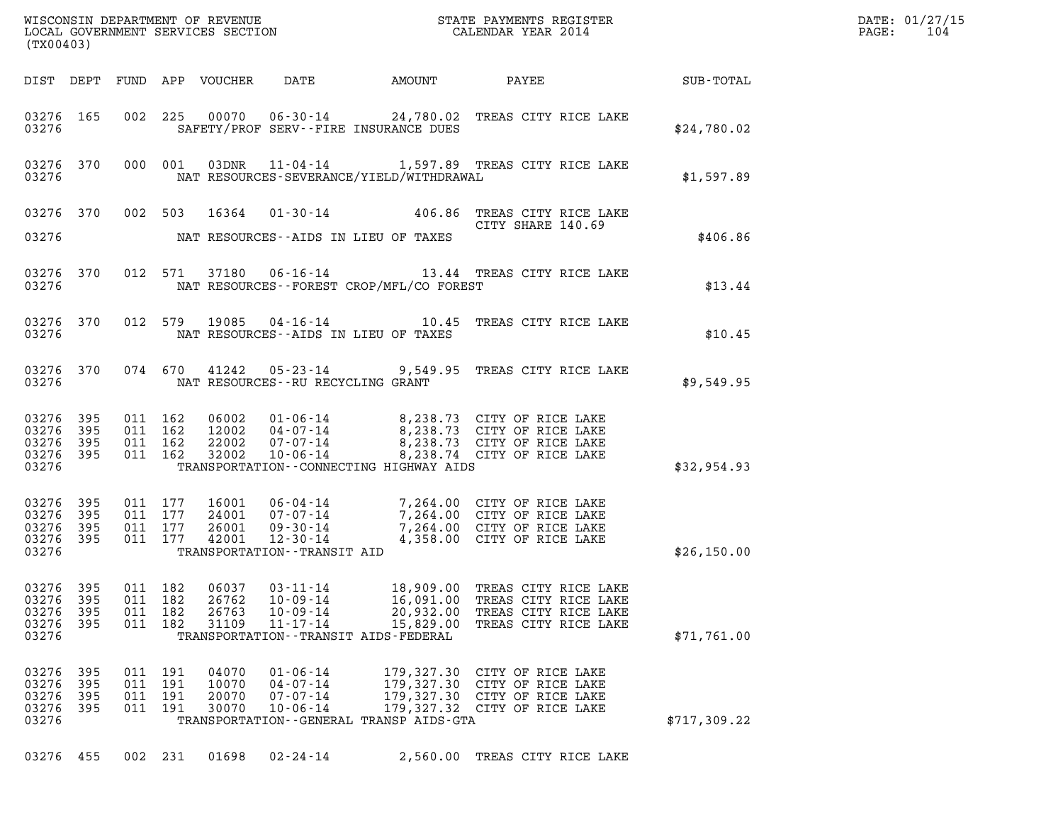| DATE: | 01/27/15 |
|-------|----------|
| PAGE: | 104      |

| (TX00403)                                                 |                          |                               |                                          |                                  |                                                                      |                                                                                               |                                                                                                                                                                                  |              | DATE: 01/27/15<br>$\mathtt{PAGE:}$<br>104 |
|-----------------------------------------------------------|--------------------------|-------------------------------|------------------------------------------|----------------------------------|----------------------------------------------------------------------|-----------------------------------------------------------------------------------------------|----------------------------------------------------------------------------------------------------------------------------------------------------------------------------------|--------------|-------------------------------------------|
|                                                           |                          |                               |                                          |                                  |                                                                      |                                                                                               |                                                                                                                                                                                  |              |                                           |
| 03276                                                     |                          |                               |                                          |                                  |                                                                      | SAFETY/PROF SERV--FIRE INSURANCE DUES                                                         | 03276 165 002 225 00070 06-30-14 24,780.02 TREAS CITY RICE LAKE                                                                                                                  | \$24,780.02  |                                           |
| 03276                                                     |                          |                               |                                          |                                  |                                                                      |                                                                                               | 03276 370 000 001 03DNR 11-04-14 1,597.89 TREAS CITY RICE LAKE<br>NAT RESOURCES-SEVERANCE/YIELD/WITHDRAWAL                                                                       | \$1,597.89   |                                           |
| 03276                                                     |                          |                               |                                          |                                  |                                                                      | NAT RESOURCES--AIDS IN LIEU OF TAXES                                                          | 03276 370 002 503 16364 01-30-14 406.86 TREAS CITY RICE LAKE<br>CITY SHARE 140.69                                                                                                | \$406.86     |                                           |
|                                                           |                          |                               |                                          |                                  |                                                                      |                                                                                               | 03276 370 012 571 37180 06-16-14 13.44 TREAS CITY RICE LAKE                                                                                                                      | \$13.44      |                                           |
|                                                           |                          |                               |                                          |                                  |                                                                      | 03276 MAT RESOURCES--AIDS IN LIEU OF TAXES                                                    | 03276 370 012 579 19085 04-16-14 10.45 TREAS CITY RICE LAKE                                                                                                                      | \$10.45      |                                           |
|                                                           |                          |                               |                                          |                                  |                                                                      | 03276 NAT RESOURCES--RU RECYCLING GRANT                                                       | 03276 370 074 670 41242 05-23-14 9,549.95 TREAS CITY RICE LAKE                                                                                                                   | \$9,549.95   |                                           |
| 03276 395<br>03276 395<br>03276 395<br>03276 395<br>03276 |                          | 011 162<br>011 162<br>011 162 | 011 162                                  |                                  |                                                                      | TRANSPORTATION--CONNECTING HIGHWAY AIDS                                                       | 06002 01-06-14 8,238.73 CITY OF RICE LAKE<br>12002 04-07-14 8,238.73 CITY OF RICE LAKE<br>22002 07-07-14 8,238.73 CITY OF RICE LAKE<br>32002 10-06-14 8,238.74 CITY OF RICE LAKE | \$32,954.93  |                                           |
| 03276 395<br>03276<br>03276 395<br>03276 395<br>03276     | 395                      | 011 177<br>011 177<br>011 177 | 011 177                                  |                                  | TRANSPORTATION--TRANSIT AID                                          |                                                                                               | 16001 06-04-14 7,264.00 CITY OF RICE LAKE<br>24001 07-07-14 7,264.00 CITY OF RICE LAKE<br>26001 09-30-14 7,264.00 CITY OF RICE LAKE<br>42001 12-30-14 4,358.00 CITY OF RICE LAKE | \$26,150.00  |                                           |
| 03276 395<br>03276<br>03276<br>03276<br>03276             | 395<br>395<br>395        |                               | 011 182<br>011 182<br>011 182<br>011 182 | 06037<br>26762<br>26763<br>31109 | $03 - 11 - 14$<br>$10 - 09 - 14$<br>$10 - 09 - 14$<br>$11 - 17 - 14$ | 18,909.00<br>16,091.00<br>20,932.00<br>15,829.00<br>TRANSPORTATION - - TRANSIT AIDS - FEDERAL | TREAS CITY RICE LAKE<br>TREAS CITY RICE LAKE<br>TREAS CITY RICE LAKE<br>TREAS CITY RICE LAKE                                                                                     | \$71,761.00  |                                           |
| 03276<br>03276<br>03276<br>03276<br>03276                 | 395<br>395<br>395<br>395 |                               | 011 191<br>011 191<br>011 191<br>011 191 | 04070<br>10070<br>20070<br>30070 | $01 - 06 - 14$<br>$04 - 07 - 14$<br>$07 - 07 - 14$<br>$10 - 06 - 14$ | TRANSPORTATION--GENERAL TRANSP AIDS-GTA                                                       | 179,327.30 CITY OF RICE LAKE<br>179,327.30 CITY OF RICE LAKE<br>179,327.30 CITY OF RICE LAKE<br>179,327.32 CITY OF RICE LAKE                                                     | \$717,309.22 |                                           |

03276 455 002 231 01698 02-24-14 2,560.00 TREAS CITY RICE LAKE